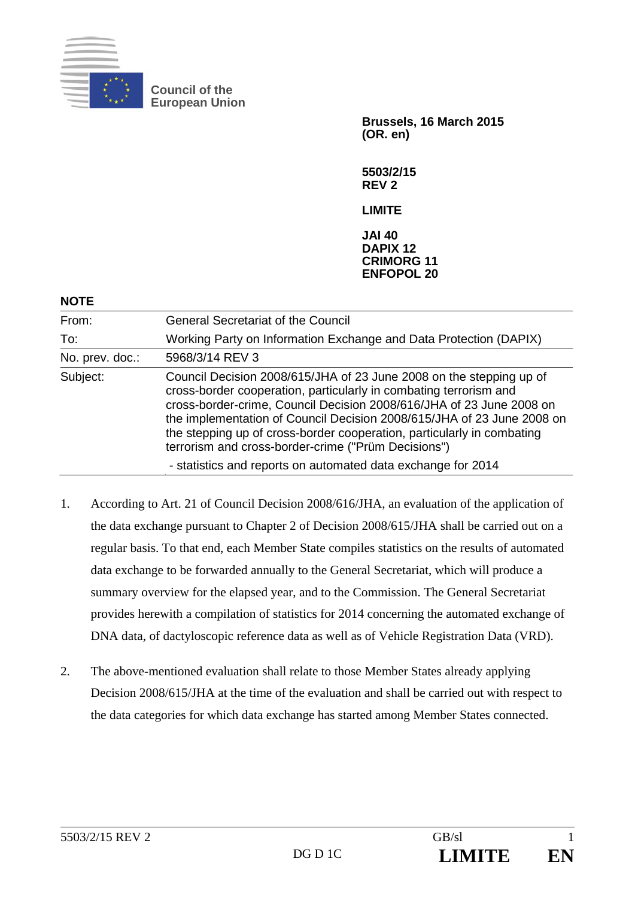

**Council of the European Union** 

> **Brussels, 16 March 2015 (OR. en)**

**5503/2/15 REV 2** 

**LIMITE** 

**JAI 40 DAPIX 12 CRIMORG 11 ENFOPOL 20**

| From:           | <b>General Secretariat of the Council</b>                                                                                                                                                                                                                                                                                                                                                                                                                                                   |
|-----------------|---------------------------------------------------------------------------------------------------------------------------------------------------------------------------------------------------------------------------------------------------------------------------------------------------------------------------------------------------------------------------------------------------------------------------------------------------------------------------------------------|
| To:             | Working Party on Information Exchange and Data Protection (DAPIX)                                                                                                                                                                                                                                                                                                                                                                                                                           |
| No. prev. doc.: | 5968/3/14 REV 3                                                                                                                                                                                                                                                                                                                                                                                                                                                                             |
| Subject:        | Council Decision 2008/615/JHA of 23 June 2008 on the stepping up of<br>cross-border cooperation, particularly in combating terrorism and<br>cross-border-crime, Council Decision 2008/616/JHA of 23 June 2008 on<br>the implementation of Council Decision 2008/615/JHA of 23 June 2008 on<br>the stepping up of cross-border cooperation, particularly in combating<br>terrorism and cross-border-crime ("Prüm Decisions")<br>- statistics and reports on automated data exchange for 2014 |

- 1. According to Art. 21 of Council Decision 2008/616/JHA, an evaluation of the application of the data exchange pursuant to Chapter 2 of Decision 2008/615/JHA shall be carried out on a regular basis. To that end, each Member State compiles statistics on the results of automated data exchange to be forwarded annually to the General Secretariat, which will produce a summary overview for the elapsed year, and to the Commission. The General Secretariat provides herewith a compilation of statistics for 2014 concerning the automated exchange of DNA data, of dactyloscopic reference data as well as of Vehicle Registration Data (VRD).
- 2. The above-mentioned evaluation shall relate to those Member States already applying Decision 2008/615/JHA at the time of the evaluation and shall be carried out with respect to the data categories for which data exchange has started among Member States connected.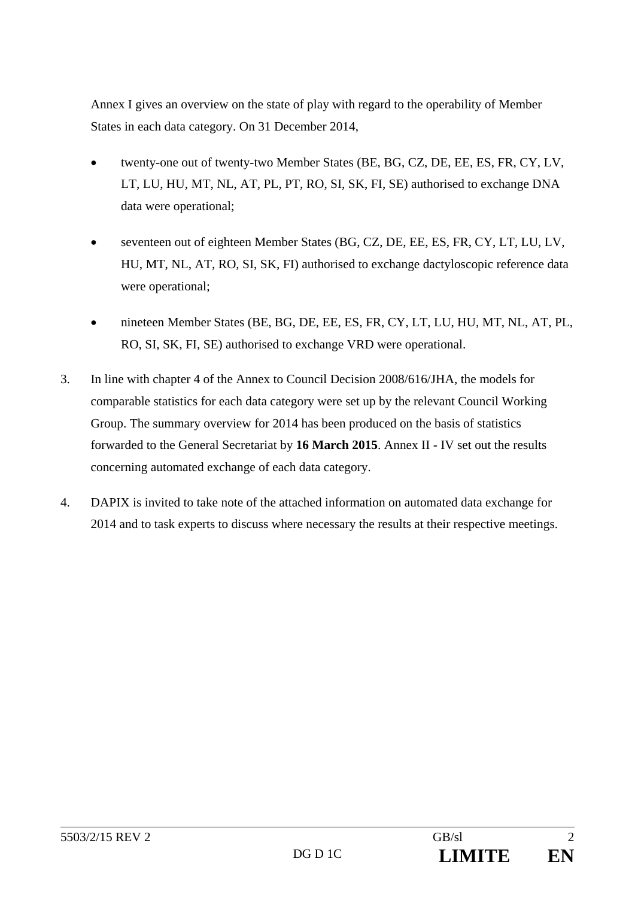Annex I gives an overview on the state of play with regard to the operability of Member States in each data category. On 31 December 2014,

- twenty-one out of twenty-two Member States (BE, BG, CZ, DE, EE, ES, FR, CY, LV, LT, LU, HU, MT, NL, AT, PL, PT, RO, SI, SK, FI, SE) authorised to exchange DNA data were operational;
- seventeen out of eighteen Member States (BG, CZ, DE, EE, ES, FR, CY, LT, LU, LV, HU, MT, NL, AT, RO, SI, SK, FI) authorised to exchange dactyloscopic reference data were operational;
- nineteen Member States (BE, BG, DE, EE, ES, FR, CY, LT, LU, HU, MT, NL, AT, PL, RO, SI, SK, FI, SE) authorised to exchange VRD were operational.
- 3. In line with chapter 4 of the Annex to Council Decision 2008/616/JHA, the models for comparable statistics for each data category were set up by the relevant Council Working Group. The summary overview for 2014 has been produced on the basis of statistics forwarded to the General Secretariat by **16 March 2015**. Annex II - IV set out the results concerning automated exchange of each data category.
- 4. DAPIX is invited to take note of the attached information on automated data exchange for 2014 and to task experts to discuss where necessary the results at their respective meetings.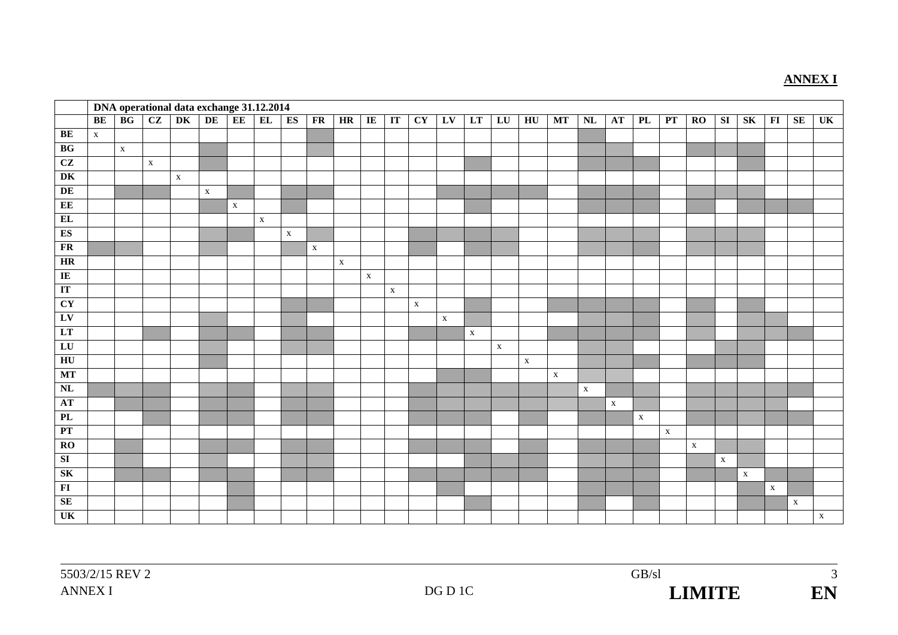#### **ANNEX I**

|                          |             |             |             | DNA operational data exchange 31.12.2014 |             |             |             |             |             |             |                |                        |             |             |             |             |                  |              |             |             |             |              |             |                  |             |              |             |              |
|--------------------------|-------------|-------------|-------------|------------------------------------------|-------------|-------------|-------------|-------------|-------------|-------------|----------------|------------------------|-------------|-------------|-------------|-------------|------------------|--------------|-------------|-------------|-------------|--------------|-------------|------------------|-------------|--------------|-------------|--------------|
|                          | BE          | BG          | CZ          | DK                                       | DE          | EE          | EL          | ES          | FR          | HR          | $\overline{I}$ | $\mathbf{I}\mathbf{T}$ | CY          | LV          | LT          | LU          | ${\bf H}{\bf U}$ | <b>MT</b>    | NL          | AT          | ${\bf PL}$  | PT           | $\bf{RO}$   | ${\bf S}{\bf I}$ | SK          | $\bf{FI}$    | SE          | UK           |
| <b>BE</b>                | $\mathbf X$ |             |             |                                          |             |             |             |             |             |             |                |                        |             |             |             |             |                  |              |             |             |             |              |             |                  |             |              |             |              |
| BG                       |             | $\mathbf X$ |             |                                          |             |             |             |             |             |             |                |                        |             |             |             |             |                  |              |             |             |             |              |             |                  |             |              |             |              |
| CZ                       |             |             | $\mathbf X$ |                                          |             |             |             |             |             |             |                |                        |             |             |             |             |                  |              |             |             |             |              |             |                  |             |              |             |              |
| DK                       |             |             |             | $\mathbf X$                              |             |             |             |             |             |             |                |                        |             |             |             |             |                  |              |             |             |             |              |             |                  |             |              |             |              |
| DE                       |             |             |             |                                          | $\mathbf X$ |             |             |             |             |             |                |                        |             |             |             |             |                  |              |             |             |             |              |             |                  |             |              |             |              |
| EE                       |             |             |             |                                          |             | $\mathbf X$ |             |             |             |             |                |                        |             |             |             |             |                  |              |             |             |             |              |             |                  |             |              |             |              |
| EL                       |             |             |             |                                          |             |             | $\mathbf X$ |             |             |             |                |                        |             |             |             |             |                  |              |             |             |             |              |             |                  |             |              |             |              |
| ES                       |             |             |             |                                          |             |             |             | $\mathbf X$ |             |             |                |                        |             |             |             |             |                  |              |             |             |             |              |             |                  |             |              |             |              |
| $\overline{\textbf{FR}}$ |             |             |             |                                          |             |             |             |             | $\mathbf X$ |             |                |                        |             |             |             |             |                  |              |             |             |             |              |             |                  |             |              |             |              |
| HR                       |             |             |             |                                          |             |             |             |             |             | $\mathbf X$ |                |                        |             |             |             |             |                  |              |             |             |             |              |             |                  |             |              |             |              |
| IE                       |             |             |             |                                          |             |             |             |             |             |             | $\mathbf X$    |                        |             |             |             |             |                  |              |             |             |             |              |             |                  |             |              |             |              |
| IT                       |             |             |             |                                          |             |             |             |             |             |             |                | $\mathbf X$            |             |             |             |             |                  |              |             |             |             |              |             |                  |             |              |             |              |
| <b>CY</b>                |             |             |             |                                          |             |             |             |             |             |             |                |                        | $\mathbf X$ |             |             |             |                  |              |             |             |             |              |             |                  |             |              |             |              |
| LV                       |             |             |             |                                          |             |             |             |             |             |             |                |                        |             | $\mathbf X$ |             |             |                  |              |             |             |             |              |             |                  |             |              |             |              |
| LT                       |             |             |             |                                          |             |             |             |             |             |             |                |                        |             |             | $\mathbf X$ |             |                  |              |             |             |             |              |             |                  |             |              |             |              |
| LU                       |             |             |             |                                          |             |             |             |             |             |             |                |                        |             |             |             | $\mathbf X$ |                  |              |             |             |             |              |             |                  |             |              |             |              |
| HU                       |             |             |             |                                          |             |             |             |             |             |             |                |                        |             |             |             |             | $\mathbf X$      |              |             |             |             |              |             |                  |             |              |             |              |
| MT                       |             |             |             |                                          |             |             |             |             |             |             |                |                        |             |             |             |             |                  | $\mathbf{x}$ |             |             |             |              |             |                  |             |              |             |              |
| NL                       |             |             |             |                                          |             |             |             |             |             |             |                |                        |             |             |             |             |                  |              | $\mathbf X$ |             |             |              |             |                  |             |              |             |              |
| <b>AT</b>                |             |             |             |                                          |             |             |             |             |             |             |                |                        |             |             |             |             |                  |              |             | $\mathbf X$ |             |              |             |                  |             |              |             |              |
| PL                       |             |             |             |                                          |             |             |             |             |             |             |                |                        |             |             |             |             |                  |              |             |             | $\mathbf X$ |              |             |                  |             |              |             |              |
| PT                       |             |             |             |                                          |             |             |             |             |             |             |                |                        |             |             |             |             |                  |              |             |             |             | $\mathbf{X}$ |             |                  |             |              |             |              |
| RO                       |             |             |             |                                          |             |             |             |             |             |             |                |                        |             |             |             |             |                  |              |             |             |             |              | $\mathbf X$ |                  |             |              |             |              |
| SI                       |             |             |             |                                          |             |             |             |             |             |             |                |                        |             |             |             |             |                  |              |             |             |             |              |             | $\mathbf X$      |             |              |             |              |
| SK                       |             |             |             |                                          |             |             |             |             |             |             |                |                        |             |             |             |             |                  |              |             |             |             |              |             |                  | $\mathbf X$ |              |             |              |
| FI                       |             |             |             |                                          |             |             |             |             |             |             |                |                        |             |             |             |             |                  |              |             |             |             |              |             |                  |             | $\mathbf{X}$ |             |              |
| SE                       |             |             |             |                                          |             |             |             |             |             |             |                |                        |             |             |             |             |                  |              |             |             |             |              |             |                  |             |              | $\mathbf X$ |              |
| UK                       |             |             |             |                                          |             |             |             |             |             |             |                |                        |             |             |             |             |                  |              |             |             |             |              |             |                  |             |              |             | $\mathbf{X}$ |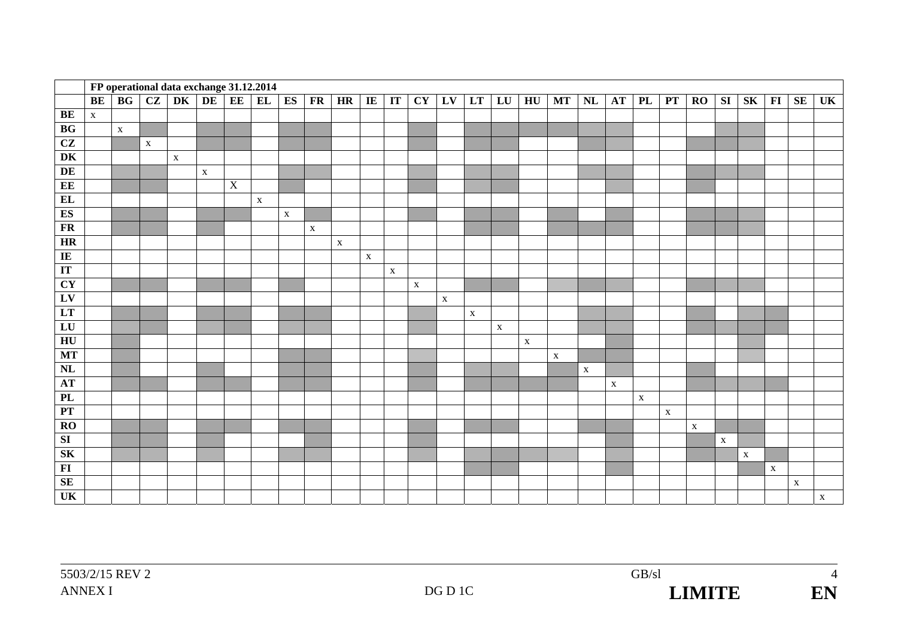|                         |              |             |             | FP operational data exchange 31.12.2014 |             |                |             |             |             |             |             |             |             |             |             |             |             |             |             |              |             |             |             |             |             |              |             |             |
|-------------------------|--------------|-------------|-------------|-----------------------------------------|-------------|----------------|-------------|-------------|-------------|-------------|-------------|-------------|-------------|-------------|-------------|-------------|-------------|-------------|-------------|--------------|-------------|-------------|-------------|-------------|-------------|--------------|-------------|-------------|
|                         | BE           | BG          | CZ          | DK                                      | DE          | EE             | EL          | ES          | FR          | HR          | IE          | IT          | <b>CY</b>   | LV          | LT          | LU          | HU          | <b>MT</b>   | NL          | <b>AT</b>    | PL          | PT          | RO          | <b>SI</b>   | <b>SK</b>   | $\bf{FI}$    | <b>SE</b>   | UK          |
| BE                      | $\mathbf{X}$ |             |             |                                         |             |                |             |             |             |             |             |             |             |             |             |             |             |             |             |              |             |             |             |             |             |              |             |             |
| BG                      |              | $\mathbf X$ |             |                                         |             |                |             |             |             |             |             |             |             |             |             |             |             |             |             |              |             |             |             |             |             |              |             |             |
| CZ                      |              |             | $\mathbf X$ |                                         |             |                |             |             |             |             |             |             |             |             |             |             |             |             |             |              |             |             |             |             |             |              |             |             |
| DK                      |              |             |             | $\mathbf X$                             |             |                |             |             |             |             |             |             |             |             |             |             |             |             |             |              |             |             |             |             |             |              |             |             |
| DE                      |              |             |             |                                         | $\mathbf X$ |                |             |             |             |             |             |             |             |             |             |             |             |             |             |              |             |             |             |             |             |              |             |             |
| EE                      |              |             |             |                                         |             | $\overline{X}$ |             |             |             |             |             |             |             |             |             |             |             |             |             |              |             |             |             |             |             |              |             |             |
| EL                      |              |             |             |                                         |             |                | $\mathbf X$ |             |             |             |             |             |             |             |             |             |             |             |             |              |             |             |             |             |             |              |             |             |
| ES                      |              |             |             |                                         |             |                |             | $\mathbf X$ |             |             |             |             |             |             |             |             |             |             |             |              |             |             |             |             |             |              |             |             |
| FR                      |              |             |             |                                         |             |                |             |             | $\mathbf X$ |             |             |             |             |             |             |             |             |             |             |              |             |             |             |             |             |              |             |             |
| HR                      |              |             |             |                                         |             |                |             |             |             | $\mathbf X$ |             |             |             |             |             |             |             |             |             |              |             |             |             |             |             |              |             |             |
| IE                      |              |             |             |                                         |             |                |             |             |             |             | $\mathbf X$ |             |             |             |             |             |             |             |             |              |             |             |             |             |             |              |             |             |
| IT                      |              |             |             |                                         |             |                |             |             |             |             |             | $\mathbf X$ |             |             |             |             |             |             |             |              |             |             |             |             |             |              |             |             |
| <b>CY</b>               |              |             |             |                                         |             |                |             |             |             |             |             |             | $\mathbf X$ |             |             |             |             |             |             |              |             |             |             |             |             |              |             |             |
| $L$ V                   |              |             |             |                                         |             |                |             |             |             |             |             |             |             | $\mathbf X$ |             |             |             |             |             |              |             |             |             |             |             |              |             |             |
| LT                      |              |             |             |                                         |             |                |             |             |             |             |             |             |             |             | $\mathbf X$ |             |             |             |             |              |             |             |             |             |             |              |             |             |
| LU                      |              |             |             |                                         |             |                |             |             |             |             |             |             |             |             |             | $\mathbf X$ |             |             |             |              |             |             |             |             |             |              |             |             |
| HU                      |              |             |             |                                         |             |                |             |             |             |             |             |             |             |             |             |             | $\mathbf X$ |             |             |              |             |             |             |             |             |              |             |             |
| <b>MT</b>               |              |             |             |                                         |             |                |             |             |             |             |             |             |             |             |             |             |             | $\mathbf X$ |             |              |             |             |             |             |             |              |             |             |
| $\overline{\text{NL}}$  |              |             |             |                                         |             |                |             |             |             |             |             |             |             |             |             |             |             |             | $\mathbf X$ |              |             |             |             |             |             |              |             |             |
| <b>AT</b>               |              |             |             |                                         |             |                |             |             |             |             |             |             |             |             |             |             |             |             |             | $\mathbf{x}$ |             |             |             |             |             |              |             |             |
| PL                      |              |             |             |                                         |             |                |             |             |             |             |             |             |             |             |             |             |             |             |             |              | $\mathbf X$ |             |             |             |             |              |             |             |
| PT                      |              |             |             |                                         |             |                |             |             |             |             |             |             |             |             |             |             |             |             |             |              |             | $\mathbf X$ |             |             |             |              |             |             |
| RO                      |              |             |             |                                         |             |                |             |             |             |             |             |             |             |             |             |             |             |             |             |              |             |             | $\mathbf X$ |             |             |              |             |             |
| $\overline{\mathbf{S}}$ |              |             |             |                                         |             |                |             |             |             |             |             |             |             |             |             |             |             |             |             |              |             |             |             | $\mathbf X$ |             |              |             |             |
| SK                      |              |             |             |                                         |             |                |             |             |             |             |             |             |             |             |             |             |             |             |             |              |             |             |             |             | $\mathbf X$ |              |             |             |
| FI                      |              |             |             |                                         |             |                |             |             |             |             |             |             |             |             |             |             |             |             |             |              |             |             |             |             |             | $\mathbf{X}$ |             |             |
| <b>SE</b>               |              |             |             |                                         |             |                |             |             |             |             |             |             |             |             |             |             |             |             |             |              |             |             |             |             |             |              | $\mathbf X$ |             |
| UK                      |              |             |             |                                         |             |                |             |             |             |             |             |             |             |             |             |             |             |             |             |              |             |             |             |             |             |              |             | $\mathbf X$ |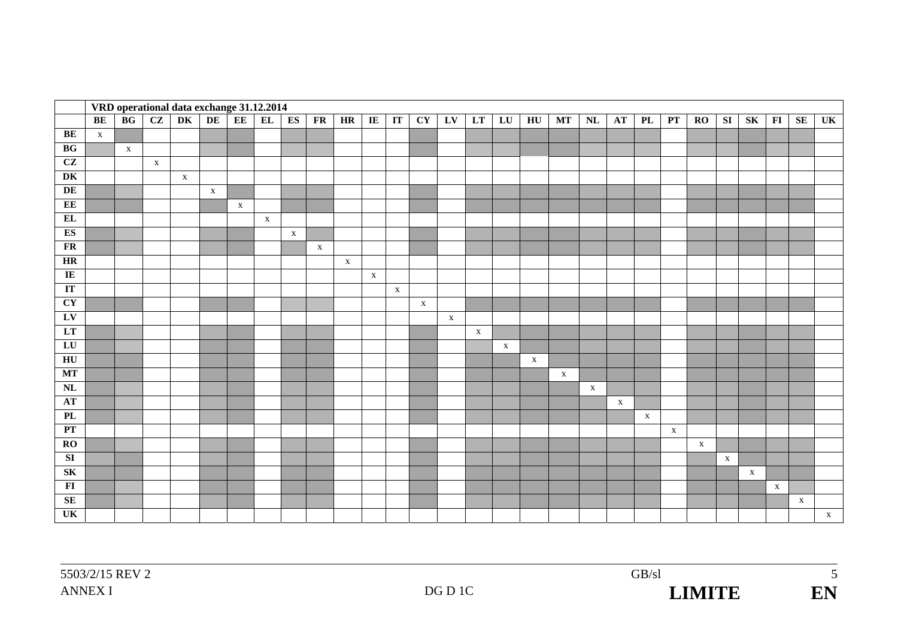|                         |             |              |              | VRD operational data exchange 31.12.2014 |             |             |              |             |             |              |              |                        |                        |              |              |                  |              |              |               |              |              |              |              |              |             |              |              |                        |
|-------------------------|-------------|--------------|--------------|------------------------------------------|-------------|-------------|--------------|-------------|-------------|--------------|--------------|------------------------|------------------------|--------------|--------------|------------------|--------------|--------------|---------------|--------------|--------------|--------------|--------------|--------------|-------------|--------------|--------------|------------------------|
|                         | <b>BE</b>   | BG           | CZ           | DK                                       | DE          | EE          | EL           | ES          | FR          | HR           | $\bf I\bf E$ | $\mathbf{I}\mathbf{T}$ | $\overline{\text{CY}}$ | LV           | LT           | ${\bf L}{\bf U}$ | HU           | <b>MT</b>    | $\mathbf{NL}$ | AT           | PL           | PT           | $\bf{RO}$    | SI           | SK          | $\bf{FI}$    | SE           | $\overline{\text{UK}}$ |
| BE                      | $\mathbf X$ |              |              |                                          |             |             |              |             |             |              |              |                        |                        |              |              |                  |              |              |               |              |              |              |              |              |             |              |              |                        |
| BG                      |             | $\mathbf{X}$ |              |                                          |             |             |              |             |             |              |              |                        |                        |              |              |                  |              |              |               |              |              |              |              |              |             |              |              |                        |
| $\overline{\text{CZ}}$  |             |              | $\mathbf{X}$ |                                          |             |             |              |             |             |              |              |                        |                        |              |              |                  |              |              |               |              |              |              |              |              |             |              |              |                        |
| DK                      |             |              |              | $\mathbf X$                              |             |             |              |             |             |              |              |                        |                        |              |              |                  |              |              |               |              |              |              |              |              |             |              |              |                        |
| DE                      |             |              |              |                                          | $\mathbf X$ |             |              |             |             |              |              |                        |                        |              |              |                  |              |              |               |              |              |              |              |              |             |              |              |                        |
| EE                      |             |              |              |                                          |             | $\mathbf X$ |              |             |             |              |              |                        |                        |              |              |                  |              |              |               |              |              |              |              |              |             |              |              |                        |
| EL                      |             |              |              |                                          |             |             | $\mathbf{X}$ |             |             |              |              |                        |                        |              |              |                  |              |              |               |              |              |              |              |              |             |              |              |                        |
| ES                      |             |              |              |                                          |             |             |              | $\mathbf X$ |             |              |              |                        |                        |              |              |                  |              |              |               |              |              |              |              |              |             |              |              |                        |
| FR                      |             |              |              |                                          |             |             |              |             | $\mathbf X$ |              |              |                        |                        |              |              |                  |              |              |               |              |              |              |              |              |             |              |              |                        |
| HR                      |             |              |              |                                          |             |             |              |             |             | $\mathbf{X}$ |              |                        |                        |              |              |                  |              |              |               |              |              |              |              |              |             |              |              |                        |
| $\overline{I}$          |             |              |              |                                          |             |             |              |             |             |              | $\mathbf{X}$ |                        |                        |              |              |                  |              |              |               |              |              |              |              |              |             |              |              |                        |
| IT                      |             |              |              |                                          |             |             |              |             |             |              |              | $\mathbf{X}$           |                        |              |              |                  |              |              |               |              |              |              |              |              |             |              |              |                        |
| CY                      |             |              |              |                                          |             |             |              |             |             |              |              |                        | $\mathbf{X}$           |              |              |                  |              |              |               |              |              |              |              |              |             |              |              |                        |
| LV                      |             |              |              |                                          |             |             |              |             |             |              |              |                        |                        | $\mathbf{X}$ |              |                  |              |              |               |              |              |              |              |              |             |              |              |                        |
| LT                      |             |              |              |                                          |             |             |              |             |             |              |              |                        |                        |              | $\mathbf{X}$ |                  |              |              |               |              |              |              |              |              |             |              |              |                        |
| LU                      |             |              |              |                                          |             |             |              |             |             |              |              |                        |                        |              |              | $\mathbf X$      |              |              |               |              |              |              |              |              |             |              |              |                        |
| HU                      |             |              |              |                                          |             |             |              |             |             |              |              |                        |                        |              |              |                  | $\mathbf{X}$ |              |               |              |              |              |              |              |             |              |              |                        |
| MT                      |             |              |              |                                          |             |             |              |             |             |              |              |                        |                        |              |              |                  |              | $\mathbf{X}$ |               |              |              |              |              |              |             |              |              |                        |
| NL                      |             |              |              |                                          |             |             |              |             |             |              |              |                        |                        |              |              |                  |              |              | $\mathbf{X}$  |              |              |              |              |              |             |              |              |                        |
| <b>AT</b>               |             |              |              |                                          |             |             |              |             |             |              |              |                        |                        |              |              |                  |              |              |               | $\mathbf{X}$ |              |              |              |              |             |              |              |                        |
| PL                      |             |              |              |                                          |             |             |              |             |             |              |              |                        |                        |              |              |                  |              |              |               |              | $\mathbf{X}$ |              |              |              |             |              |              |                        |
| PT                      |             |              |              |                                          |             |             |              |             |             |              |              |                        |                        |              |              |                  |              |              |               |              |              | $\mathbf{X}$ |              |              |             |              |              |                        |
| $\overline{RO}$         |             |              |              |                                          |             |             |              |             |             |              |              |                        |                        |              |              |                  |              |              |               |              |              |              | $\mathbf{X}$ |              |             |              |              |                        |
| $\overline{\mathbf{S}}$ |             |              |              |                                          |             |             |              |             |             |              |              |                        |                        |              |              |                  |              |              |               |              |              |              |              | $\mathbf{X}$ |             |              |              |                        |
| SK                      |             |              |              |                                          |             |             |              |             |             |              |              |                        |                        |              |              |                  |              |              |               |              |              |              |              |              | $\mathbf X$ |              |              |                        |
| $\overline{\mathbf{F}}$ |             |              |              |                                          |             |             |              |             |             |              |              |                        |                        |              |              |                  |              |              |               |              |              |              |              |              |             | $\mathbf{X}$ |              |                        |
| <b>SE</b>               |             |              |              |                                          |             |             |              |             |             |              |              |                        |                        |              |              |                  |              |              |               |              |              |              |              |              |             |              | $\mathbf{X}$ |                        |
| UK                      |             |              |              |                                          |             |             |              |             |             |              |              |                        |                        |              |              |                  |              |              |               |              |              |              |              |              |             |              |              | $\mathbf{X}$           |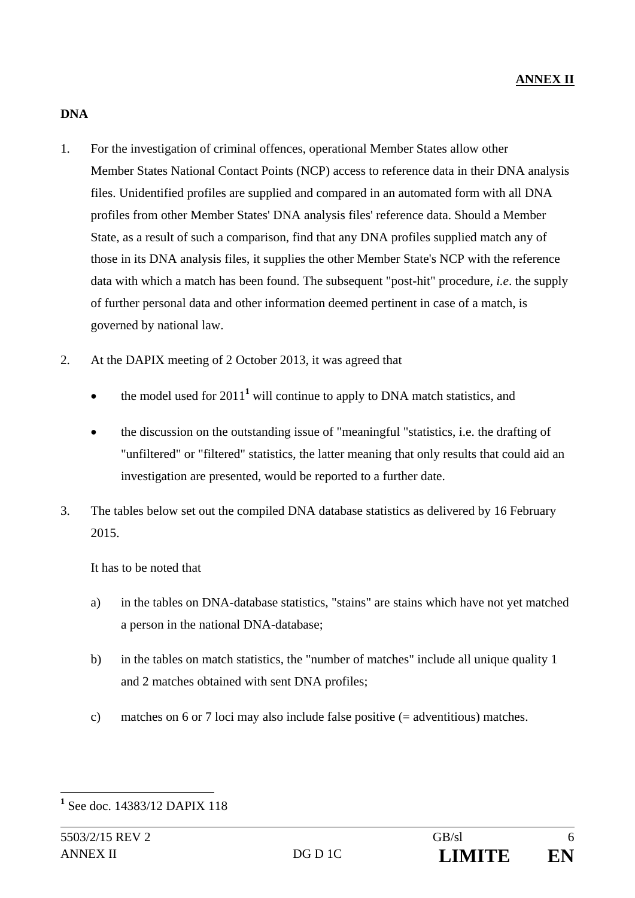#### **DNA**

- 1. For the investigation of criminal offences, operational Member States allow other Member States National Contact Points (NCP) access to reference data in their DNA analysis files. Unidentified profiles are supplied and compared in an automated form with all DNA profiles from other Member States' DNA analysis files' reference data. Should a Member State, as a result of such a comparison, find that any DNA profiles supplied match any of those in its DNA analysis files, it supplies the other Member State's NCP with the reference data with which a match has been found. The subsequent "post-hit" procedure*, i.e*. the supply of further personal data and other information deemed pertinent in case of a match, is governed by national law.
- 2. At the DAPIX meeting of 2 October 2013, it was agreed that
	- $\bullet$  the model used for 2011<sup>1</sup> will continue to apply to DNA match statistics, and
	- the discussion on the outstanding issue of "meaningful "statistics, i.e. the drafting of "unfiltered" or "filtered" statistics, the latter meaning that only results that could aid an investigation are presented, would be reported to a further date.
- 3. The tables below set out the compiled DNA database statistics as delivered by 16 February 2015.

It has to be noted that

- a) in the tables on DNA-database statistics, "stains" are stains which have not yet matched a person in the national DNA-database;
- b) in the tables on match statistics, the "number of matches" include all unique quality 1 and 2 matches obtained with sent DNA profiles;
- c) matches on 6 or 7 loci may also include false positive (= adventitious) matches.

 $\overline{a}$ **1** See doc. 14383/12 DAPIX 118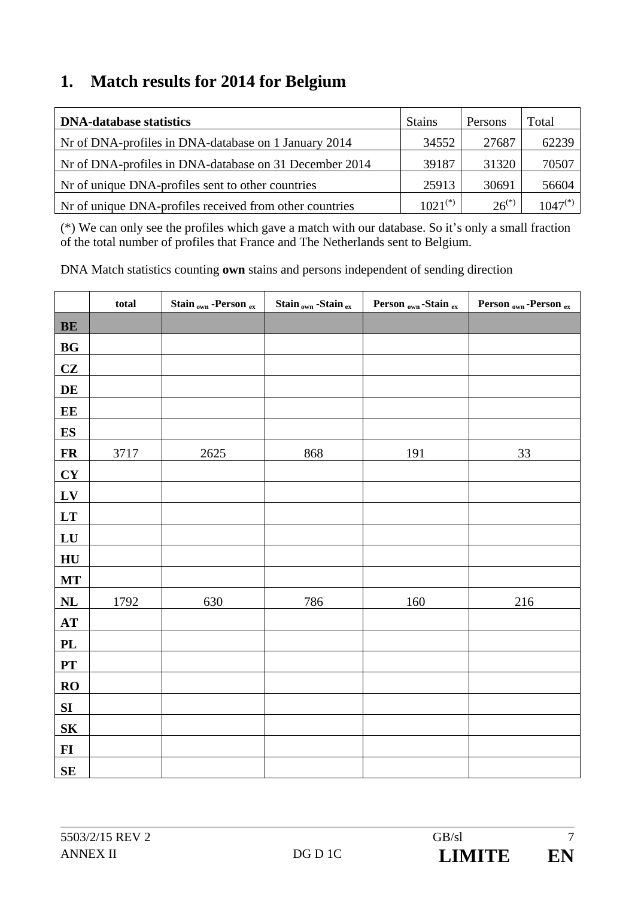### **1. Match results for 2014 for Belgium**

| <b>DNA-database statistics</b>                           | <b>Stains</b> | Persons    | Total        |
|----------------------------------------------------------|---------------|------------|--------------|
| Nr of DNA-profiles in DNA-database on 1 January 2014     | 34552         | 27687      | 62239        |
| Nr of DNA-profiles in DNA-database on 31 December 2014   | 39187         | 31320      | 70507        |
| Nr of unique DNA-profiles sent to other countries        | 25913         | 30691      | 56604        |
| Not of unique DNA-profiles received from other countries | $1021^{(*)}$  | $26^{(*)}$ | $1047^{(*)}$ |

(\*) We can only see the profiles which gave a match with our database. So it's only a small fraction of the total number of profiles that France and The Netherlands sent to Belgium.

|                | total | Stain <sub>own</sub> -Person ex | Stain <sub>own</sub> -Stain ex | Person <sub>own</sub> -Stain ex | Person <sub>own</sub> -Person ex |
|----------------|-------|---------------------------------|--------------------------------|---------------------------------|----------------------------------|
| BE             |       |                                 |                                |                                 |                                  |
| BG             |       |                                 |                                |                                 |                                  |
| CZ             |       |                                 |                                |                                 |                                  |
| DE             |       |                                 |                                |                                 |                                  |
| EE             |       |                                 |                                |                                 |                                  |
| <b>ES</b>      |       |                                 |                                |                                 |                                  |
| <b>FR</b>      | 3717  | 2625                            | 868                            | 191                             | 33                               |
| CY             |       |                                 |                                |                                 |                                  |
| LV             |       |                                 |                                |                                 |                                  |
| LT             |       |                                 |                                |                                 |                                  |
| LU             |       |                                 |                                |                                 |                                  |
| HU             |       |                                 |                                |                                 |                                  |
| <b>MT</b>      |       |                                 |                                |                                 |                                  |
| NL             | 1792  | 630                             | 786                            | 160                             | 216                              |
| AT             |       |                                 |                                |                                 |                                  |
| PL             |       |                                 |                                |                                 |                                  |
| PT             |       |                                 |                                |                                 |                                  |
| RO             |       |                                 |                                |                                 |                                  |
| SI             |       |                                 |                                |                                 |                                  |
| S <sub>K</sub> |       |                                 |                                |                                 |                                  |
| $FI$           |       |                                 |                                |                                 |                                  |
| $\mathbf{SE}$  |       |                                 |                                |                                 |                                  |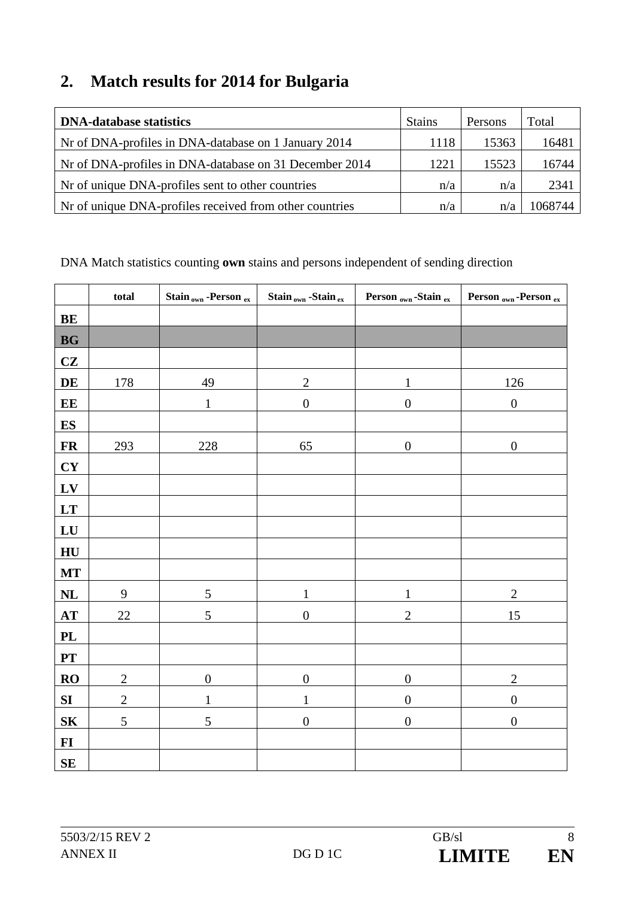## **2. Match results for 2014 for Bulgaria**

| <b>DNA-database statistics</b>                          | <b>Stains</b> | Persons | Total   |
|---------------------------------------------------------|---------------|---------|---------|
| Nr of DNA-profiles in DNA-database on 1 January 2014    | 1118          | 15363   | 16481   |
| Nr of DNA-profiles in DNA-database on 31 December 2014  | 1221          | 15523   | 16744   |
| Not of unique DNA-profiles sent to other countries      | n/a           | n/a     | 2341    |
| Nr of unique DNA-profiles received from other countries | n/a           | n/a     | 1068744 |

|                          | total          | Stain <sub>own</sub> -Person ex | Stain <sub>own</sub> -Stain ex | Person <sub>own</sub> -Stain ex | Person <sub>own</sub> -Person ex |
|--------------------------|----------------|---------------------------------|--------------------------------|---------------------------------|----------------------------------|
| BE                       |                |                                 |                                |                                 |                                  |
| <b>BG</b>                |                |                                 |                                |                                 |                                  |
| CZ                       |                |                                 |                                |                                 |                                  |
| DE                       | 178            | 49                              | $\mathbf{2}$                   |                                 | 126                              |
| E E                      |                | $\mathbf 1$                     | $\boldsymbol{0}$               | $\boldsymbol{0}$                | $\boldsymbol{0}$                 |
| $\mathbf{ES}$            |                |                                 |                                |                                 |                                  |
| $\overline{\mathbf{FR}}$ | 293            | 228                             | 65                             | $\boldsymbol{0}$                | $\boldsymbol{0}$                 |
| CY                       |                |                                 |                                |                                 |                                  |
| LV                       |                |                                 |                                |                                 |                                  |
| LT                       |                |                                 |                                |                                 |                                  |
| ${\bf L}{\bf U}$         |                |                                 |                                |                                 |                                  |
| HU                       |                |                                 |                                |                                 |                                  |
| <b>MT</b>                |                |                                 |                                |                                 |                                  |
| NL                       | 9              | 5                               | $\mathbf{1}$                   | $\mathbf{1}$                    | $\overline{2}$                   |
| AT                       | $22\,$         | 5                               | $\boldsymbol{0}$               | $\sqrt{2}$                      | 15                               |
| <b>PL</b>                |                |                                 |                                |                                 |                                  |
| PT                       |                |                                 |                                |                                 |                                  |
| RO                       | $\mathbf{2}$   | $\boldsymbol{0}$                | $\boldsymbol{0}$               | $\boldsymbol{0}$                | $\overline{2}$                   |
| SI                       | $\overline{c}$ | $\mathbf{1}$                    | $\mathbf{1}$                   | $\boldsymbol{0}$                | $\boldsymbol{0}$                 |
| S <sub>K</sub>           | $\mathfrak{S}$ | 5                               | $\boldsymbol{0}$               | $\boldsymbol{0}$                | $\boldsymbol{0}$                 |
| $\bf{FI}$                |                |                                 |                                |                                 |                                  |
| $\mathbf{SE}$            |                |                                 |                                |                                 |                                  |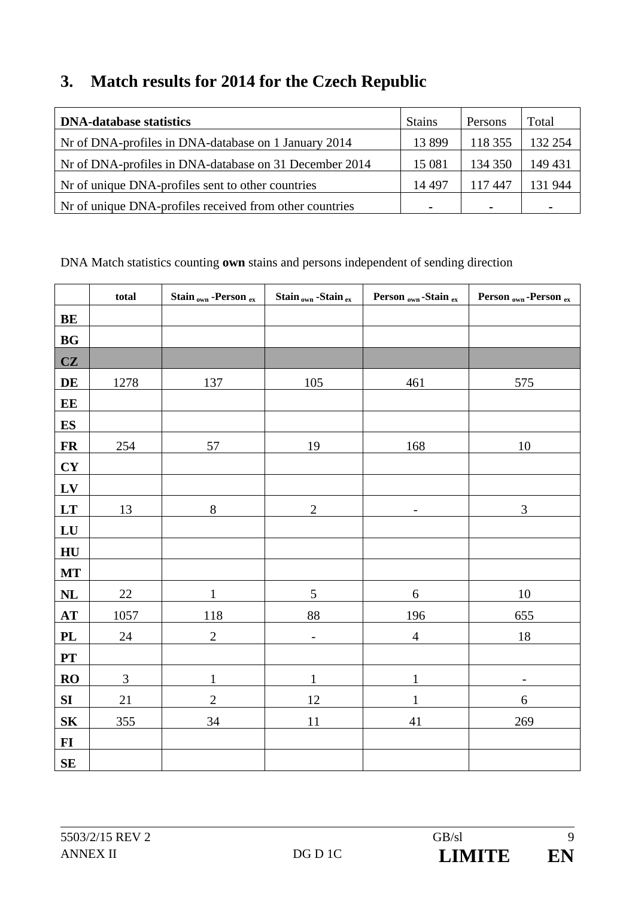### **3. Match results for 2014 for the Czech Republic**

| <b>DNA-database statistics</b>                          | <b>Stains</b>  | Persons        | Total          |
|---------------------------------------------------------|----------------|----------------|----------------|
| Nr of DNA-profiles in DNA-database on 1 January 2014    | 13899          | 118 355        | 132 254        |
| Nr of DNA-profiles in DNA-database on 31 December 2014  | 15 081         | 134 350        | 149 431        |
| Nr of unique DNA-profiles sent to other countries       | 14 4 9 7       | 117447         | 131 944        |
| Nr of unique DNA-profiles received from other countries | $\blacksquare$ | $\blacksquare$ | $\blacksquare$ |

|                  | total  | Stain <sub>own</sub> -Person ex | Stain <sub>own</sub> -Stain ex | Person <sub>own</sub> -Stain ex | Person <sub>own</sub> -Person ex |
|------------------|--------|---------------------------------|--------------------------------|---------------------------------|----------------------------------|
| BE               |        |                                 |                                |                                 |                                  |
| <b>BG</b>        |        |                                 |                                |                                 |                                  |
| CZ               |        |                                 |                                |                                 |                                  |
| DE               | 1278   | 137                             | 105                            | 461                             | 575                              |
| EE               |        |                                 |                                |                                 |                                  |
| <b>ES</b>        |        |                                 |                                |                                 |                                  |
| <b>FR</b>        | 254    | 57                              | 19                             | 168                             | $10\,$                           |
| CY               |        |                                 |                                |                                 |                                  |
| LV               |        |                                 |                                |                                 |                                  |
| LT               | 13     | $8\,$                           | $\overline{2}$                 | $\overline{\phantom{0}}$        | 3                                |
| LU               |        |                                 |                                |                                 |                                  |
| HU               |        |                                 |                                |                                 |                                  |
| <b>MT</b>        |        |                                 |                                |                                 |                                  |
| $\bf NL$         | $22\,$ | $\mathbf{1}$                    | 5                              | $\sqrt{6}$                      | $10\,$                           |
| AT               | 1057   | 118                             | 88                             | 196                             | $\underline{655}$                |
| <b>PL</b>        | 24     | $\overline{2}$                  | $\overline{a}$                 | $\overline{4}$                  | 18                               |
| PT               |        |                                 |                                |                                 |                                  |
| RO               | 3      | $\mathbf{1}$                    | $\mathbf{1}$                   | $\mathbf{1}$                    | $\qquad \qquad -$                |
| SI               | 21     | $\overline{2}$                  | 12                             | 1                               | 6                                |
| ${\bf S}{\bf K}$ | 355    | 34                              | 11                             | 41                              | 269                              |
| $\bf{FI}$        |        |                                 |                                |                                 |                                  |
| $\mathbf{SE}$    |        |                                 |                                |                                 |                                  |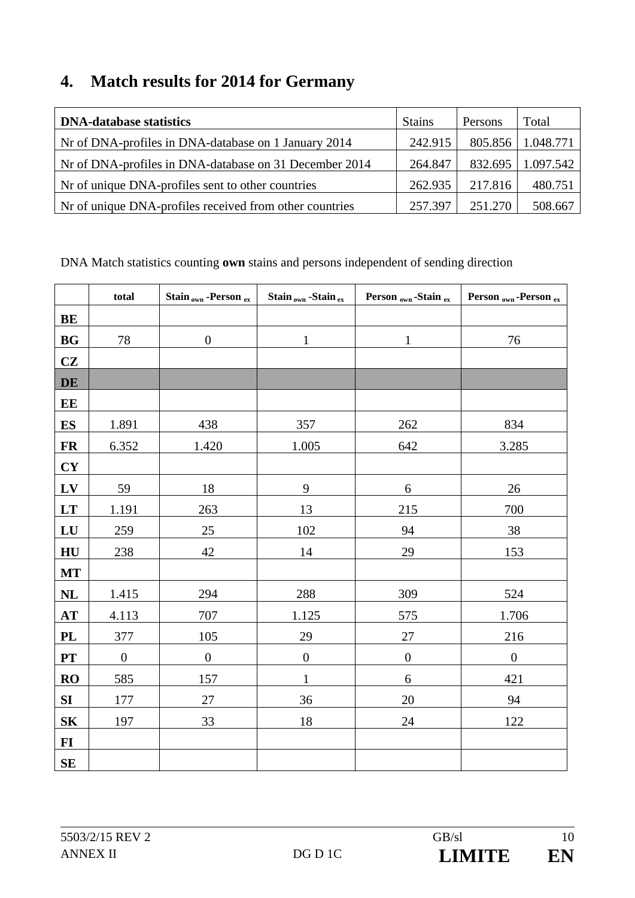## **4. Match results for 2014 for Germany**

| <b>DNA-database statistics</b>                           | <b>Stains</b> | Persons | Total     |
|----------------------------------------------------------|---------------|---------|-----------|
| Nr of DNA-profiles in DNA-database on 1 January 2014     | 242.915       | 805.856 | 1.048.771 |
| Nr of DNA-profiles in DNA-database on 31 December 2014   | 264.847       | 832.695 | 1.097.542 |
| Not of unique DNA-profiles sent to other countries       | 262.935       | 217.816 | 480.751   |
| Not of unique DNA-profiles received from other countries | 257.397       | 251.270 | 508.667   |

|                | total            | Stain <sub>own</sub> -Person ex | Stain <sub>own</sub> -Stain ex | Person <sub>own</sub> -Stain ex | Person <sub>own</sub> -Person ex |
|----------------|------------------|---------------------------------|--------------------------------|---------------------------------|----------------------------------|
| BE             |                  |                                 |                                |                                 |                                  |
| BG             | 78               | $\boldsymbol{0}$                | $\mathbf{1}$                   | $\mathbf{1}$                    | 76                               |
| CZ             |                  |                                 |                                |                                 |                                  |
| <b>DE</b>      |                  |                                 |                                |                                 |                                  |
| EE             |                  |                                 |                                |                                 |                                  |
| <b>ES</b>      | 1.891            | 438                             | 357                            | 262                             | 834                              |
| <b>FR</b>      | 6.352            | 1.420                           | 1.005                          | 642                             | 3.285                            |
| CY             |                  |                                 |                                |                                 |                                  |
| LV             | 59               | 18                              | 9                              | $\sqrt{6}$                      | 26                               |
| LT             | 1.191            | 263                             | 13                             | 215                             | 700                              |
| LU             | 259              | 25                              | 102                            | 94                              | 38                               |
| HU             | 238              | 42                              | 14                             | 29                              | 153                              |
| <b>MT</b>      |                  |                                 |                                |                                 |                                  |
| <b>NL</b>      | 1.415            | 294                             | 288                            | 309                             | 524                              |
| AT             | 4.113            | 707                             | 1.125                          | 575                             | 1.706                            |
| <b>PL</b>      | 377              | 105                             | 29                             | 27                              | 216                              |
| PT             | $\boldsymbol{0}$ | $\boldsymbol{0}$                | $\boldsymbol{0}$               | $\boldsymbol{0}$                | $\boldsymbol{0}$                 |
| <b>RO</b>      | 585              | 157                             | $\mathbf{1}$                   | 6                               | 421                              |
| SI             | 177              | 27                              | 36                             | 20                              | 94                               |
| S <sub>K</sub> | 197              | 33                              | 18                             | 24                              | 122                              |
| $\bf{FI}$      |                  |                                 |                                |                                 |                                  |
| SE             |                  |                                 |                                |                                 |                                  |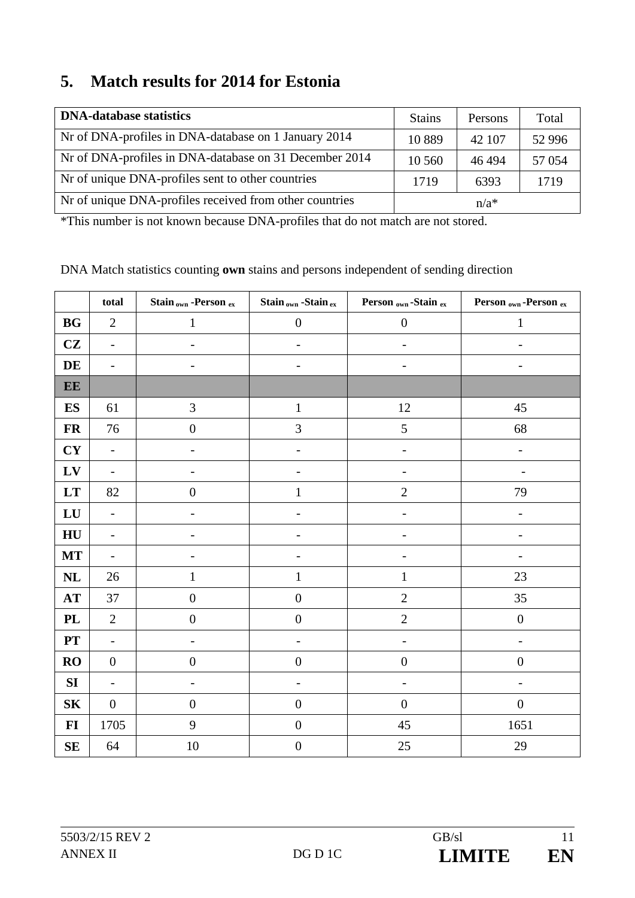### **5. Match results for 2014 for Estonia**

| <b>DNA-database statistics</b>                          | <b>Stains</b> | Persons | Total    |
|---------------------------------------------------------|---------------|---------|----------|
| Nr of DNA-profiles in DNA-database on 1 January 2014    | 10 8 89       | 42 107  | 52 9 9 6 |
| Nr of DNA-profiles in DNA-database on 31 December 2014  | 10 560        | 46494   | 57 0 54  |
| Not of unique DNA-profiles sent to other countries      | 1719          | 6393    | 1719     |
| Nr of unique DNA-profiles received from other countries |               | $n/a*$  |          |

\*This number is not known because DNA-profiles that do not match are not stored.

|                | total                    | Stain <sub>own</sub> -Person ex | Stain <sub>own</sub> -Stain ex | Person <sub>own</sub> -Stain ex | Person <sub>own</sub> -Person ex |
|----------------|--------------------------|---------------------------------|--------------------------------|---------------------------------|----------------------------------|
| <b>BG</b>      | $\overline{2}$           | $\mathbf{1}$                    | $\boldsymbol{0}$               | $\boldsymbol{0}$                | $\mathbf{1}$                     |
| CZ             | $\overline{\phantom{a}}$ | $\overline{\phantom{a}}$        | $\overline{\phantom{a}}$       | $\overline{\phantom{a}}$        | $\overline{a}$                   |
| DE             | $\overline{\phantom{m}}$ | $\overline{\phantom{a}}$        | $\overline{\phantom{0}}$       | $\overline{\phantom{0}}$        | $\overline{\phantom{0}}$         |
| EE             |                          |                                 |                                |                                 |                                  |
| <b>ES</b>      | 61                       | 3                               | $\mathbf 1$                    | 12                              | 45                               |
| <b>FR</b>      | 76                       | $\boldsymbol{0}$                | 3                              | 5                               | 68                               |
| CY             | $\qquad \qquad -$        |                                 |                                |                                 | $\overline{\phantom{0}}$         |
| $L$ V          | $\overline{\phantom{a}}$ |                                 |                                |                                 |                                  |
| LT             | 82                       | $\boldsymbol{0}$                | $\mathbf{1}$                   | $\overline{2}$                  | 79                               |
| LU             | $\blacksquare$           |                                 |                                |                                 |                                  |
| HU             | $\overline{\phantom{a}}$ |                                 |                                |                                 |                                  |
| <b>MT</b>      | $\overline{\phantom{a}}$ |                                 | $\qquad \qquad \blacksquare$   | $\overline{a}$                  | $\overline{\phantom{0}}$         |
| NL             | 26                       | $\mathbf{1}$                    | $\mathbf 1$                    | $\mathbf{1}$                    | 23                               |
| $\bf AT$       | 37                       | $\boldsymbol{0}$                | $\overline{0}$                 | $\overline{2}$                  | 35                               |
| $\mathbf{PL}$  | $\sqrt{2}$               | $\boldsymbol{0}$                | $\boldsymbol{0}$               | $\sqrt{2}$                      | $\boldsymbol{0}$                 |
| PT             | $\overline{\phantom{a}}$ | $\overline{\phantom{a}}$        | $\overline{\phantom{m}}$       | $\qquad \qquad -$               | $\overline{a}$                   |
| <b>RO</b>      | $\boldsymbol{0}$         | $\boldsymbol{0}$                | $\boldsymbol{0}$               | $\boldsymbol{0}$                | $\boldsymbol{0}$                 |
| SI             | $\qquad \qquad -$        |                                 |                                |                                 | $\qquad \qquad -$                |
| S <sub>K</sub> | $\boldsymbol{0}$         | $\boldsymbol{0}$                | $\boldsymbol{0}$               | $\boldsymbol{0}$                | $\boldsymbol{0}$                 |
| $FI$           | 1705                     | 9                               | $\boldsymbol{0}$               | 45                              | 1651                             |
| SE             | 64                       | 10                              | $\boldsymbol{0}$               | $25\,$                          | 29                               |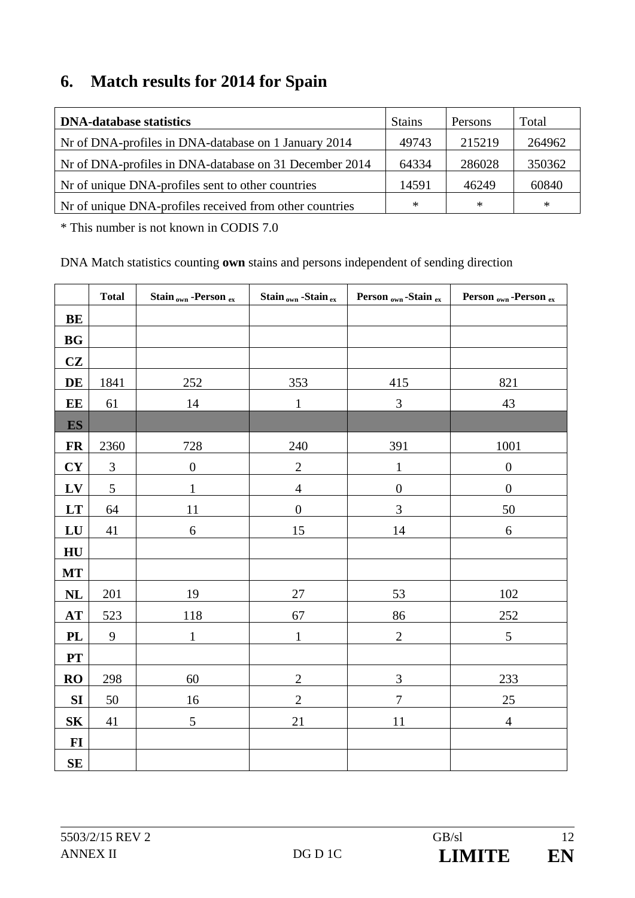### **6. Match results for 2014 for Spain**

| <b>DNA-database statistics</b>                          | <b>Stains</b> | Persons | Total  |
|---------------------------------------------------------|---------------|---------|--------|
| Nr of DNA-profiles in DNA-database on 1 January 2014    | 49743         | 215219  | 264962 |
| Nr of DNA-profiles in DNA-database on 31 December 2014  | 64334         | 286028  | 350362 |
| Not of unique DNA-profiles sent to other countries      | 14591         | 46249   | 60840  |
| Nr of unique DNA-profiles received from other countries | ∗             | $\ast$  | ∗      |

\* This number is not known in CODIS 7.0

|                | <b>Total</b>   | Stain <sub>own</sub> -Person ex | Stain <sub>own</sub> -Stain ex | Person <sub>own</sub> -Stain ex | Person <sub>own</sub> -Person ex |
|----------------|----------------|---------------------------------|--------------------------------|---------------------------------|----------------------------------|
| <b>BE</b>      |                |                                 |                                |                                 |                                  |
| <b>BG</b>      |                |                                 |                                |                                 |                                  |
| CZ             |                |                                 |                                |                                 |                                  |
| DE             | 1841           | 252                             | 353                            | 415                             | 821                              |
| EE             | 61             | $14\,$                          | $\mathbf{1}$                   | $\mathfrak{Z}$                  | 43                               |
| <b>ES</b>      |                |                                 |                                |                                 |                                  |
| <b>FR</b>      | 2360           | 728                             | 240                            | 391                             | 1001                             |
| <b>CY</b>      | $\mathfrak{Z}$ | $\boldsymbol{0}$                | $\overline{2}$                 | $\mathbf{1}$                    | $\boldsymbol{0}$                 |
| LV             | $\mathfrak{S}$ | $\mathbf{1}$                    | $\overline{4}$                 | $\boldsymbol{0}$                | $\boldsymbol{0}$                 |
| LT             | 64             | 11                              | $\overline{0}$                 | 3                               | 50                               |
| LU             | 41             | $\sqrt{6}$                      | 15                             | $14\,$                          | $\sqrt{6}$                       |
| HU             |                |                                 |                                |                                 |                                  |
| MT             |                |                                 |                                |                                 |                                  |
| NL             | 201            | 19                              | $27\,$                         | 53                              | $102\,$                          |
| AT             | 523            | 118                             | 67                             | 86                              | 252                              |
| PL             | 9              | $\mathbf{1}$                    | $\mathbf{1}$                   | $\overline{2}$                  | $\sqrt{5}$                       |
| PT             |                |                                 |                                |                                 |                                  |
| <b>RO</b>      | 298            | 60                              | $\overline{2}$                 | $\mathfrak{Z}$                  | 233                              |
| SI             | 50             | 16                              | $\overline{2}$                 | $\overline{7}$                  | $25\,$                           |
| S <sub>K</sub> | 41             | 5                               | 21                             | $11\,$                          | $\overline{4}$                   |
| $\bf{FI}$      |                |                                 |                                |                                 |                                  |
| SE             |                |                                 |                                |                                 |                                  |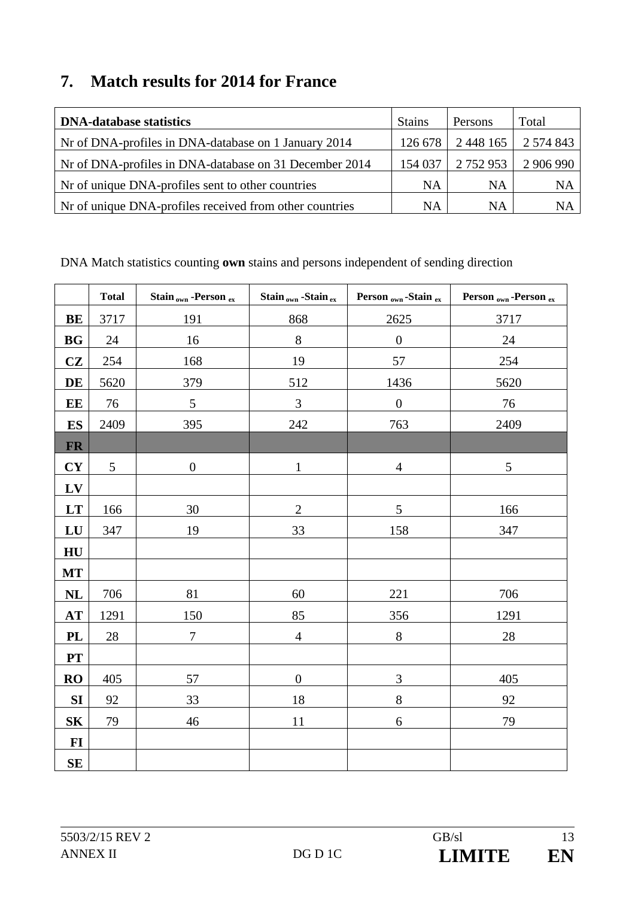### **7. Match results for 2014 for France**

| <b>DNA-database statistics</b>                          | <b>Stains</b> | Persons       | Total     |
|---------------------------------------------------------|---------------|---------------|-----------|
| Nr of DNA-profiles in DNA-database on 1 January 2014    | 126 678       | 2 448 165     | 2 574 843 |
| Nr of DNA-profiles in DNA-database on 31 December 2014  | 154 037       | 2 7 5 2 9 5 3 | 2 906 990 |
| Not of unique DNA-profiles sent to other countries      | NA            | <b>NA</b>     | <b>NA</b> |
| Nr of unique DNA-profiles received from other countries | NA            | <b>NA</b>     | <b>NA</b> |

|           | <b>Total</b> | Stain <sub>own</sub> -Person ex | Stain <sub>own</sub> -Stain ex | Person <sub>own</sub> -Stain ex | Person <sub>own</sub> -Person ex |
|-----------|--------------|---------------------------------|--------------------------------|---------------------------------|----------------------------------|
| BE        | 3717         | 191                             | 868                            | 2625                            | 3717                             |
| <b>BG</b> | 24           | 16                              | $8\,$                          | $\boldsymbol{0}$                | 24                               |
| CZ        | 254          | 168                             | 19                             | 57                              | 254                              |
| DE        | 5620         | 379                             | 512                            | 1436                            | 5620                             |
| EE        | 76           | $\sqrt{5}$                      | 3                              | $\boldsymbol{0}$                | 76                               |
| <b>ES</b> | 2409         | 395                             | 242                            | 763                             | 2409                             |
| <b>FR</b> |              |                                 |                                |                                 |                                  |
| CY        | 5            | $\boldsymbol{0}$                | $\mathbf{1}$                   | $\overline{4}$                  | 5                                |
| LV        |              |                                 |                                |                                 |                                  |
| LT        | 166          | 30                              | $\overline{2}$                 | 5                               | 166                              |
| LU        | 347          | 19                              | 33                             | 158                             | 347                              |
| HU        |              |                                 |                                |                                 |                                  |
| <b>MT</b> |              |                                 |                                |                                 |                                  |
| <b>NL</b> | 706          | 81                              | 60                             | 221                             | 706                              |
| AT        | 1291         | 150                             | 85                             | 356                             | 1291                             |
| PL        | 28           | $\boldsymbol{7}$                | $\overline{4}$                 | $8\,$                           | 28                               |
| <b>PT</b> |              |                                 |                                |                                 |                                  |
| <b>RO</b> | 405          | 57                              | $\boldsymbol{0}$               | 3                               | 405                              |
| SI        | 92           | 33                              | 18                             | 8                               | 92                               |
| <b>SK</b> | 79           | 46                              | 11                             | 6                               | 79                               |
| $FI$      |              |                                 |                                |                                 |                                  |
| SE        |              |                                 |                                |                                 |                                  |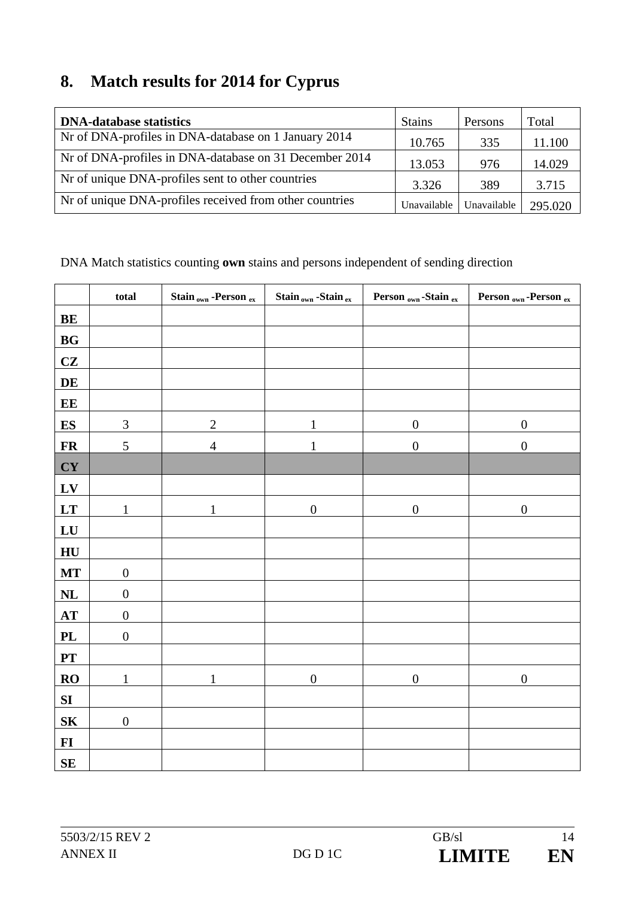## **8. Match results for 2014 for Cyprus**

| <b>DNA-database statistics</b>                          | <b>Stains</b> | Persons     | Total   |
|---------------------------------------------------------|---------------|-------------|---------|
| Nr of DNA-profiles in DNA-database on 1 January 2014    | 10.765        | 335         | 11.100  |
| Nr of DNA-profiles in DNA-database on 31 December 2014  | 13.053        | 976         | 14.029  |
| Not of unique DNA-profiles sent to other countries      | 3.326         | 389         | 3.715   |
| Nr of unique DNA-profiles received from other countries | Unavailable   | Unavailable | 295.020 |

|                  | total                       | Stain <sub>own</sub> -Person ex | Stain $_{\rm own}$ -Stain $_{\rm ex}$ | Person <sub>own</sub> -Stain ex | Person <sub>own</sub> -Person ex |
|------------------|-----------------------------|---------------------------------|---------------------------------------|---------------------------------|----------------------------------|
| BE               |                             |                                 |                                       |                                 |                                  |
| BG               |                             |                                 |                                       |                                 |                                  |
| CZ               |                             |                                 |                                       |                                 |                                  |
| DE               |                             |                                 |                                       |                                 |                                  |
| EE               |                             |                                 |                                       |                                 |                                  |
| <b>ES</b>        | $\ensuremath{\mathfrak{Z}}$ | $\overline{c}$                  | $\mathbf{1}$                          | $\boldsymbol{0}$                | $\boldsymbol{0}$                 |
| <b>FR</b>        | $\mathfrak s$               | $\overline{4}$                  | $\mathbf{1}$                          | $\boldsymbol{0}$                | $\boldsymbol{0}$                 |
| <b>CY</b>        |                             |                                 |                                       |                                 |                                  |
| $L$ V            |                             |                                 |                                       |                                 |                                  |
| LT               | $\mathbf{1}$                | $\mathbf{1}$                    | $\boldsymbol{0}$                      | $\boldsymbol{0}$                | $\boldsymbol{0}$                 |
| LU               |                             |                                 |                                       |                                 |                                  |
| HU               |                             |                                 |                                       |                                 |                                  |
| <b>MT</b>        | $\boldsymbol{0}$            |                                 |                                       |                                 |                                  |
| NL               | $\boldsymbol{0}$            |                                 |                                       |                                 |                                  |
| AT               | $\boldsymbol{0}$            |                                 |                                       |                                 |                                  |
| PL               | $\boldsymbol{0}$            |                                 |                                       |                                 |                                  |
| ${\bf PT}$       |                             |                                 |                                       |                                 |                                  |
| RO               | $\mathbf{1}$                | $\mathbf{1}$                    | $\boldsymbol{0}$                      | $\boldsymbol{0}$                | $\boldsymbol{0}$                 |
| ${\bf S}{\bf I}$ |                             |                                 |                                       |                                 |                                  |
| ${\bf S}{\bf K}$ | $\boldsymbol{0}$            |                                 |                                       |                                 |                                  |
| $FI$             |                             |                                 |                                       |                                 |                                  |
| $\mathbf{SE}$    |                             |                                 |                                       |                                 |                                  |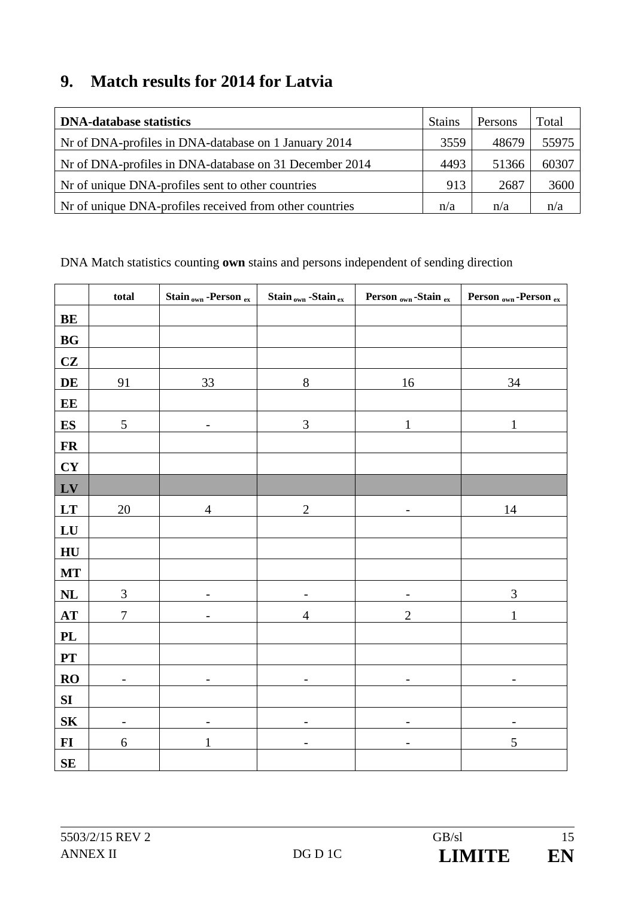### **9. Match results for 2014 for Latvia**

| <b>DNA-database statistics</b>                          | <b>Stains</b> | Persons | Total |
|---------------------------------------------------------|---------------|---------|-------|
| Nr of DNA-profiles in DNA-database on 1 January 2014    | 3559          | 48679   | 55975 |
| Nr of DNA-profiles in DNA-database on 31 December 2014  | 4493          | 51366   | 60307 |
| Not of unique DNA-profiles sent to other countries      | 913           | 2687    | 3600  |
| Nr of unique DNA-profiles received from other countries | n/a           | n/a     | n/a   |

|                  | total                    | Stain <sub>own</sub> -Person ex | Stain <sub>own</sub> -Stain ex | Person <sub>own</sub> -Stain ex | Person <sub>own</sub> -Person ex |
|------------------|--------------------------|---------------------------------|--------------------------------|---------------------------------|----------------------------------|
| $\mathbf{BE}$    |                          |                                 |                                |                                 |                                  |
| BG               |                          |                                 |                                |                                 |                                  |
| CZ               |                          |                                 |                                |                                 |                                  |
| DE               | 91                       | 33                              | $8\,$                          | 16                              | 34                               |
| E E              |                          |                                 |                                |                                 |                                  |
| $\mathbf{ES}$    | $\mathfrak{S}$           | -                               | $\mathfrak{Z}$                 | $\mathbf{1}$                    | 1                                |
| <b>FR</b>        |                          |                                 |                                |                                 |                                  |
| CY               |                          |                                 |                                |                                 |                                  |
| LV               |                          |                                 |                                |                                 |                                  |
| LT               | $20\,$                   | $\overline{4}$                  | $\sqrt{2}$                     | $\overline{\phantom{a}}$        | 14                               |
| ${\bf L}{\bf U}$ |                          |                                 |                                |                                 |                                  |
| HU               |                          |                                 |                                |                                 |                                  |
| <b>MT</b>        |                          |                                 |                                |                                 |                                  |
| $\bf NL$         | $\mathfrak{Z}$           |                                 |                                |                                 | $\mathfrak{Z}$                   |
| AT               | $\overline{7}$           |                                 | $\overline{4}$                 | $\mathbf{2}$                    | $\mathbf{1}$                     |
| <b>PL</b>        |                          |                                 |                                |                                 |                                  |
| PT               |                          |                                 |                                |                                 |                                  |
| RO               | -                        | $\overline{\phantom{0}}$        | -                              |                                 |                                  |
| SI               |                          |                                 |                                |                                 |                                  |
| S <sub>K</sub>   | $\overline{\phantom{0}}$ | -                               | -                              |                                 |                                  |
| $\bf{FI}$        | 6                        | 1                               |                                | $\overline{\phantom{0}}$        | 5                                |
| ${\bf SE}$       |                          |                                 |                                |                                 |                                  |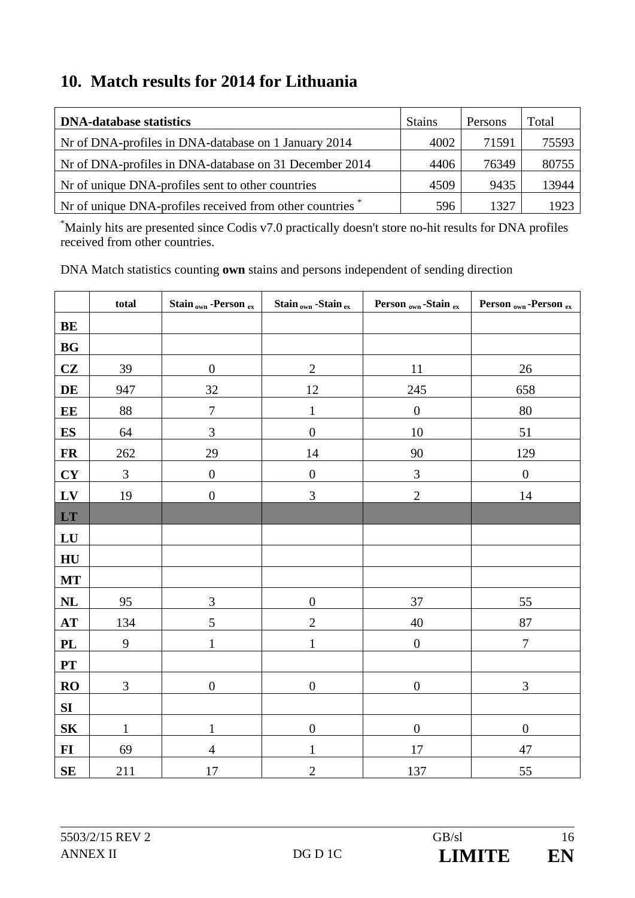### **10. Match results for 2014 for Lithuania**

| <b>DNA-database statistics</b>                          | <b>Stains</b> | Persons | Total |
|---------------------------------------------------------|---------------|---------|-------|
| Nr of DNA-profiles in DNA-database on 1 January 2014    | 4002          | 71591   | 75593 |
| Nr of DNA-profiles in DNA-database on 31 December 2014  | 4406          | 76349   | 80755 |
| Nr of unique DNA-profiles sent to other countries       | 4509          | 9435    | 13944 |
| Nr of unique DNA-profiles received from other countries | 596           | 1327    | 1923  |

\* Mainly hits are presented since Codis v7.0 practically doesn't store no-hit results for DNA profiles received from other countries.

|                | total            | Stain <sub>own</sub> -Person ex | Stain <sub>own</sub> -Stain ex | Person <sub>own</sub> -Stain ex | Person <sub>own</sub> -Person ex |
|----------------|------------------|---------------------------------|--------------------------------|---------------------------------|----------------------------------|
| <b>BE</b>      |                  |                                 |                                |                                 |                                  |
| BG             |                  |                                 |                                |                                 |                                  |
| CZ             | 39               | $\boldsymbol{0}$                | $\sqrt{2}$                     | 11                              | $26\,$                           |
| DE             | 947              | 32                              | 12                             | 245                             | 658                              |
| EE             | $88\,$           | $\boldsymbol{7}$                | $\mathbf{1}$                   | $\boldsymbol{0}$                | $80\,$                           |
| <b>ES</b>      | 64               | $\mathfrak{Z}$                  | $\boldsymbol{0}$               | 10                              | 51                               |
| <b>FR</b>      | 262              | 29                              | 14                             | 90                              | 129                              |
| <b>CY</b>      | $\mathfrak{Z}$   | $\boldsymbol{0}$                | $\boldsymbol{0}$               | $\mathfrak{Z}$                  | $\boldsymbol{0}$                 |
| LV             | 19               | $\boldsymbol{0}$                | 3                              | $\overline{2}$                  | 14                               |
| LT             |                  |                                 |                                |                                 |                                  |
| LU             |                  |                                 |                                |                                 |                                  |
| HU             |                  |                                 |                                |                                 |                                  |
| <b>MT</b>      |                  |                                 |                                |                                 |                                  |
| NL             | 95               | 3                               | $\boldsymbol{0}$               | 37                              | 55                               |
| AT             | 134              | 5                               | $\overline{2}$                 | 40                              | 87                               |
| <b>PL</b>      | $\boldsymbol{9}$ | $\mathbf{1}$                    | 1                              | $\boldsymbol{0}$                | $\boldsymbol{7}$                 |
| PT             |                  |                                 |                                |                                 |                                  |
| <b>RO</b>      | $\mathfrak{Z}$   | $\boldsymbol{0}$                | $\boldsymbol{0}$               | $\boldsymbol{0}$                | 3                                |
| SI             |                  |                                 |                                |                                 |                                  |
| S <sub>K</sub> | $\mathbf{1}$     | $\mathbf{1}$                    | $\boldsymbol{0}$               | $\boldsymbol{0}$                | $\boldsymbol{0}$                 |
| $FI$           | 69               | $\overline{4}$                  | $\mathbf{1}$                   | 17                              | 47                               |
| <b>SE</b>      | 211              | 17                              | $\overline{2}$                 | 137                             | 55                               |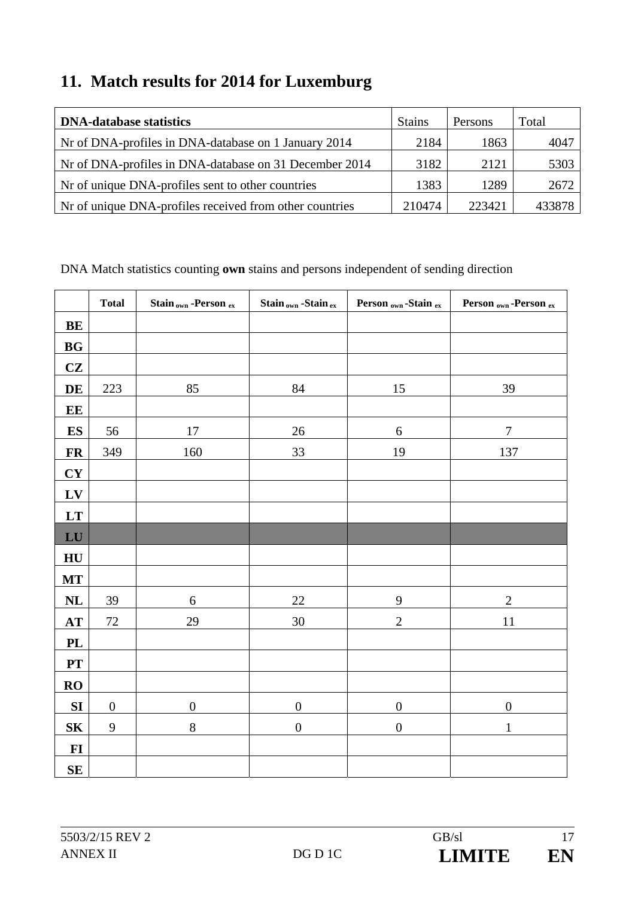## **11. Match results for 2014 for Luxemburg**

| <b>DNA-database statistics</b>                          | <b>Stains</b> | Persons | Total  |
|---------------------------------------------------------|---------------|---------|--------|
| Nr of DNA-profiles in DNA-database on 1 January 2014    | 2184          | 1863    | 4047   |
| Nr of DNA-profiles in DNA-database on 31 December 2014  | 3182          | 2121    | 5303   |
| Not of unique DNA-profiles sent to other countries      | 1383          | 1289    | 2672   |
| Nr of unique DNA-profiles received from other countries | 210474        | 223421  | 433878 |

|                  | <b>Total</b>     | Stain <sub>own</sub> -Person ex | Stain <sub>own</sub> -Stain ex | Person <sub>own</sub> -Stain ex | Person <sub>own</sub> -Person ex |
|------------------|------------------|---------------------------------|--------------------------------|---------------------------------|----------------------------------|
| BE               |                  |                                 |                                |                                 |                                  |
| BG               |                  |                                 |                                |                                 |                                  |
| CZ               |                  |                                 |                                |                                 |                                  |
| DE               | 223              | 85                              | 84                             | 15                              | 39                               |
| EE               |                  |                                 |                                |                                 |                                  |
| $\mathbf{ES}$    | 56               | $17\,$                          | 26                             | $\sqrt{6}$                      | $\boldsymbol{7}$                 |
| ${\bf FR}$       | 349              | 160                             | 33                             | 19                              | 137                              |
| CY               |                  |                                 |                                |                                 |                                  |
| LV               |                  |                                 |                                |                                 |                                  |
| LT               |                  |                                 |                                |                                 |                                  |
| ${\bf L}{\bf U}$ |                  |                                 |                                |                                 |                                  |
| HU               |                  |                                 |                                |                                 |                                  |
| MT               |                  |                                 |                                |                                 |                                  |
| $\mathbf{NL}$    | 39               | $\sqrt{6}$                      | $22\,$                         | 9                               | $\overline{2}$                   |
| $\bf AT$         | 72               | 29                              | $30\,$                         | $\overline{2}$                  | 11                               |
| PL               |                  |                                 |                                |                                 |                                  |
| PT               |                  |                                 |                                |                                 |                                  |
| <b>RO</b>        |                  |                                 |                                |                                 |                                  |
| ${\bf SI}$       | $\boldsymbol{0}$ | $\boldsymbol{0}$                | $\boldsymbol{0}$               | $\boldsymbol{0}$                | $\boldsymbol{0}$                 |
| S <sub>K</sub>   | $\mathbf{9}$     | $8\,$                           | $\boldsymbol{0}$               | $\boldsymbol{0}$                | $\mathbf{1}$                     |
| $FI$             |                  |                                 |                                |                                 |                                  |
| ${\bf SE}$       |                  |                                 |                                |                                 |                                  |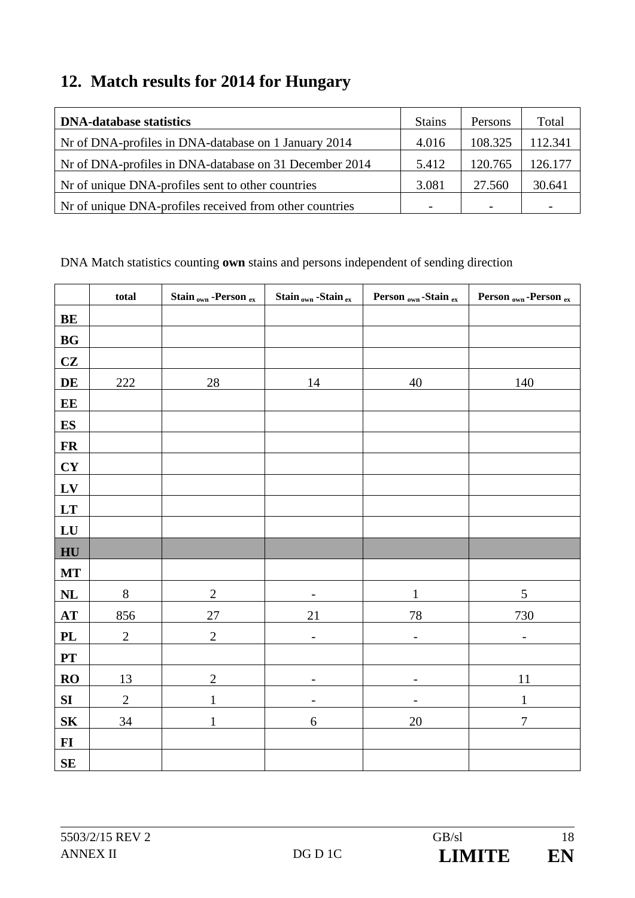## **12. Match results for 2014 for Hungary**

| <b>DNA-database statistics</b>                           | <b>Stains</b> | Persons | Total   |
|----------------------------------------------------------|---------------|---------|---------|
| Nr of DNA-profiles in DNA-database on 1 January 2014     | 4.016         | 108.325 | 112.341 |
| Nr of DNA-profiles in DNA-database on 31 December 2014   | 5.412         | 120.765 | 126.177 |
| Nr of unique DNA-profiles sent to other countries        | 3.081         | 27.560  | 30.641  |
| Not of unique DNA-profiles received from other countries |               |         |         |

|                  | total        | Stain <sub>own</sub> -Person ex | Stain <sub>own</sub> -Stain ex | Person <sub>own</sub> -Stain ex | Person <sub>own</sub> -Person ex |
|------------------|--------------|---------------------------------|--------------------------------|---------------------------------|----------------------------------|
| BE               |              |                                 |                                |                                 |                                  |
| BG               |              |                                 |                                |                                 |                                  |
| CZ               |              |                                 |                                |                                 |                                  |
| DE               | $222\,$      | 28                              | 14                             | 40                              | 140                              |
| EE               |              |                                 |                                |                                 |                                  |
| <b>ES</b>        |              |                                 |                                |                                 |                                  |
| <b>FR</b>        |              |                                 |                                |                                 |                                  |
| CY               |              |                                 |                                |                                 |                                  |
| $L$ V            |              |                                 |                                |                                 |                                  |
| <b>LT</b>        |              |                                 |                                |                                 |                                  |
| ${\bf L}{\bf U}$ |              |                                 |                                |                                 |                                  |
| HU               |              |                                 |                                |                                 |                                  |
| MT               |              |                                 |                                |                                 |                                  |
| $\mathbf{NL}$    | $8\,$        | $\sqrt{2}$                      |                                | $\mathbf{1}$                    | 5                                |
| AT               | 856          | 27                              | 21                             | $78\,$                          | 730                              |
| PL               | $\mathbf{2}$ | $\sqrt{2}$                      | $\overline{a}$                 | $\overline{\phantom{0}}$        | $\overline{\phantom{0}}$         |
| ${\bf PT}$       |              |                                 |                                |                                 |                                  |
| RO               | 13           | $\overline{2}$                  |                                | $\overline{a}$                  | 11                               |
| SI               | $\sqrt{2}$   | $\mathbf{1}$                    |                                |                                 | $\mathbf{1}$                     |
| S <sub>K</sub>   | 34           | $\mathbf{1}$                    | $\sqrt{6}$                     | $20\,$                          | $\overline{7}$                   |
| $\mathbf{F}$     |              |                                 |                                |                                 |                                  |
| $\mathbf{SE}$    |              |                                 |                                |                                 |                                  |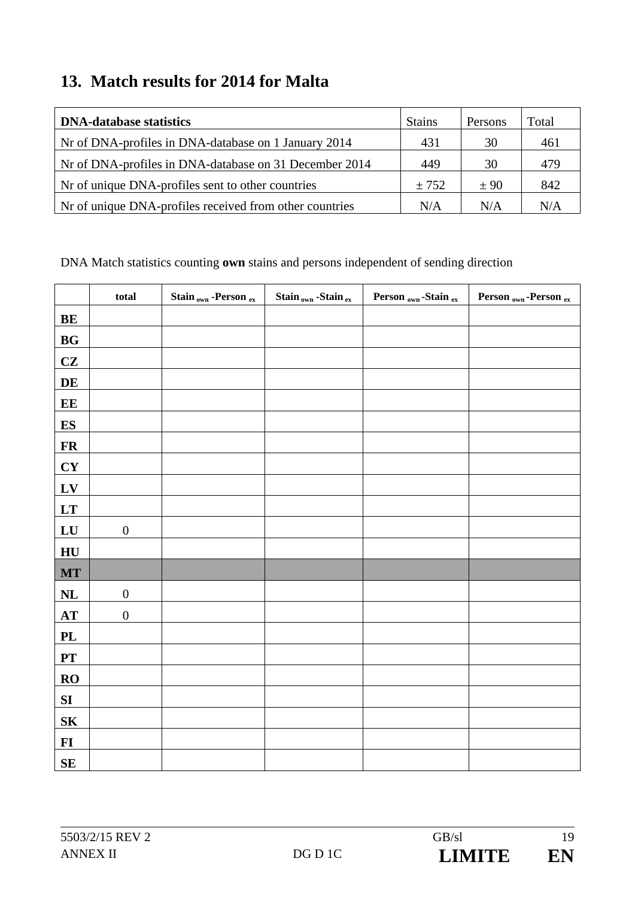### **13. Match results for 2014 for Malta**

| <b>DNA-database statistics</b>                           | <b>Stains</b> | Persons | Total |
|----------------------------------------------------------|---------------|---------|-------|
| Nr of DNA-profiles in DNA-database on 1 January 2014     | 431           | 30      | 461   |
| Nr of DNA-profiles in DNA-database on 31 December 2014   | 449           | 30      | 479   |
| Not of unique DNA-profiles sent to other countries       | ± 752         | ± 90    | 842   |
| Not of unique DNA-profiles received from other countries | N/A           | N/A     | N/A   |

|                | total            | Stain <sub>own</sub> -Person ex | Stain <sub>own</sub> -Stain ex | Person <sub>own</sub> -Stain ex | Person <sub>own</sub> -Person ex |
|----------------|------------------|---------------------------------|--------------------------------|---------------------------------|----------------------------------|
| BE             |                  |                                 |                                |                                 |                                  |
| BG             |                  |                                 |                                |                                 |                                  |
| CZ             |                  |                                 |                                |                                 |                                  |
| DE             |                  |                                 |                                |                                 |                                  |
| EE             |                  |                                 |                                |                                 |                                  |
| <b>ES</b>      |                  |                                 |                                |                                 |                                  |
| <b>FR</b>      |                  |                                 |                                |                                 |                                  |
| CY             |                  |                                 |                                |                                 |                                  |
| $L$ V          |                  |                                 |                                |                                 |                                  |
| <b>LT</b>      |                  |                                 |                                |                                 |                                  |
| LU             | $\boldsymbol{0}$ |                                 |                                |                                 |                                  |
| HU             |                  |                                 |                                |                                 |                                  |
| <b>MT</b>      |                  |                                 |                                |                                 |                                  |
| NL             | $\boldsymbol{0}$ |                                 |                                |                                 |                                  |
| AT             | $\boldsymbol{0}$ |                                 |                                |                                 |                                  |
| PL             |                  |                                 |                                |                                 |                                  |
| ${\bf PT}$     |                  |                                 |                                |                                 |                                  |
| RO             |                  |                                 |                                |                                 |                                  |
| SI             |                  |                                 |                                |                                 |                                  |
| S <sub>K</sub> |                  |                                 |                                |                                 |                                  |
| $FI$           |                  |                                 |                                |                                 |                                  |
| SE             |                  |                                 |                                |                                 |                                  |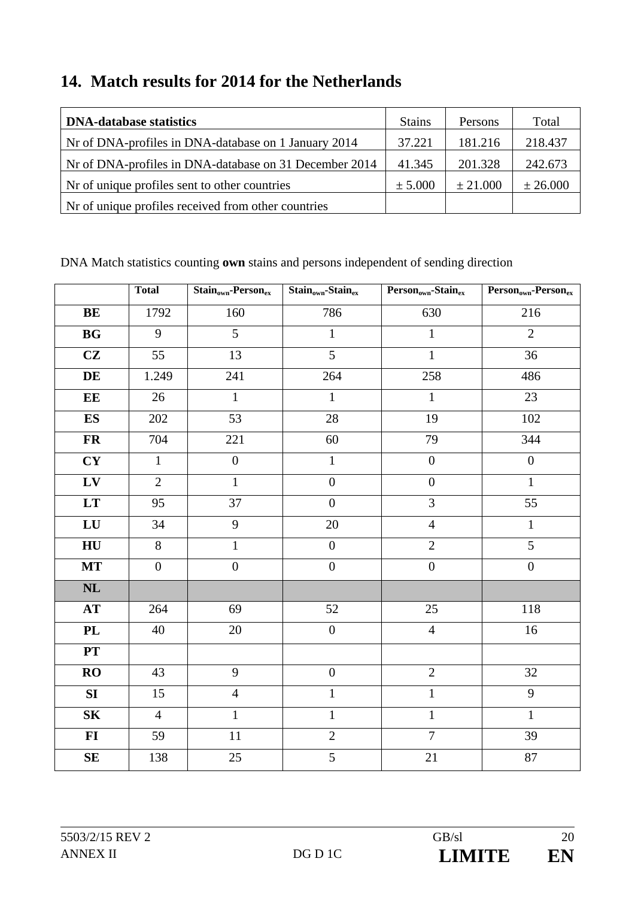### **14. Match results for 2014 for the Netherlands**

| <b>DNA-database statistics</b>                         | <b>Stains</b> | <b>Persons</b> | Total    |
|--------------------------------------------------------|---------------|----------------|----------|
| Nr of DNA-profiles in DNA-database on 1 January 2014   | 37.221        | 181.216        | 218.437  |
| Nr of DNA-profiles in DNA-database on 31 December 2014 | 41.345        | 201.328        | 242.673  |
| Nr of unique profiles sent to other countries          | $\pm 5.000$   | ± 21.000       | ± 26.000 |
| Not of unique profiles received from other countries   |               |                |          |

|                        | <b>Total</b>     | $Stain_{own}$ -Person <sub>ex</sub> | $Stain_{own}\text{-Stain}_{ex}$ | Person <sub>own</sub> -Stain <sub>ex</sub> | Person <sub>own</sub> -Person <sub>ex</sub> |
|------------------------|------------------|-------------------------------------|---------------------------------|--------------------------------------------|---------------------------------------------|
| BE                     | 1792             | 160                                 | 786                             | 630                                        | 216                                         |
| <b>BG</b>              | 9                | 5                                   | $\mathbf{1}$                    | $\mathbf{1}$                               | $\overline{2}$                              |
| CZ                     | 55               | 13                                  | 5                               | $\mathbf{1}$                               | 36                                          |
| DE                     | 1.249            | $241\,$                             | 264                             | 258                                        | 486                                         |
| EE                     | 26               | $\mathbf{1}$                        | $\mathbf{1}$                    | $\mathbf{1}$                               | 23                                          |
| ES                     | 202              | 53                                  | $28\,$                          | 19                                         | 102                                         |
| <b>FR</b>              | 704              | 221                                 | 60                              | 79                                         | 344                                         |
| CY                     | $\mathbf{1}$     | $\boldsymbol{0}$                    | $\mathbf{1}$                    | $\boldsymbol{0}$                           | $\boldsymbol{0}$                            |
| ${\bf L}{\bf V}$       | $\overline{2}$   | $\mathbf{1}$                        | $\boldsymbol{0}$                | $\boldsymbol{0}$                           | $\mathbf{1}$                                |
| $\mathbf{L}\mathbf{T}$ | 95               | 37                                  | $\overline{0}$                  | $\overline{3}$                             | 55                                          |
| ${\bf L}{\bf U}$       | 34               | 9                                   | 20                              | $\overline{4}$                             | $\mathbf{1}$                                |
| H <sub>U</sub>         | 8                | $\mathbf{1}$                        | $\boldsymbol{0}$                | $\overline{2}$                             | $\overline{5}$                              |
| <b>MT</b>              | $\boldsymbol{0}$ | $\boldsymbol{0}$                    | $\boldsymbol{0}$                | $\boldsymbol{0}$                           | $\boldsymbol{0}$                            |
| NL                     |                  |                                     |                                 |                                            |                                             |
| <b>AT</b>              | 264              | 69                                  | 52                              | 25                                         | 118                                         |
| $\mathbf{PL}$          | 40               | $20\,$                              | $\boldsymbol{0}$                | $\overline{4}$                             | 16                                          |
| <b>PT</b>              |                  |                                     |                                 |                                            |                                             |
| RO                     | 43               | 9                                   | $\boldsymbol{0}$                | $\sqrt{2}$                                 | 32                                          |
| SI                     | 15               | $\overline{4}$                      | $\mathbf{1}$                    | $\mathbf{1}$                               | 9                                           |
| ${\bf S}{\bf K}$       | $\overline{4}$   | $\mathbf{1}$                        | $\mathbf{1}$                    | $\mathbf{1}$                               | $\mathbf{1}$                                |
| $\bf{FI}$              | 59               | $11\,$                              | $\overline{2}$                  | $\overline{7}$                             | 39                                          |
| SE                     | 138              | $25\,$                              | 5                               | 21                                         | 87                                          |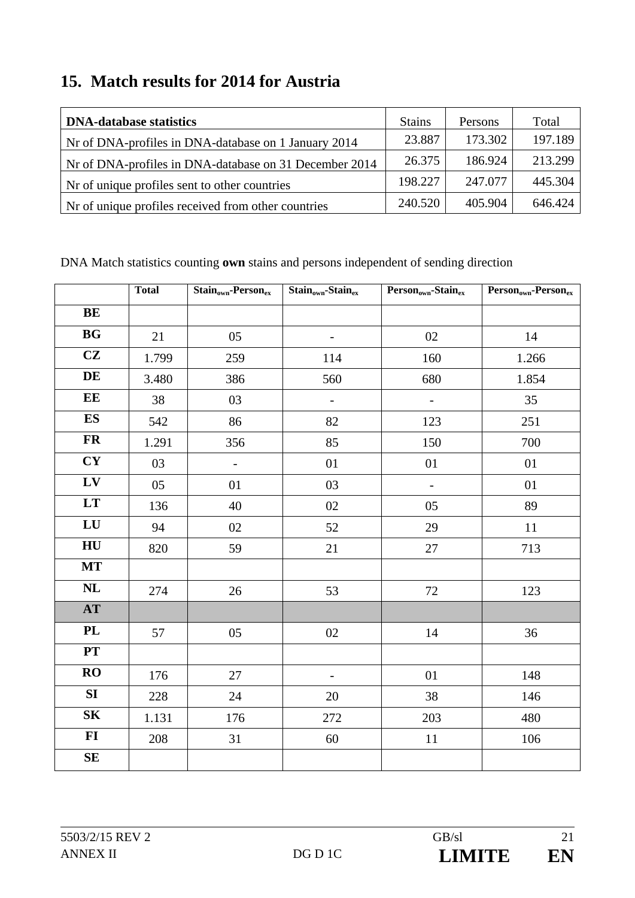### **15. Match results for 2014 for Austria**

| <b>DNA-database statistics</b>                         | <b>Stains</b> | <b>Persons</b> | Total   |
|--------------------------------------------------------|---------------|----------------|---------|
| Nr of DNA-profiles in DNA-database on 1 January 2014   | 23.887        | 173.302        | 197.189 |
| Nr of DNA-profiles in DNA-database on 31 December 2014 | 26.375        | 186.924        | 213.299 |
| Nr of unique profiles sent to other countries          | 198.227       | 247.077        | 445.304 |
| Nr of unique profiles received from other countries    | 240.520       | 405.904        | 646.424 |

|                  | <b>Total</b> | $Stain_{own}$ -Person <sub>ex</sub> | $Stain_{own}$ -Stain $_{ex}$ | Person <sub>own</sub> -Stain <sub>ex</sub> | Person <sub>own</sub> -Person <sub>ex</sub> |
|------------------|--------------|-------------------------------------|------------------------------|--------------------------------------------|---------------------------------------------|
| BE               |              |                                     |                              |                                            |                                             |
| BG               | 21           | 05                                  | $\overline{\phantom{0}}$     | 02                                         | 14                                          |
| CZ               | 1.799        | 259                                 | 114                          | 160                                        | 1.266                                       |
| DE               | 3.480        | 386                                 | 560                          | 680                                        | 1.854                                       |
| EE               | 38           | 03                                  | $\overline{\phantom{a}}$     | $\qquad \qquad -$                          | 35                                          |
| ES               | 542          | 86                                  | 82                           | 123                                        | 251                                         |
| <b>FR</b>        | 1.291        | 356                                 | 85                           | 150                                        | 700                                         |
| <b>CY</b>        | 03           | $\frac{1}{2}$                       | 01                           | 01                                         | 01                                          |
| LV               | 05           | $01\,$                              | 03                           | $\overline{\phantom{a}}$                   | 01                                          |
| <b>LT</b>        | 136          | 40                                  | 02                           | 05                                         | 89                                          |
| LU               | 94           | 02                                  | 52                           | 29                                         | 11                                          |
| HU               | 820          | 59                                  | 21                           | $27\,$                                     | 713                                         |
| <b>MT</b>        |              |                                     |                              |                                            |                                             |
| $\mathbf{NL}$    | 274          | $26\,$                              | 53                           | $72\,$                                     | 123                                         |
| $\bf AT$         |              |                                     |                              |                                            |                                             |
| PL               | 57           | 05                                  | $02\,$                       | 14                                         | 36                                          |
| PT               |              |                                     |                              |                                            |                                             |
| RO               | 176          | 27                                  | $\blacksquare$               | 01                                         | 148                                         |
| <b>SI</b>        | 228          | 24                                  | 20                           | 38                                         | 146                                         |
| S <sub>K</sub>   | 1.131        | 176                                 | 272                          | 203                                        | 480                                         |
| ${\bf F}{\bf I}$ | 208          | 31                                  | 60                           | $11\,$                                     | 106                                         |
| $\mathbf{SE}$    |              |                                     |                              |                                            |                                             |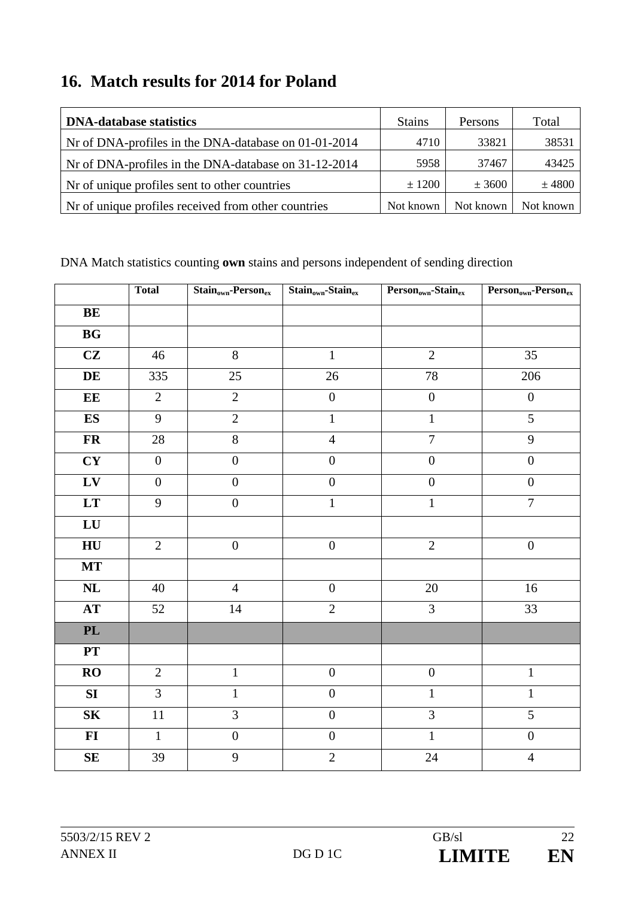### **16. Match results for 2014 for Poland**

| <b>DNA-database statistics</b>                       | <b>Stains</b> | Persons   | Total     |
|------------------------------------------------------|---------------|-----------|-----------|
| Nr of DNA-profiles in the DNA-database on 01-01-2014 | 4710          | 33821     | 38531     |
| Nr of DNA-profiles in the DNA-database on 31-12-2014 | 5958          | 37467     | 43425     |
| Nr of unique profiles sent to other countries        | $\pm 1200$    | $±$ 3600  | $±$ 4800  |
| Nr of unique profiles received from other countries  | Not known     | Not known | Not known |

|                        | <b>Total</b>     | $Stain_{own}$ -Person <sub>ex</sub> | $Stain_{own}$ -Stain <sub>ex</sub> | Person <sub>own</sub> -Stain <sub>ex</sub> | $\overline{\mathrm{Person}_{\mathrm{own}}\text{-Person}_{\mathrm{ex}}}$ |
|------------------------|------------------|-------------------------------------|------------------------------------|--------------------------------------------|-------------------------------------------------------------------------|
| BE                     |                  |                                     |                                    |                                            |                                                                         |
| $\mathbf{B}\mathbf{G}$ |                  |                                     |                                    |                                            |                                                                         |
| CZ                     | 46               | $8\,$                               | $\mathbf{1}$                       | $\overline{2}$                             | 35                                                                      |
| DE                     | 335              | 25                                  | $26\,$                             | 78                                         | 206                                                                     |
| EE                     | $\overline{2}$   | $\overline{2}$                      | $\boldsymbol{0}$                   | $\boldsymbol{0}$                           | $\boldsymbol{0}$                                                        |
| ES                     | 9                | $\sqrt{2}$                          | $\mathbf{1}$                       | $\mathbf{1}$                               | 5                                                                       |
| ${\bf FR}$             | 28               | 8                                   | $\overline{4}$                     | $\overline{7}$                             | 9                                                                       |
| CY                     | $\boldsymbol{0}$ | $\overline{0}$                      | $\boldsymbol{0}$                   | $\boldsymbol{0}$                           | $\overline{0}$                                                          |
| ${\bf L}{\bf V}$       | $\boldsymbol{0}$ | $\boldsymbol{0}$                    | $\boldsymbol{0}$                   | $\boldsymbol{0}$                           | $\boldsymbol{0}$                                                        |
| $\mathbf{L}\mathbf{T}$ | 9                | $\boldsymbol{0}$                    | $\mathbf{1}$                       | $\overline{1}$                             | $\overline{7}$                                                          |
| ${\bf L}{\bf U}$       |                  |                                     |                                    |                                            |                                                                         |
| ${\bf H}{\bf U}$       | $\overline{2}$   | $\boldsymbol{0}$                    | $\boldsymbol{0}$                   | $\overline{2}$                             | $\boldsymbol{0}$                                                        |
| <b>MT</b>              |                  |                                     |                                    |                                            |                                                                         |
| $\mathbf{NL}$          | 40               | $\overline{4}$                      | $\boldsymbol{0}$                   | 20                                         | 16                                                                      |
| $\bf AT$               | 52               | 14                                  | $\overline{2}$                     | 3                                          | 33                                                                      |
| $\mathbf{PL}$          |                  |                                     |                                    |                                            |                                                                         |
| PT                     |                  |                                     |                                    |                                            |                                                                         |
| RO                     | $\overline{2}$   | $\mathbf{1}$                        | $\boldsymbol{0}$                   | $\boldsymbol{0}$                           | $\mathbf 1$                                                             |
| SI                     | $\overline{3}$   | $\mathbf{1}$                        | $\boldsymbol{0}$                   | $\mathbf 1$                                | $\mathbf{1}$                                                            |
| ${\bf S}{\bf K}$       | $11\,$           | 3                                   | $\overline{0}$                     | $\overline{3}$                             | 5                                                                       |
| $\mathbf{FI}$          | $\mathbf{1}$     | $\boldsymbol{0}$                    | $\boldsymbol{0}$                   | $\mathbf{1}$                               | $\boldsymbol{0}$                                                        |
| $\mathbf{SE}$          | 39               | 9                                   | $\overline{2}$                     | 24                                         | $\overline{4}$                                                          |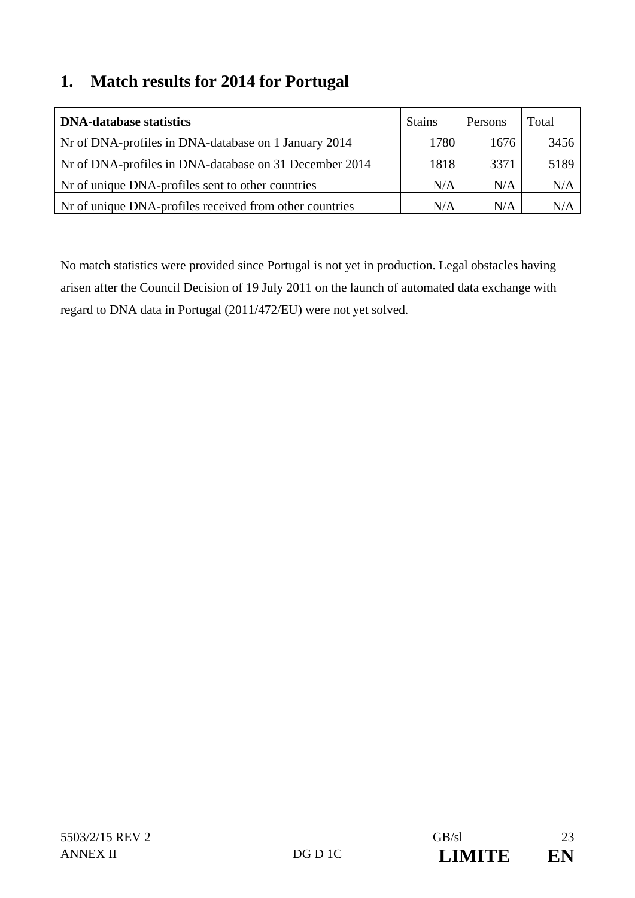### **1. Match results for 2014 for Portugal**

| <b>DNA-database statistics</b>                          | <b>Stains</b> | Persons | Total |
|---------------------------------------------------------|---------------|---------|-------|
| Nr of DNA-profiles in DNA-database on 1 January 2014    | 1780          | 1676    | 3456  |
| Nr of DNA-profiles in DNA-database on 31 December 2014  | 1818          | 3371    | 5189  |
| Nr of unique DNA-profiles sent to other countries       | N/A           | N/A     | N/A   |
| Nr of unique DNA-profiles received from other countries | N/A           | N/A     | N/A   |

No match statistics were provided since Portugal is not yet in production. Legal obstacles having arisen after the Council Decision of 19 July 2011 on the launch of automated data exchange with regard to DNA data in Portugal (2011/472/EU) were not yet solved.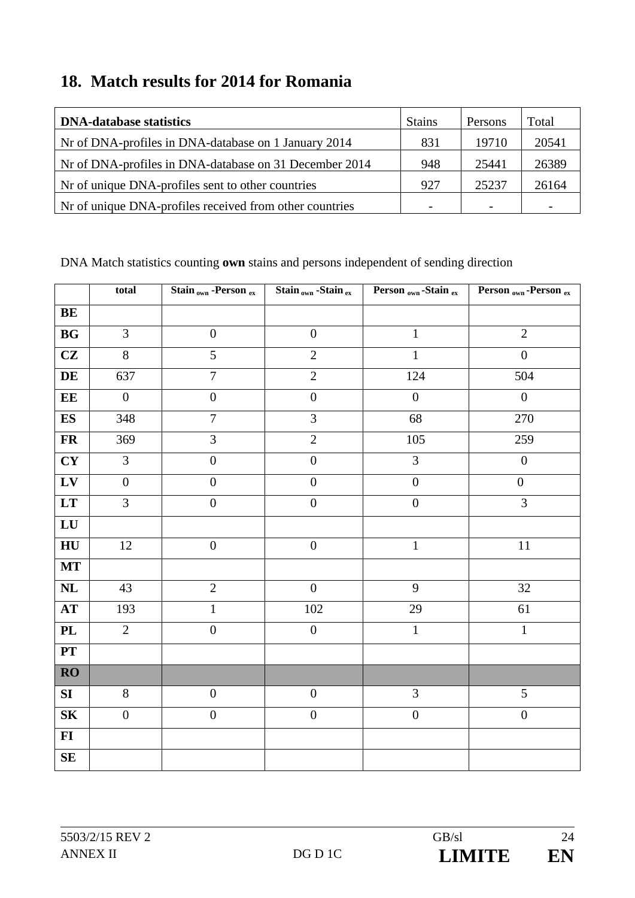### **18. Match results for 2014 for Romania**

| <b>DNA-database statistics</b>                          | <b>Stains</b> | Persons | Total |
|---------------------------------------------------------|---------------|---------|-------|
| Nr of DNA-profiles in DNA-database on 1 January 2014    | 831           | 19710   | 20541 |
| Nr of DNA-profiles in DNA-database on 31 December 2014  | 948           | 25441   | 26389 |
| Nr of unique DNA-profiles sent to other countries       | 927           | 25237   | 26164 |
| Nr of unique DNA-profiles received from other countries |               |         |       |

|                            | total            | Stain <sub>own</sub> -Person ex | $Stain_{own}$ -Stain $_{ex}$ | Person <sub>own</sub> -Stain ex | Person <sub>own</sub> -Person <sub>ex</sub> |
|----------------------------|------------------|---------------------------------|------------------------------|---------------------------------|---------------------------------------------|
| <b>BE</b>                  |                  |                                 |                              |                                 |                                             |
| <b>BG</b>                  | 3                | $\boldsymbol{0}$                | $\boldsymbol{0}$             | $\mathbf{1}$                    | $\overline{2}$                              |
| CZ                         | $8\,$            | 5                               | $\overline{2}$               | $\mathbf{1}$                    | $\boldsymbol{0}$                            |
| $\mathbf{DE}$              | 637              | $\overline{7}$                  | $\overline{2}$               | 124                             | 504                                         |
| EE                         | $\boldsymbol{0}$ | $\boldsymbol{0}$                | $\boldsymbol{0}$             | $\boldsymbol{0}$                | $\overline{0}$                              |
| <b>ES</b>                  | 348              | $\overline{7}$                  | $\overline{3}$               | 68                              | 270                                         |
| $\mathbf{FR}$              | 369              | 3                               | $\overline{2}$               | 105                             | 259                                         |
| CY                         | $\overline{3}$   | $\boldsymbol{0}$                | $\boldsymbol{0}$             | $\overline{3}$                  | $\boldsymbol{0}$                            |
| ${\bf L}{\bf V}$           | $\boldsymbol{0}$ | $\boldsymbol{0}$                | $\overline{0}$               | $\overline{0}$                  | $\boldsymbol{0}$                            |
| LT                         | $\overline{3}$   | $\boldsymbol{0}$                | $\boldsymbol{0}$             | $\boldsymbol{0}$                | $\overline{3}$                              |
| ${\bf L}{\bf U}$           |                  |                                 |                              |                                 |                                             |
| H <sub>U</sub>             | 12               | $\boldsymbol{0}$                | $\boldsymbol{0}$             | $\mathbf{1}$                    | 11                                          |
| $\bf MT$                   |                  |                                 |                              |                                 |                                             |
| $\mathbf{NL}$              | 43               | $\overline{2}$                  | $\overline{0}$               | 9                               | 32                                          |
| $\boldsymbol{\mathrm{AT}}$ | 193              | $\mathbf 1$                     | 102                          | 29                              | 61                                          |
| $\mathbf{PL}$              | $\overline{2}$   | $\boldsymbol{0}$                | $\boldsymbol{0}$             | $1\,$                           | $\mathbf{1}$                                |
| $\mathbf{PT}$              |                  |                                 |                              |                                 |                                             |
| $\overline{RO}$            |                  |                                 |                              |                                 |                                             |
| SI                         | $8\,$            | $\boldsymbol{0}$                | $\boldsymbol{0}$             | $\overline{3}$                  | $\overline{5}$                              |
| ${\bf S}{\bf K}$           | $\boldsymbol{0}$ | $\boldsymbol{0}$                | $\boldsymbol{0}$             | $\boldsymbol{0}$                | $\boldsymbol{0}$                            |
| $FI$                       |                  |                                 |                              |                                 |                                             |
| $\mathbf{SE}$              |                  |                                 |                              |                                 |                                             |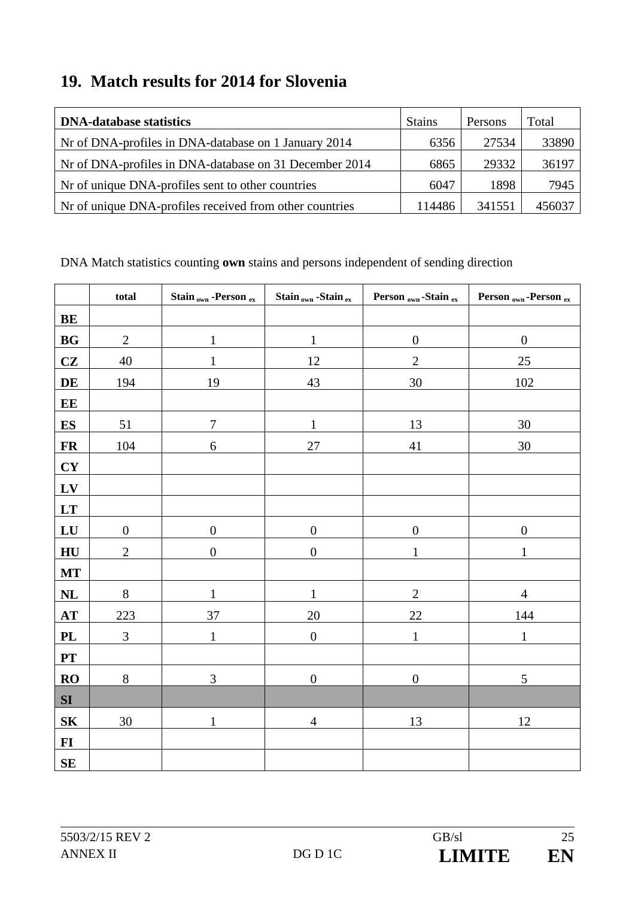### **19. Match results for 2014 for Slovenia**

| <b>DNA-database statistics</b>                          | <b>Stains</b> | Persons | Total  |
|---------------------------------------------------------|---------------|---------|--------|
| Nr of DNA-profiles in DNA-database on 1 January 2014    | 6356          | 27534   | 33890  |
| Nr of DNA-profiles in DNA-database on 31 December 2014  | 6865          | 29332   | 36197  |
| Nr of unique DNA-profiles sent to other countries       | 6047          | 1898    | 7945   |
| Nr of unique DNA-profiles received from other countries | 114486        | 341551  | 456037 |

|                  | total            | Stain <sub>own</sub> -Person ex | Stain <sub>own</sub> -Stain ex | Person <sub>own</sub> -Stain ex | Person <sub>own</sub> -Person ex |
|------------------|------------------|---------------------------------|--------------------------------|---------------------------------|----------------------------------|
| BE               |                  |                                 |                                |                                 |                                  |
| <b>BG</b>        | $\mathbf{2}$     | $\mathbf{1}$                    | $\mathbf{1}$                   | $\boldsymbol{0}$                | $\boldsymbol{0}$                 |
| CZ               | 40               | $\mathbf{1}$                    | 12                             | $\mathbf{2}$                    | 25                               |
| DE               | 194              | 19                              | 43                             | 30                              | 102                              |
| EE               |                  |                                 |                                |                                 |                                  |
| E S              | 51               | $\overline{7}$                  | $\mathbf{1}$                   | 13                              | $30\,$                           |
| <b>FR</b>        | 104              | $\sqrt{6}$                      | $27\,$                         | $41\,$                          | $30\,$                           |
| <b>CY</b>        |                  |                                 |                                |                                 |                                  |
| LV               |                  |                                 |                                |                                 |                                  |
| LT               |                  |                                 |                                |                                 |                                  |
| LU               | $\boldsymbol{0}$ | $\boldsymbol{0}$                | $\boldsymbol{0}$               | $\boldsymbol{0}$                | $\boldsymbol{0}$                 |
| HU               | $\mathbf{2}$     | $\boldsymbol{0}$                | $\overline{0}$                 | 1                               | 1                                |
| <b>MT</b>        |                  |                                 |                                |                                 |                                  |
| NL               | $8\,$            | 1                               | $\mathbf{1}$                   | $\sqrt{2}$                      | $\overline{4}$                   |
| AT               | 223              | 37                              | $20\,$                         | $22\,$                          | 144                              |
| <b>PL</b>        | $\mathfrak{Z}$   | $\mathbf{1}$                    | $\boldsymbol{0}$               | $\mathbf{1}$                    | $\mathbf{1}$                     |
| ${\bf PT}$       |                  |                                 |                                |                                 |                                  |
| <b>RO</b>        | $8\,$            | 3                               | $\overline{0}$                 | $\boldsymbol{0}$                | 5                                |
| SI               |                  |                                 |                                |                                 |                                  |
| ${\bf S}{\bf K}$ | 30               | $\mathbf{1}$                    | $\overline{4}$                 | 13                              | 12                               |
| $FI$             |                  |                                 |                                |                                 |                                  |
| SE               |                  |                                 |                                |                                 |                                  |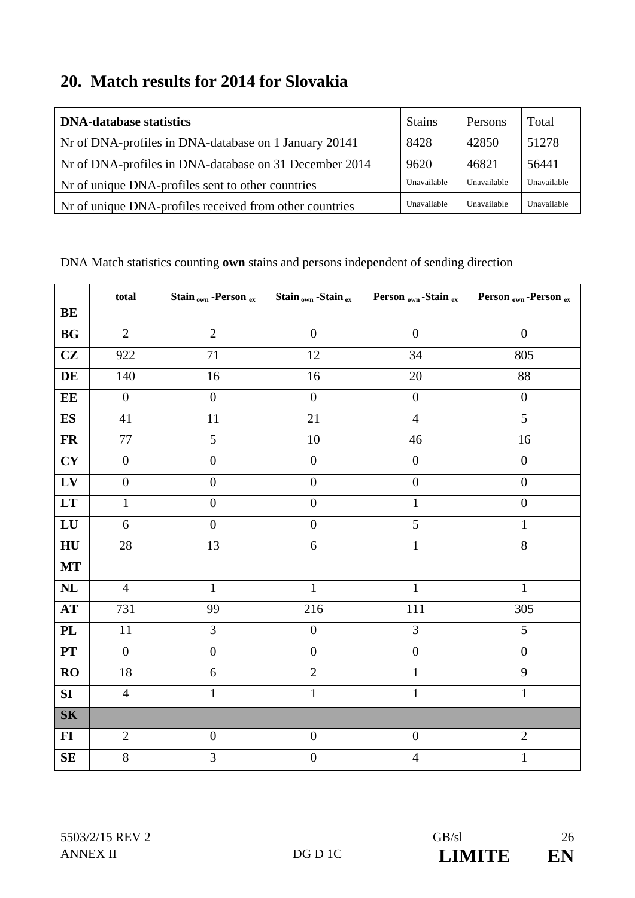### **20. Match results for 2014 for Slovakia**

| <b>DNA-database statistics</b>                          | <b>Stains</b> | Persons     | Total       |
|---------------------------------------------------------|---------------|-------------|-------------|
| Nr of DNA-profiles in DNA-database on 1 January 20141   | 8428          | 42850       | 51278       |
| Nr of DNA-profiles in DNA-database on 31 December 2014  | 9620          | 46821       | 56441       |
| Nr of unique DNA-profiles sent to other countries       | Unavailable   | Unavailable | Unavailable |
| Nr of unique DNA-profiles received from other countries | Unavailable   | Unavailable | Unavailable |

|                        | total            | Stain <sub>own</sub> -Person ex | Stain <sub>own</sub> -Stain ex | Person <sub>own</sub> -Stain ex | Person <sub>own</sub> -Person ex |
|------------------------|------------------|---------------------------------|--------------------------------|---------------------------------|----------------------------------|
| <b>BE</b>              |                  |                                 |                                |                                 |                                  |
| $\mathbf{B}\mathbf{G}$ | $\overline{2}$   | $\overline{2}$                  | $\boldsymbol{0}$               | $\boldsymbol{0}$                | $\boldsymbol{0}$                 |
| CZ                     | 922              | 71                              | 12                             | 34                              | 805                              |
| DE                     | 140              | 16                              | 16                             | 20                              | 88                               |
| $\mathbf{EE}$          | $\boldsymbol{0}$ | $\overline{0}$                  | $\boldsymbol{0}$               | $\boldsymbol{0}$                | $\boldsymbol{0}$                 |
| <b>ES</b>              | 41               | 11                              | 21                             | $\overline{4}$                  | $\overline{5}$                   |
| $\mathbf{FR}$          | 77               | $\overline{5}$                  | $10\,$                         | 46                              | 16                               |
| CY                     | $\boldsymbol{0}$ | $\boldsymbol{0}$                | $\boldsymbol{0}$               | $\boldsymbol{0}$                | $\boldsymbol{0}$                 |
| ${\bf L}{\bf V}$       | $\boldsymbol{0}$ | $\boldsymbol{0}$                | $\overline{0}$                 | $\overline{0}$                  | $\overline{0}$                   |
| LT                     | $\mathbf{1}$     | $\boldsymbol{0}$                | $\boldsymbol{0}$               | $\mathbf 1$                     | $\boldsymbol{0}$                 |
| ${\bf L}{\bf U}$       | 6                | $\boldsymbol{0}$                | $\boldsymbol{0}$               | $\overline{5}$                  | $\mathbf{1}$                     |
| H <sub>U</sub>         | $28\,$           | 13                              | 6                              | $\mathbf{1}$                    | $8\,$                            |
| MT                     |                  |                                 |                                |                                 |                                  |
| $\mathbf{NL}$          | $\overline{4}$   | $\mathbf{1}$                    | $\mathbf{1}$                   | $\mathbf{1}$                    | $\mathbf{1}$                     |
| $\bf AT$               | 731              | 99                              | 216                            | 111                             | 305                              |
| $\mathbf{PL}$          | $11\,$           | 3                               | $\boldsymbol{0}$               | 3                               | 5                                |
| $\mathbf{PT}$          | $\overline{0}$   | $\boldsymbol{0}$                | $\overline{0}$                 | $\overline{0}$                  | $\overline{0}$                   |
| RO                     | $18\,$           | $\overline{6}$                  | $\overline{2}$                 | $\overline{1}$                  | $\overline{9}$                   |
| SI                     | $\overline{4}$   | $\mathbf 1$                     | $\mathbf{1}$                   | $\mathbf{1}$                    | $\mathbf{1}$                     |
| ${\bf S}{\bf K}$       |                  |                                 |                                |                                 |                                  |
| $FI$                   | $\sqrt{2}$       | $\boldsymbol{0}$                | $\boldsymbol{0}$               | $\boldsymbol{0}$                | $\mathbf{2}$                     |
| SE                     | 8                | $\overline{3}$                  | $\overline{0}$                 | $\overline{4}$                  | $\mathbf{1}$                     |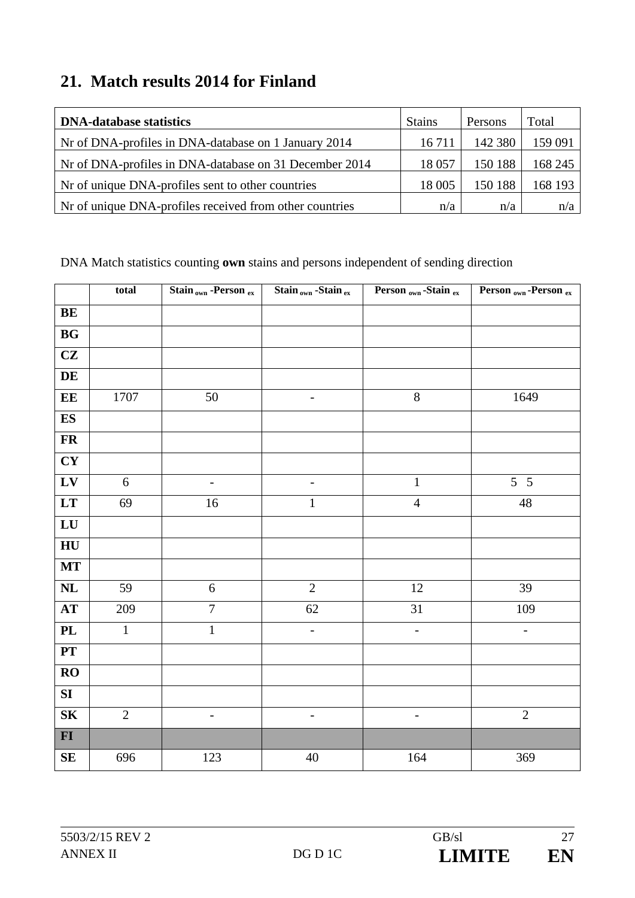### **21. Match results 2014 for Finland**

| <b>DNA-database statistics</b>                          | <b>Stains</b> | Persons | Total   |
|---------------------------------------------------------|---------------|---------|---------|
| Nr of DNA-profiles in DNA-database on 1 January 2014    | 16 7 11       | 142 380 | 159 091 |
| Nr of DNA-profiles in DNA-database on 31 December 2014  | 18 0 57       | 150 188 | 168 245 |
| Nr of unique DNA-profiles sent to other countries       | 18 005        | 150 188 | 168 193 |
| Nr of unique DNA-profiles received from other countries | n/a           | n/a     | n/a     |

|                            | total          | Stain <sub>own</sub> -Person ex | Stain <sub>own</sub> -Stain ex | Person <sub>own</sub> -Stain ex | Person <sub>own</sub> -Person ex |
|----------------------------|----------------|---------------------------------|--------------------------------|---------------------------------|----------------------------------|
| BE                         |                |                                 |                                |                                 |                                  |
| $\mathbf{B}\mathbf{G}$     |                |                                 |                                |                                 |                                  |
| CZ                         |                |                                 |                                |                                 |                                  |
| $\mathbf{DE}$              |                |                                 |                                |                                 |                                  |
| EE                         | 1707           | 50                              | $\overline{\phantom{a}}$       | $\overline{8}$                  | 1649                             |
| ES                         |                |                                 |                                |                                 |                                  |
| <b>FR</b>                  |                |                                 |                                |                                 |                                  |
| CY                         |                |                                 |                                |                                 |                                  |
| ${\bf L}{\bf V}$           | $\sqrt{6}$     | $\qquad \qquad -$               |                                | $\mathbf{1}$                    | $5\overline{5}$                  |
| $\mathbf{L}\mathbf{T}$     | 69             | 16                              | $\mathbf{1}$                   | $\overline{4}$                  | 48                               |
| ${\bf L}{\bf U}$           |                |                                 |                                |                                 |                                  |
| ${\bf H}{\bf U}$           |                |                                 |                                |                                 |                                  |
| MT                         |                |                                 |                                |                                 |                                  |
| $\mathbf{NL}$              | 59             | $\sqrt{6}$                      | $\sqrt{2}$                     | 12                              | 39                               |
| $\boldsymbol{\mathrm{AT}}$ | 209            | $\tau$                          | 62                             | 31                              | 109                              |
| PL                         | $\mathbf{1}$   | $\,1$                           | $\qquad \qquad -$              | $\qquad \qquad -$               | $\qquad \qquad -$                |
| $\mathbf{PT}$              |                |                                 |                                |                                 |                                  |
| RO                         |                |                                 |                                |                                 |                                  |
| SI                         |                |                                 |                                |                                 |                                  |
| ${\bf S}{\bf K}$           | $\overline{2}$ | $\overline{\phantom{a}}$        | $\overline{\phantom{a}}$       | $\overline{\phantom{0}}$        | $\overline{2}$                   |
| $FI$                       |                |                                 |                                |                                 |                                  |
| $\mathbf{SE}$              | 696            | 123                             | $40\,$                         | 164                             | 369                              |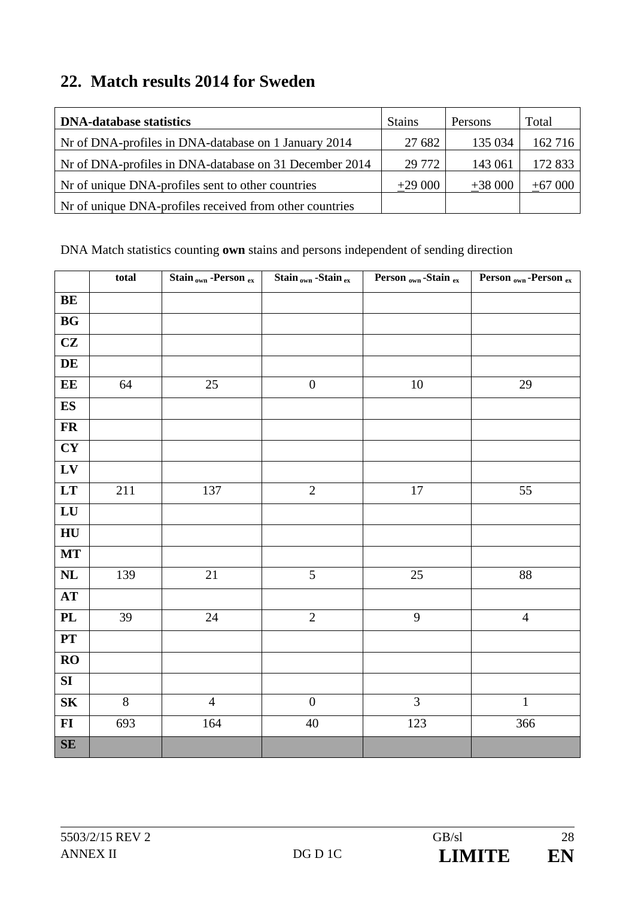### **22. Match results 2014 for Sweden**

| <b>DNA-database statistics</b>                          | <b>Stains</b> | Persons  | Total    |
|---------------------------------------------------------|---------------|----------|----------|
| Nr of DNA-profiles in DNA-database on 1 January 2014    | 27 682        | 135 034  | 162 716  |
| Nr of DNA-profiles in DNA-database on 31 December 2014  | 29 772        | 143 061  | 172 833  |
| Not of unique DNA-profiles sent to other countries      | $+29000$      | $+38000$ | $+67000$ |
| Nr of unique DNA-profiles received from other countries |               |          |          |

|                        | total | Stain <sub>own</sub> -Person ex | Stain <sub>own</sub> -Stain ex | Person <sub>own</sub> -Stain ex | Person <sub>own</sub> -Person ex |
|------------------------|-------|---------------------------------|--------------------------------|---------------------------------|----------------------------------|
| BE                     |       |                                 |                                |                                 |                                  |
| $\mathbf{B}\mathbf{G}$ |       |                                 |                                |                                 |                                  |
| CZ                     |       |                                 |                                |                                 |                                  |
| $\mathbf{DE}$          |       |                                 |                                |                                 |                                  |
| EE                     | 64    | 25                              | $\boldsymbol{0}$               | $10\,$                          | 29                               |
| $\mathbf{ES}$          |       |                                 |                                |                                 |                                  |
| ${\bf FR}$             |       |                                 |                                |                                 |                                  |
| CY                     |       |                                 |                                |                                 |                                  |
| ${\bf L}{\bf V}$       |       |                                 |                                |                                 |                                  |
| $\mathbf{L}\mathbf{T}$ | 211   | 137                             | $\sqrt{2}$                     | $17\,$                          | 55                               |
| ${\bf L}{\bf U}$       |       |                                 |                                |                                 |                                  |
| ${\bf H}{\bf U}$       |       |                                 |                                |                                 |                                  |
| <b>MT</b>              |       |                                 |                                |                                 |                                  |
| $\mathbf{NL}$          | 139   | $21\,$                          | 5                              | $25\,$                          | $88\,$                           |
| $\bf AT$               |       |                                 |                                |                                 |                                  |
| $\mathbf{PL}$          | 39    | $24\,$                          | $\sqrt{2}$                     | 9                               | $\overline{4}$                   |
| PT                     |       |                                 |                                |                                 |                                  |
| RO                     |       |                                 |                                |                                 |                                  |
| ${\bf S}{\bf I}$       |       |                                 |                                |                                 |                                  |
| ${\bf S}{\bf K}$       | $8\,$ | $\overline{4}$                  | $\boldsymbol{0}$               | 3                               | $\mathbf{1}$                     |
| $\mathbf{F}$           | 693   | 164                             | $40\,$                         | 123                             | 366                              |
| $\mathbf{SE}$          |       |                                 |                                |                                 |                                  |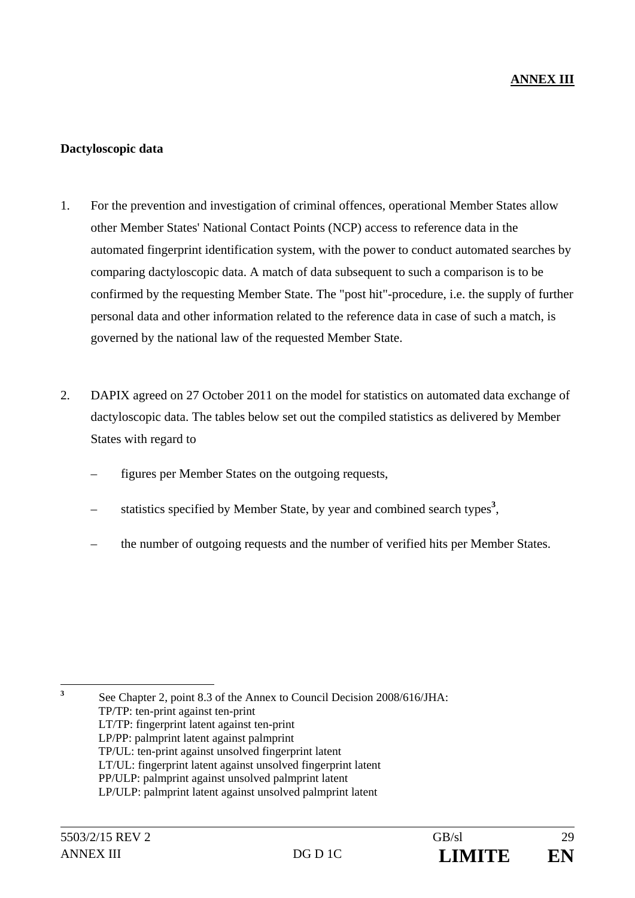#### **Dactyloscopic data**

- 1. For the prevention and investigation of criminal offences, operational Member States allow other Member States' National Contact Points (NCP) access to reference data in the automated fingerprint identification system, with the power to conduct automated searches by comparing dactyloscopic data. A match of data subsequent to such a comparison is to be confirmed by the requesting Member State. The "post hit"-procedure, i.e. the supply of further personal data and other information related to the reference data in case of such a match, is governed by the national law of the requested Member State.
- 2. DAPIX agreed on 27 October 2011 on the model for statistics on automated data exchange of dactyloscopic data. The tables below set out the compiled statistics as delivered by Member States with regard to
	- figures per Member States on the outgoing requests,
	- statistics specified by Member State, by year and combined search types**<sup>3</sup>** ,
	- the number of outgoing requests and the number of verified hits per Member States.

**3**

 See Chapter 2, point 8.3 of the Annex to Council Decision 2008/616/JHA: TP/TP: ten-print against ten-print LT/TP: fingerprint latent against ten-print LP/PP: palmprint latent against palmprint TP/UL: ten-print against unsolved fingerprint latent LT/UL: fingerprint latent against unsolved fingerprint latent PP/ULP: palmprint against unsolved palmprint latent LP/ULP: palmprint latent against unsolved palmprint latent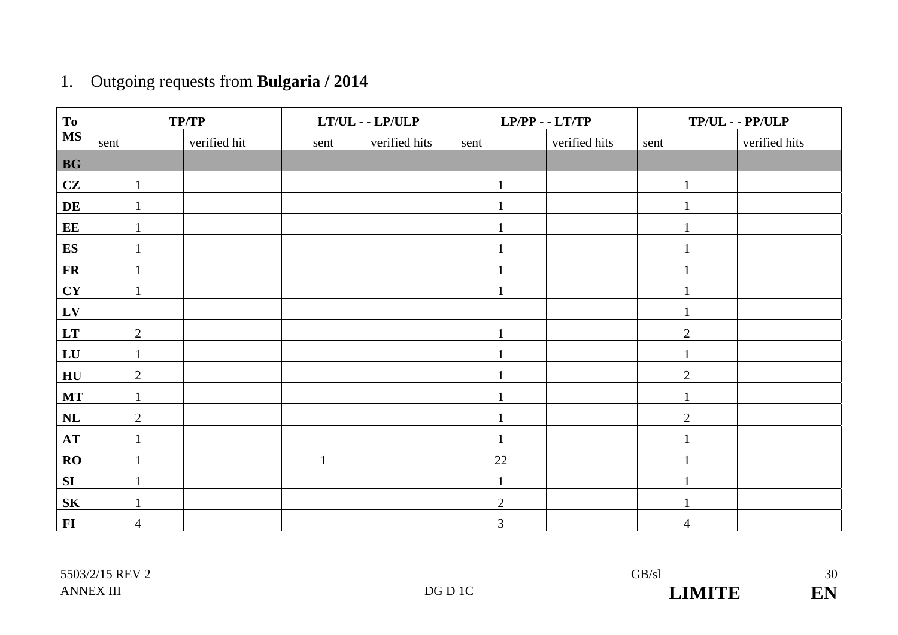# 1. Outgoing requests from **Bulgaria / 2014**

| To               |                | <b>TP/TP</b> |              | $LT/UL - LP/ULP$ |              | $LP/PP - LTT/TP$ |                | $TP/UL - PP/ULP$ |
|------------------|----------------|--------------|--------------|------------------|--------------|------------------|----------------|------------------|
| <b>MS</b>        | sent           | verified hit | sent         | verified hits    | sent         | verified hits    | sent           | verified hits    |
| BG               |                |              |              |                  |              |                  |                |                  |
| CZ               |                |              |              |                  | $\mathbf{1}$ |                  | л              |                  |
| DE               |                |              |              |                  | 1            |                  |                |                  |
| EE               |                |              |              |                  |              |                  |                |                  |
| ES               |                |              |              |                  |              |                  |                |                  |
| $\mathbf{FR}$    |                |              |              |                  |              |                  |                |                  |
| CY               | $\mathbf{1}$   |              |              |                  | $\mathbf{1}$ |                  |                |                  |
| LV               |                |              |              |                  |              |                  |                |                  |
| LT               | $\overline{2}$ |              |              |                  | 1            |                  | $\overline{2}$ |                  |
| ${\bf L}{\bf U}$ |                |              |              |                  |              |                  |                |                  |
| HU               | $\overline{2}$ |              |              |                  | 1            |                  | $\overline{2}$ |                  |
| <b>MT</b>        |                |              |              |                  |              |                  |                |                  |
| NL               | $\overline{2}$ |              |              |                  |              |                  | $\overline{2}$ |                  |
| AT               |                |              |              |                  |              |                  |                |                  |
| RO               |                |              | $\mathbf{1}$ |                  | 22           |                  |                |                  |
| SI               |                |              |              |                  |              |                  |                |                  |
| <b>SK</b>        |                |              |              |                  | $\mathbf{2}$ |                  |                |                  |
| $\bf{FI}$        | $\overline{4}$ |              |              |                  | 3            |                  | 4              |                  |

30 EN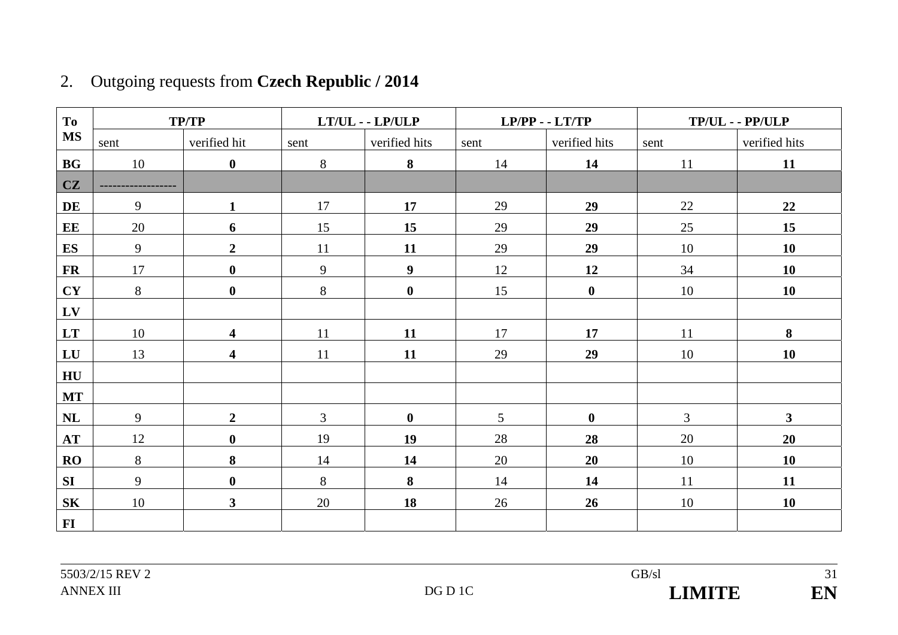| <b>To</b> |      | <b>TP/TP</b>            |                | $LT/UL - LP/ULP$ | $LP/PP - LTT/TP$ |               |                | $TP/UL - PP/ULP$        |
|-----------|------|-------------------------|----------------|------------------|------------------|---------------|----------------|-------------------------|
| <b>MS</b> | sent | verified hit            | sent           | verified hits    | sent             | verified hits | sent           | verified hits           |
| <b>BG</b> | 10   | $\bf{0}$                | 8              | 8                | 14               | 14            | 11             | 11                      |
| <b>CZ</b> |      |                         |                |                  |                  |               |                |                         |
| DE        | 9    | $\mathbf{1}$            | 17             | 17               | 29               | 29            | 22             | 22                      |
| EE        | 20   | 6                       | 15             | 15               | 29               | 29            | 25             | 15                      |
| ES        | 9    | $\boldsymbol{2}$        | 11             | 11               | 29               | 29            | 10             | 10                      |
| <b>FR</b> | 17   | $\boldsymbol{0}$        | 9              | $\boldsymbol{9}$ | 12               | 12            | 34             | 10                      |
| CY        | 8    | $\boldsymbol{0}$        | 8              | $\boldsymbol{0}$ | 15               | $\mathbf{0}$  | 10             | 10                      |
| LV        |      |                         |                |                  |                  |               |                |                         |
| <b>LT</b> | 10   | $\overline{\mathbf{4}}$ | 11             | 11               | 17               | 17            | 11             | 8                       |
| LU        | 13   | $\overline{\mathbf{4}}$ | 11             | 11               | 29               | 29            | 10             | 10                      |
| HU        |      |                         |                |                  |                  |               |                |                         |
| <b>MT</b> |      |                         |                |                  |                  |               |                |                         |
| <b>NL</b> | 9    | $\overline{2}$          | $\mathfrak{Z}$ | $\mathbf 0$      | $5\overline{)}$  | $\mathbf{0}$  | $\mathfrak{Z}$ | $\overline{\mathbf{3}}$ |
| <b>AT</b> | 12   | $\boldsymbol{0}$        | 19             | 19               | 28               | 28            | 20             | 20                      |
| RO        | 8    | 8                       | 14             | 14               | 20               | 20            | 10             | 10                      |
| <b>SI</b> | 9    | $\boldsymbol{0}$        | 8              | 8                | 14               | 14            | 11             | 11                      |
| <b>SK</b> | 10   | $\overline{\mathbf{3}}$ | 20             | 18               | 26               | 26            | 10             | <b>10</b>               |
| F1        |      |                         |                |                  |                  |               |                |                         |

## 2. Outgoing requests from **Czech Republic / 2014**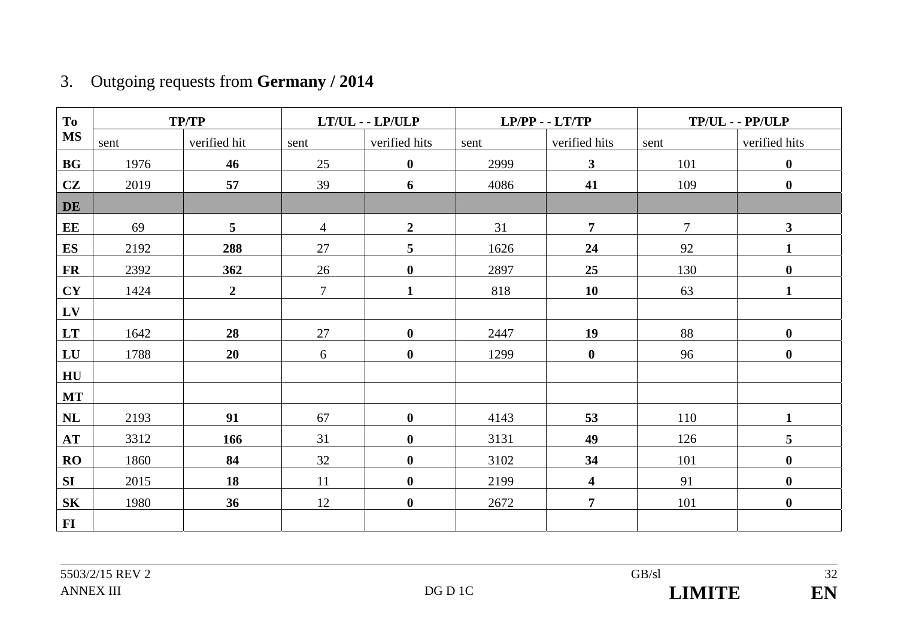## 3. Outgoing requests from **Germany / 2014**

| To        |      | <b>TP/TP</b>     |                | $LT/UL$ - $LP/ULP$ |      | $LP/PP - LTT/TP$        |                | TP/UL - - PP/ULP |
|-----------|------|------------------|----------------|--------------------|------|-------------------------|----------------|------------------|
| <b>MS</b> | sent | verified hit     | sent           | verified hits      | sent | verified hits           | sent           | verified hits    |
| BG        | 1976 | 46               | 25             | $\mathbf 0$        | 2999 | $\mathbf{3}$            | 101            | $\boldsymbol{0}$ |
| CZ        | 2019 | 57               | 39             | 6                  | 4086 | 41                      | 109            | $\boldsymbol{0}$ |
| DE        |      |                  |                |                    |      |                         |                |                  |
| EE        | 69   | 5 <sup>5</sup>   | $\overline{4}$ | $\overline{2}$     | 31   | $\overline{7}$          | $\overline{7}$ | 3                |
| <b>ES</b> | 2192 | 288              | 27             | 5                  | 1626 | 24                      | 92             | 1                |
| <b>FR</b> | 2392 | 362              | 26             | $\boldsymbol{0}$   | 2897 | 25                      | 130            | $\boldsymbol{0}$ |
| CY        | 1424 | $\boldsymbol{2}$ | $\tau$         | $\mathbf{1}$       | 818  | <b>10</b>               | 63             | $\mathbf{1}$     |
| $L$ V     |      |                  |                |                    |      |                         |                |                  |
| <b>LT</b> | 1642 | 28               | 27             | $\boldsymbol{0}$   | 2447 | 19                      | 88             | $\boldsymbol{0}$ |
| LU        | 1788 | 20               | 6              | $\boldsymbol{0}$   | 1299 | $\bf{0}$                | 96             | $\boldsymbol{0}$ |
| HU        |      |                  |                |                    |      |                         |                |                  |
| <b>MT</b> |      |                  |                |                    |      |                         |                |                  |
| NL        | 2193 | 91               | 67             | $\boldsymbol{0}$   | 4143 | 53                      | 110            | $\mathbf{1}$     |
| <b>AT</b> | 3312 | 166              | 31             | $\boldsymbol{0}$   | 3131 | 49                      | 126            | 5                |
| RO        | 1860 | 84               | 32             | $\bf{0}$           | 3102 | 34                      | 101            | $\boldsymbol{0}$ |
| <b>SI</b> | 2015 | 18               | 11             | $\boldsymbol{0}$   | 2199 | $\overline{\mathbf{4}}$ | 91             | $\boldsymbol{0}$ |
| <b>SK</b> | 1980 | 36               | 12             | $\mathbf{0}$       | 2672 | $\overline{7}$          | 101            | $\boldsymbol{0}$ |
| <b>FI</b> |      |                  |                |                    |      |                         |                |                  |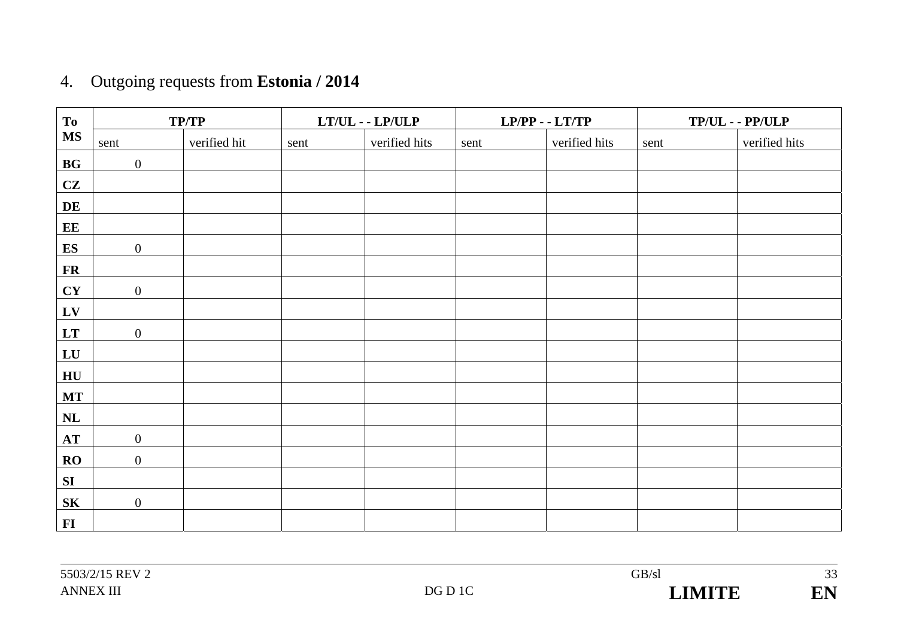# 4. Outgoing requests from **Estonia / 2014**

| To                     |                  | TP/TP        |      | $LT/UL$ - $LP/ULP$ |      | $LP/PP - LTT/TP$ |      | $TP/UL - PP/ULP$ |
|------------------------|------------------|--------------|------|--------------------|------|------------------|------|------------------|
| <b>MS</b>              | sent             | verified hit | sent | verified hits      | sent | verified hits    | sent | verified hits    |
| $\mathbf{B}\mathbf{G}$ | $\overline{0}$   |              |      |                    |      |                  |      |                  |
| CZ                     |                  |              |      |                    |      |                  |      |                  |
| DE                     |                  |              |      |                    |      |                  |      |                  |
| EE                     |                  |              |      |                    |      |                  |      |                  |
| ES                     | $\mathbf{0}$     |              |      |                    |      |                  |      |                  |
| ${\bf FR}$             |                  |              |      |                    |      |                  |      |                  |
| CY                     | $\overline{0}$   |              |      |                    |      |                  |      |                  |
| ${\bf L}{\bf V}$       |                  |              |      |                    |      |                  |      |                  |
| LT                     | $\mathbf{0}$     |              |      |                    |      |                  |      |                  |
| ${\bf L}{\bf U}$       |                  |              |      |                    |      |                  |      |                  |
| H <sub>U</sub>         |                  |              |      |                    |      |                  |      |                  |
| $\bf MT$               |                  |              |      |                    |      |                  |      |                  |
| $\mathbf{NL}$          |                  |              |      |                    |      |                  |      |                  |
| $\bf AT$               | $\mathbf{0}$     |              |      |                    |      |                  |      |                  |
| RO                     | $\overline{0}$   |              |      |                    |      |                  |      |                  |
| SI                     |                  |              |      |                    |      |                  |      |                  |
| ${\bf S}{\bf K}$       | $\boldsymbol{0}$ |              |      |                    |      |                  |      |                  |
| $FI$                   |                  |              |      |                    |      |                  |      |                  |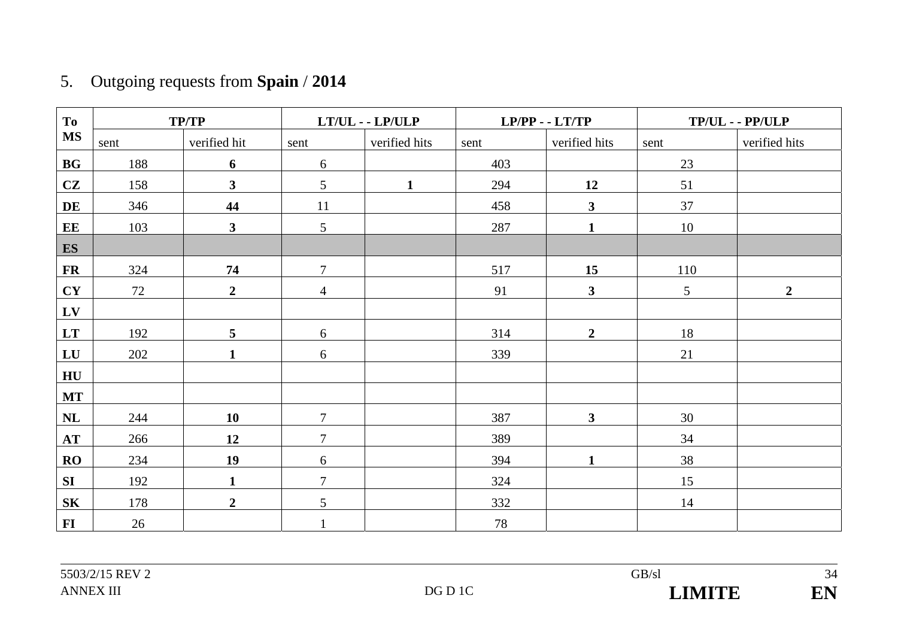# 5. Outgoing requests from **Spain** / **2014**

| <b>To</b>        |      | <b>TP/TP</b>     |                | $LT/UL$ - $LP/ULP$ |      | $LP/PP - LTT/TP$        |                | $TP/UL - PP/ULP$ |
|------------------|------|------------------|----------------|--------------------|------|-------------------------|----------------|------------------|
| <b>MS</b>        | sent | verified hit     | sent           | verified hits      | sent | verified hits           | sent           | verified hits    |
| BG               | 188  | 6                | 6              |                    | 403  |                         | 23             |                  |
| CZ               | 158  | $\mathbf{3}$     | 5              | $\mathbf{1}$       | 294  | 12                      | 51             |                  |
| DE               | 346  | 44               | 11             |                    | 458  | $\overline{\mathbf{3}}$ | 37             |                  |
| EE               | 103  | $\mathbf{3}$     | 5              |                    | 287  | $\mathbf{1}$            | 10             |                  |
| ES               |      |                  |                |                    |      |                         |                |                  |
| ${\bf FR}$       | 324  | 74               | $\overline{7}$ |                    | 517  | 15                      | 110            |                  |
| CY               | 72   | $\overline{2}$   | $\overline{4}$ |                    | 91   | $\mathbf{3}$            | $\mathfrak{S}$ | $\overline{2}$   |
| LV               |      |                  |                |                    |      |                         |                |                  |
| LT               | 192  | 5                | 6              |                    | 314  | $\overline{2}$          | 18             |                  |
| ${\bf L}{\bf U}$ | 202  | $\mathbf{1}$     | 6              |                    | 339  |                         | 21             |                  |
| HU               |      |                  |                |                    |      |                         |                |                  |
| <b>MT</b>        |      |                  |                |                    |      |                         |                |                  |
| $\mathbf{NL}$    | 244  | <b>10</b>        | $\overline{7}$ |                    | 387  | $\mathbf{3}$            | 30             |                  |
| AT               | 266  | 12               | $\overline{7}$ |                    | 389  |                         | 34             |                  |
| RO               | 234  | 19               | 6              |                    | 394  | $\mathbf{1}$            | 38             |                  |
| SI               | 192  | $\mathbf{1}$     | $\overline{7}$ |                    | 324  |                         | 15             |                  |
| S <sub>K</sub>   | 178  | $\boldsymbol{2}$ | 5              |                    | 332  |                         | 14             |                  |
| $\bf{FI}$        | 26   |                  |                |                    | 78   |                         |                |                  |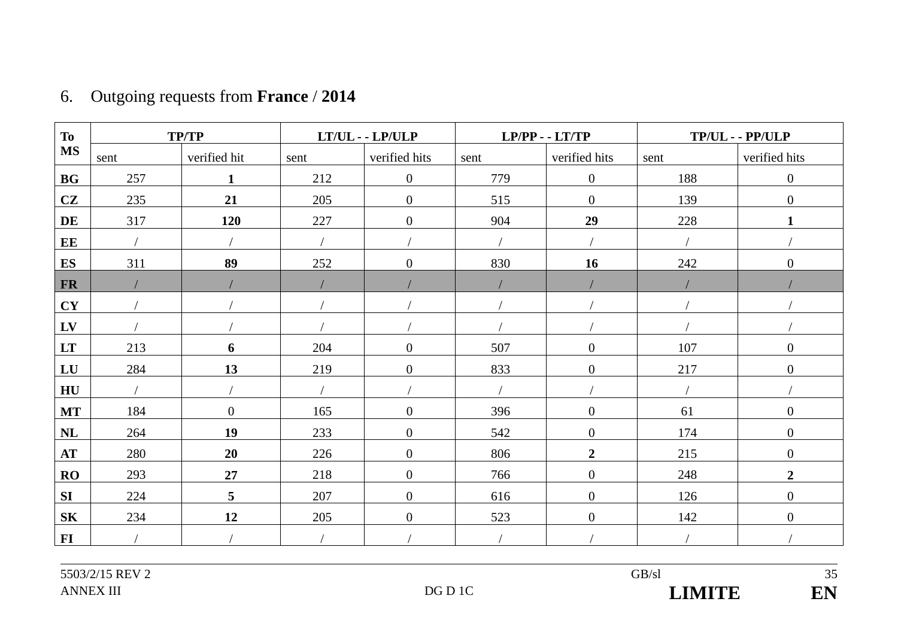| <b>To</b>      |      | <b>TP/TP</b>   |      | $LT/UL$ - $LP/ULP$ |      | $LP/PP - LTT/TP$ |      | TP/UL--PP/ULP    |
|----------------|------|----------------|------|--------------------|------|------------------|------|------------------|
| <b>MS</b>      | sent | verified hit   | sent | verified hits      | sent | verified hits    | sent | verified hits    |
| <b>BG</b>      | 257  | $\mathbf{1}$   | 212  | $\boldsymbol{0}$   | 779  | $\mathbf{0}$     | 188  | $\boldsymbol{0}$ |
| CZ             | 235  | 21             | 205  | $\overline{0}$     | 515  | $\overline{0}$   | 139  | $\boldsymbol{0}$ |
| DE             | 317  | 120            | 227  | $\overline{0}$     | 904  | 29               | 228  | $\mathbf{1}$     |
| EE             |      |                |      |                    |      |                  |      |                  |
| <b>ES</b>      | 311  | 89             | 252  | $\boldsymbol{0}$   | 830  | 16               | 242  | $\overline{0}$   |
| <b>FR</b>      |      |                |      |                    |      |                  |      |                  |
| <b>CY</b>      |      |                |      |                    |      |                  |      |                  |
| LV             |      |                |      |                    |      |                  |      |                  |
| LT             | 213  | 6              | 204  | $\boldsymbol{0}$   | 507  | $\mathbf{0}$     | 107  | $\boldsymbol{0}$ |
| LU             | 284  | 13             | 219  | $\boldsymbol{0}$   | 833  | $\mathbf{0}$     | 217  | $\boldsymbol{0}$ |
| H <sub>U</sub> |      |                |      |                    |      |                  |      |                  |
| <b>MT</b>      | 184  | $\mathbf{0}$   | 165  | $\boldsymbol{0}$   | 396  | $\overline{0}$   | 61   | $\boldsymbol{0}$ |
| NL             | 264  | 19             | 233  | $\overline{0}$     | 542  | $\Omega$         | 174  | $\boldsymbol{0}$ |
| AT             | 280  | 20             | 226  | $\overline{0}$     | 806  | $\overline{2}$   | 215  | $\overline{0}$   |
| RO             | 293  | 27             | 218  | $\overline{0}$     | 766  | $\overline{0}$   | 248  | $\overline{2}$   |
| SI             | 224  | $\overline{5}$ | 207  | $\overline{0}$     | 616  | $\overline{0}$   | 126  | $\boldsymbol{0}$ |
| <b>SK</b>      | 234  | 12             | 205  | $\boldsymbol{0}$   | 523  | $\overline{0}$   | 142  | $\boldsymbol{0}$ |
| $FI$           |      |                |      |                    |      |                  |      |                  |

# 6. Outgoing requests from **France** / **2014**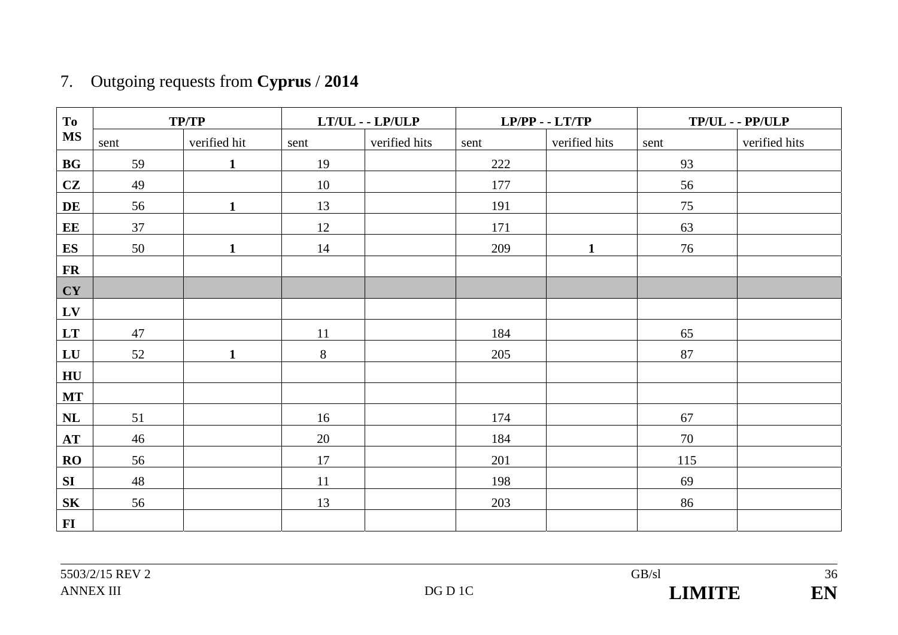# 7. Outgoing requests from **Cyprus** / **2014**

| To               | TP/TP |              |       | $LT/UL$ - $LP/ULP$ |      | $LP/PP - LTT/TP$ |      | $TP/UL - PP/ULP$ |
|------------------|-------|--------------|-------|--------------------|------|------------------|------|------------------|
| <b>MS</b>        | sent  | verified hit | sent  | verified hits      | sent | verified hits    | sent | verified hits    |
| BG               | 59    | $\mathbf{1}$ | 19    |                    | 222  |                  | 93   |                  |
| CZ               | 49    |              | 10    |                    | 177  |                  | 56   |                  |
| DE               | 56    | $\mathbf{1}$ | 13    |                    | 191  |                  | 75   |                  |
| EE               | 37    |              | 12    |                    | 171  |                  | 63   |                  |
| ES               | 50    | $\mathbf{1}$ | 14    |                    | 209  | $\mathbf{1}$     | 76   |                  |
| $\mathbf{FR}$    |       |              |       |                    |      |                  |      |                  |
| CY               |       |              |       |                    |      |                  |      |                  |
| $L$ V            |       |              |       |                    |      |                  |      |                  |
| LT               | 47    |              | 11    |                    | 184  |                  | 65   |                  |
| LU               | 52    | $\mathbf{1}$ | $8\,$ |                    | 205  |                  | 87   |                  |
| H <sub>U</sub>   |       |              |       |                    |      |                  |      |                  |
| $\bf MT$         |       |              |       |                    |      |                  |      |                  |
| NL               | 51    |              | 16    |                    | 174  |                  | 67   |                  |
| AT               | 46    |              | 20    |                    | 184  |                  | 70   |                  |
| RO               | 56    |              | 17    |                    | 201  |                  | 115  |                  |
| SI               | 48    |              | 11    |                    | 198  |                  | 69   |                  |
| ${\bf S}{\bf K}$ | 56    |              | 13    |                    | 203  |                  | 86   |                  |
| $FI$             |       |              |       |                    |      |                  |      |                  |

36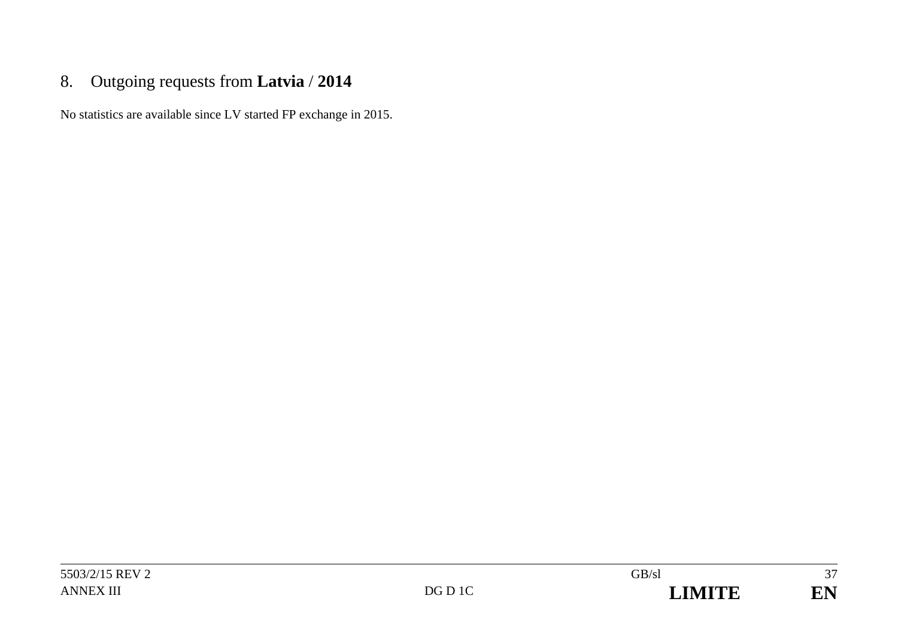## 8. Outgoing requests from **Latvia** / **2014**

No statistics are available since LV started FP exchange in 2015.

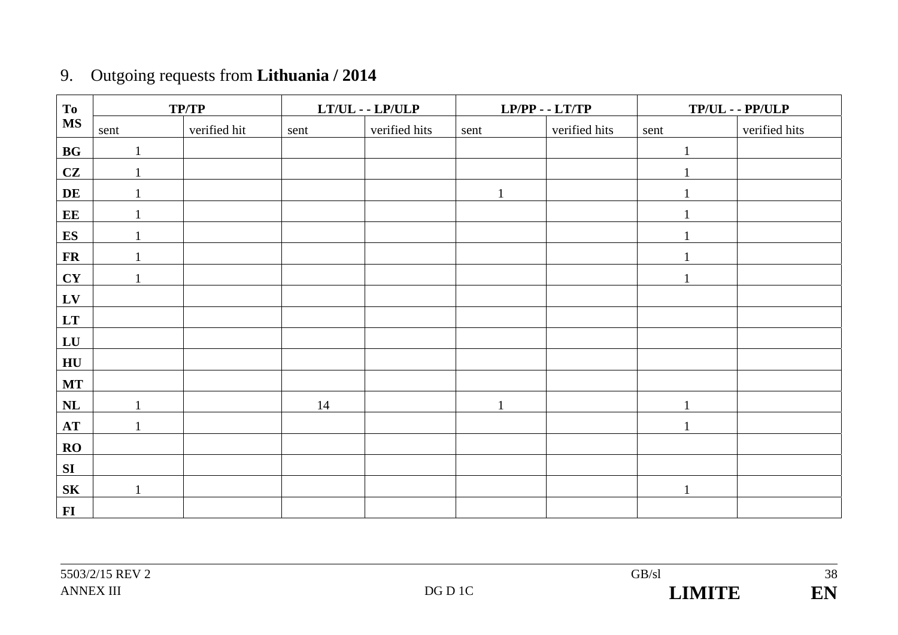| 9. | Outgoing requests from <b>Lithuania</b> / 2014 |  |
|----|------------------------------------------------|--|
|    |                                                |  |

| To                     |              | <b>TP/TP</b> |      | $LT/UL$ - $LP/ULP$ |              | $LP/PP - LTT/TP$ |              | $TP/UL - PP/ULP$ |
|------------------------|--------------|--------------|------|--------------------|--------------|------------------|--------------|------------------|
| $\overline{\text{MS}}$ | sent         | verified hit | sent | verified hits      | sent         | verified hits    | sent         | verified hits    |
| BG                     |              |              |      |                    |              |                  | 1            |                  |
| CZ                     |              |              |      |                    |              |                  |              |                  |
| DE                     |              |              |      |                    | $\mathbf{1}$ |                  |              |                  |
| EE                     |              |              |      |                    |              |                  |              |                  |
| <b>ES</b>              |              |              |      |                    |              |                  |              |                  |
| ${\bf FR}$             |              |              |      |                    |              |                  |              |                  |
| CY                     | $\mathbf{1}$ |              |      |                    |              |                  | $\mathbf{1}$ |                  |
| ${\bf L}{\bf V}$       |              |              |      |                    |              |                  |              |                  |
| $\mathbf{L}\mathbf{T}$ |              |              |      |                    |              |                  |              |                  |
| LU                     |              |              |      |                    |              |                  |              |                  |
| ${\bf H}{\bf U}$       |              |              |      |                    |              |                  |              |                  |
| <b>MT</b>              |              |              |      |                    |              |                  |              |                  |
| $\mathbf{NL}$          | $\mathbf{1}$ |              | 14   |                    | $\mathbf{1}$ |                  | $\mathbf{1}$ |                  |
| AT                     |              |              |      |                    |              |                  |              |                  |
| RO                     |              |              |      |                    |              |                  |              |                  |
| ${\bf SI}$             |              |              |      |                    |              |                  |              |                  |
| ${\bf S}{\bf K}$       |              |              |      |                    |              |                  | 1            |                  |
| $\mathbf{FI}$          |              |              |      |                    |              |                  |              |                  |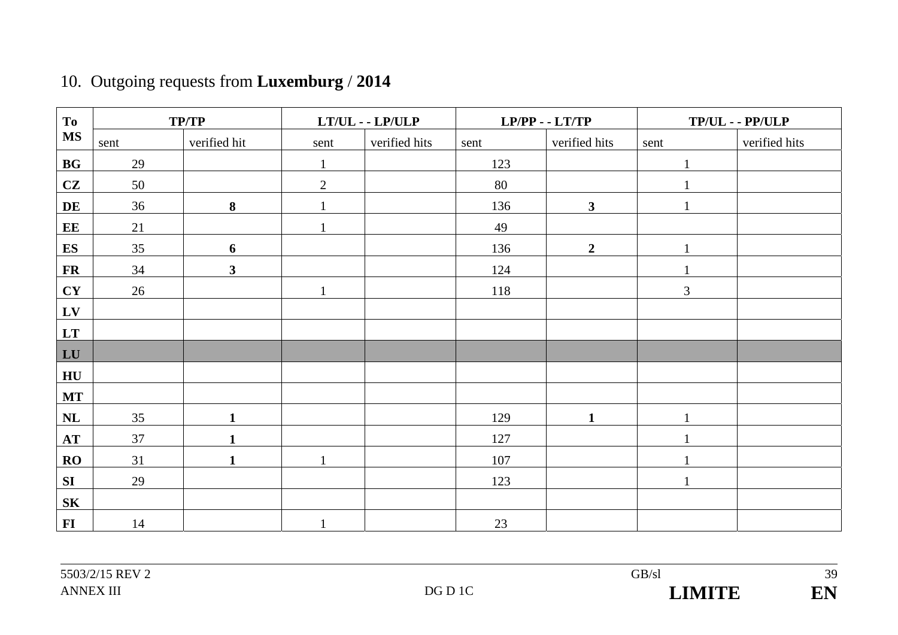| To             |      | TP/TP        |                | $LT/UL$ - $LP/ULP$ |      | $LP/PP - LTT/TP$ |                | $TP/UL - PP/ULP$ |
|----------------|------|--------------|----------------|--------------------|------|------------------|----------------|------------------|
| <b>MS</b>      | sent | verified hit | sent           | verified hits      | sent | verified hits    | sent           | verified hits    |
| $\mathbf{B}$ G | 29   |              | $\mathbf{1}$   |                    | 123  |                  | $\mathbf{1}$   |                  |
| CZ             | 50   |              | $\overline{2}$ |                    | 80   |                  |                |                  |
| DE             | 36   | $\bf{8}$     |                |                    | 136  | $\mathbf{3}$     |                |                  |
| EE             | 21   |              | $\mathbf 1$    |                    | 49   |                  |                |                  |
| ES             | 35   | 6            |                |                    | 136  | $\boldsymbol{2}$ |                |                  |
| <b>FR</b>      | 34   | $\mathbf{3}$ |                |                    | 124  |                  |                |                  |
| CY             | 26   |              | $\mathbf{1}$   |                    | 118  |                  | $\mathfrak{Z}$ |                  |
| $L$ V          |      |              |                |                    |      |                  |                |                  |
| LT             |      |              |                |                    |      |                  |                |                  |
| LU             |      |              |                |                    |      |                  |                |                  |
| H <sub>U</sub> |      |              |                |                    |      |                  |                |                  |
| <b>MT</b>      |      |              |                |                    |      |                  |                |                  |
| NL             | 35   | $\mathbf{1}$ |                |                    | 129  | $\mathbf{1}$     | $\mathbf{1}$   |                  |
| AT             | 37   | $\mathbf{1}$ |                |                    | 127  |                  |                |                  |
| $\bf{RO}$      | 31   | $\mathbf{1}$ |                |                    | 107  |                  |                |                  |
| SI             | 29   |              |                |                    | 123  |                  | 1              |                  |
| <b>SK</b>      |      |              |                |                    |      |                  |                |                  |
| $\mathbf{FI}$  | 14   |              |                |                    | 23   |                  |                |                  |

## 10. Outgoing requests from **Luxemburg** / **2014**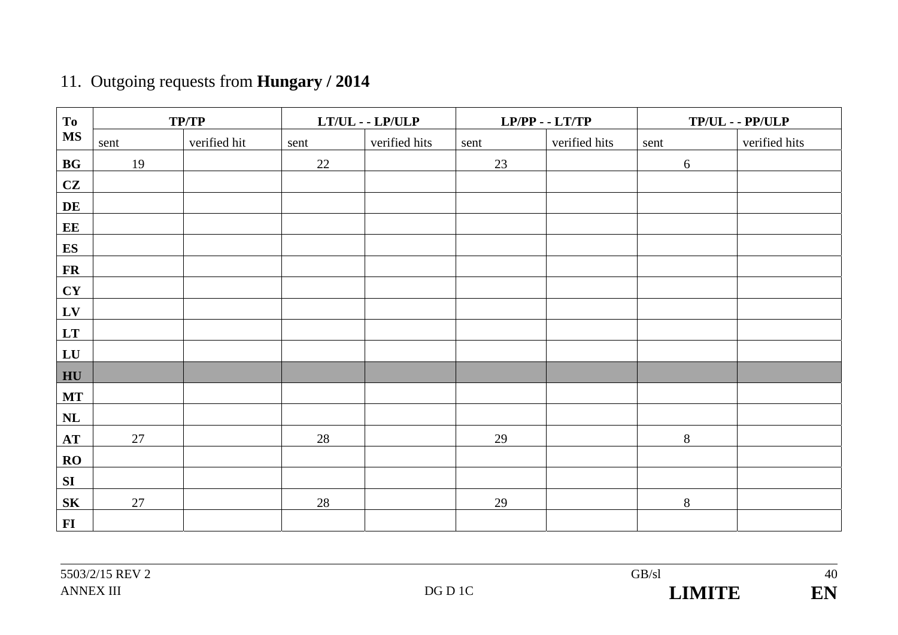# 11. Outgoing requests from **Hungary / 2014**

| T <sub>o</sub>         |        | TP/TP        |      | $LT/UL - LP/ULP$ |      | $LP/PP - LTT/TP$ |            | $TP/UL - PP/ULP$ |
|------------------------|--------|--------------|------|------------------|------|------------------|------------|------------------|
| <b>MS</b>              | sent   | verified hit | sent | verified hits    | sent | verified hits    | sent       | verified hits    |
| BG                     | 19     |              | 22   |                  | 23   |                  | $\sqrt{6}$ |                  |
| CZ                     |        |              |      |                  |      |                  |            |                  |
| DE                     |        |              |      |                  |      |                  |            |                  |
| EE                     |        |              |      |                  |      |                  |            |                  |
| <b>ES</b>              |        |              |      |                  |      |                  |            |                  |
| $\mathbf{FR}$          |        |              |      |                  |      |                  |            |                  |
| CY                     |        |              |      |                  |      |                  |            |                  |
| ${\bf L}{\bf V}$       |        |              |      |                  |      |                  |            |                  |
| $\mathbf{L}\mathbf{T}$ |        |              |      |                  |      |                  |            |                  |
| LU                     |        |              |      |                  |      |                  |            |                  |
| HU                     |        |              |      |                  |      |                  |            |                  |
| <b>MT</b>              |        |              |      |                  |      |                  |            |                  |
| $\mathbf{NL}$          |        |              |      |                  |      |                  |            |                  |
| AT                     | 27     |              | 28   |                  | 29   |                  | $8\,$      |                  |
| $\bf{RO}$              |        |              |      |                  |      |                  |            |                  |
| ${\bf SI}$             |        |              |      |                  |      |                  |            |                  |
| ${\bf S}{\bf K}$       | $27\,$ |              | 28   |                  | 29   |                  | $8\,$      |                  |
| $\mathbf{FI}$          |        |              |      |                  |      |                  |            |                  |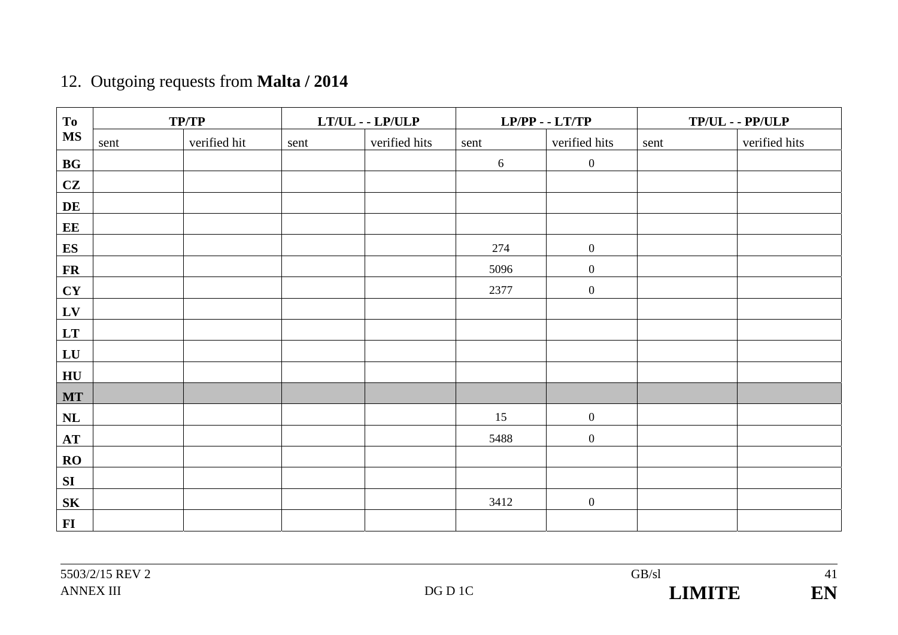# 12. Outgoing requests from **Malta / 2014**

| To               |      | TP/TP        |      | $LT/UL - LP/ULP$ |      | $LP/PP - LTT/TP$ |      | $TP/UL - PP/ULP$ |
|------------------|------|--------------|------|------------------|------|------------------|------|------------------|
| <b>MS</b>        | sent | verified hit | sent | verified hits    | sent | verified hits    | sent | verified hits    |
| BG               |      |              |      |                  | 6    | $\boldsymbol{0}$ |      |                  |
| CZ               |      |              |      |                  |      |                  |      |                  |
| DE               |      |              |      |                  |      |                  |      |                  |
| EE               |      |              |      |                  |      |                  |      |                  |
| ES               |      |              |      |                  | 274  | $\boldsymbol{0}$ |      |                  |
| ${\bf FR}$       |      |              |      |                  | 5096 | $\boldsymbol{0}$ |      |                  |
| CY               |      |              |      |                  | 2377 | $\boldsymbol{0}$ |      |                  |
| LV               |      |              |      |                  |      |                  |      |                  |
| LT               |      |              |      |                  |      |                  |      |                  |
| LU               |      |              |      |                  |      |                  |      |                  |
| HU               |      |              |      |                  |      |                  |      |                  |
| MT               |      |              |      |                  |      |                  |      |                  |
| NL               |      |              |      |                  | 15   | $\boldsymbol{0}$ |      |                  |
| $\bf AT$         |      |              |      |                  | 5488 | $\boldsymbol{0}$ |      |                  |
| RO               |      |              |      |                  |      |                  |      |                  |
| SI               |      |              |      |                  |      |                  |      |                  |
| ${\bf S}{\bf K}$ |      |              |      |                  | 3412 | $\boldsymbol{0}$ |      |                  |
| $\bf{FI}$        |      |              |      |                  |      |                  |      |                  |

41

EN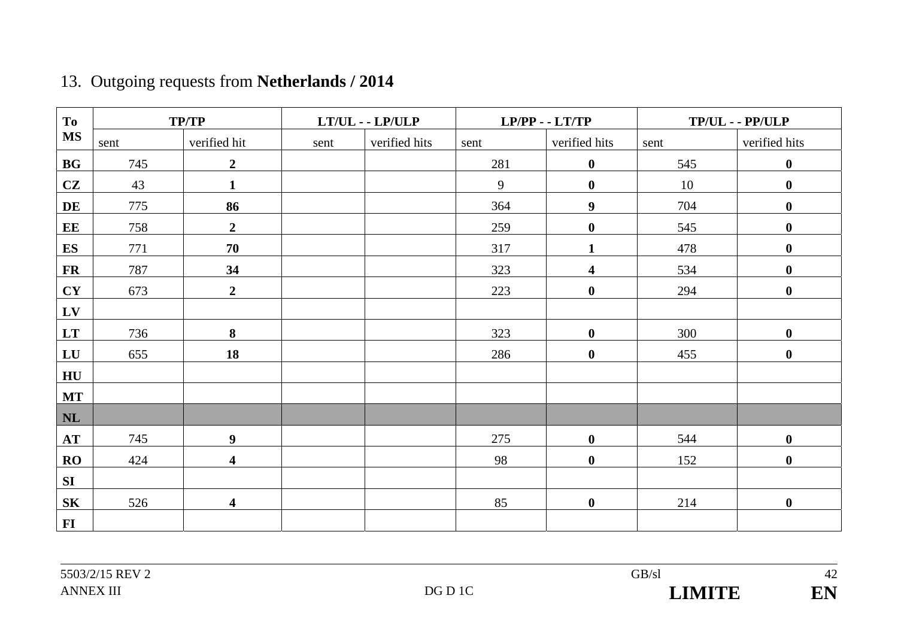| <b>To</b> |      | <b>TP/TP</b>            |      | $LT/UL$ - $LP/ULP$ |      | $LP/PP - LTT/TP$        |      | $TP/UL - PP/ULP$ |  |  |
|-----------|------|-------------------------|------|--------------------|------|-------------------------|------|------------------|--|--|
| <b>MS</b> | sent | verified hit            | sent | verified hits      | sent | verified hits           | sent | verified hits    |  |  |
| BG        | 745  | $\overline{2}$          |      |                    | 281  | $\bf{0}$                | 545  | $\boldsymbol{0}$ |  |  |
| CZ        | 43   | $\mathbf{1}$            |      |                    | 9    | $\bf{0}$                | 10   | $\boldsymbol{0}$ |  |  |
| DE        | 775  | 86                      |      |                    | 364  | $\boldsymbol{9}$        | 704  | $\boldsymbol{0}$ |  |  |
| EE        | 758  | $\boldsymbol{2}$        |      |                    | 259  | $\boldsymbol{0}$        | 545  | $\boldsymbol{0}$ |  |  |
| <b>ES</b> | 771  | 70                      |      |                    | 317  | 1                       | 478  | $\boldsymbol{0}$ |  |  |
| <b>FR</b> | 787  | 34                      |      |                    | 323  | $\overline{\mathbf{4}}$ | 534  | $\boldsymbol{0}$ |  |  |
| CY        | 673  | $\overline{2}$          |      |                    | 223  | $\boldsymbol{0}$        | 294  | $\boldsymbol{0}$ |  |  |
| LV        |      |                         |      |                    |      |                         |      |                  |  |  |
| LT        | 736  | 8                       |      |                    | 323  | $\bf{0}$                | 300  | $\boldsymbol{0}$ |  |  |
| LU        | 655  | 18                      |      |                    | 286  | $\bf{0}$                | 455  | $\bf{0}$         |  |  |
| HU        |      |                         |      |                    |      |                         |      |                  |  |  |
| <b>MT</b> |      |                         |      |                    |      |                         |      |                  |  |  |
| NL        |      |                         |      |                    |      |                         |      |                  |  |  |
| AT        | 745  | $\boldsymbol{9}$        |      |                    | 275  | $\boldsymbol{0}$        | 544  | $\boldsymbol{0}$ |  |  |
| RO        | 424  | $\overline{\mathbf{4}}$ |      |                    | 98   | $\boldsymbol{0}$        | 152  | $\boldsymbol{0}$ |  |  |
| SI        |      |                         |      |                    |      |                         |      |                  |  |  |
| <b>SK</b> | 526  | $\overline{\mathbf{4}}$ |      |                    | 85   | $\bf{0}$                | 214  | $\boldsymbol{0}$ |  |  |
| $FI$      |      |                         |      |                    |      |                         |      |                  |  |  |

## 13. Outgoing requests from **Netherlands / 2014**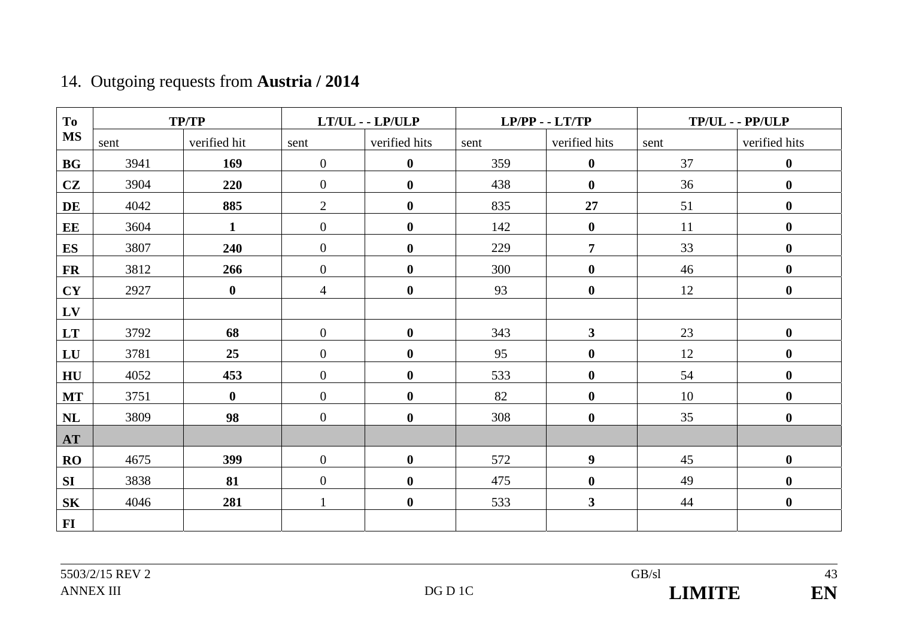## 14. Outgoing requests from **Austria / 2014**

| To             |      | <b>TP/TP</b> |                  | $LT/UL$ - $LP/ULP$ |      | $LP/PP - LTT/TP$ | $TP/UL - PP/ULP$ |                  |  |
|----------------|------|--------------|------------------|--------------------|------|------------------|------------------|------------------|--|
| <b>MS</b>      | sent | verified hit | sent             | verified hits      | sent | verified hits    | sent             | verified hits    |  |
| <b>BG</b>      | 3941 | 169          | $\mathbf{0}$     | $\boldsymbol{0}$   | 359  | $\bf{0}$         | 37               | $\boldsymbol{0}$ |  |
| CZ             | 3904 | 220          | $\overline{0}$   | $\boldsymbol{0}$   | 438  | $\boldsymbol{0}$ | 36               | $\boldsymbol{0}$ |  |
| DE             | 4042 | 885          | $\overline{2}$   | $\boldsymbol{0}$   | 835  | 27               | 51               | $\boldsymbol{0}$ |  |
| EE             | 3604 | $\mathbf{1}$ | $\overline{0}$   | $\boldsymbol{0}$   | 142  | $\bf{0}$         | 11               | $\boldsymbol{0}$ |  |
| <b>ES</b>      | 3807 | 240          | $\mathbf{0}$     | $\boldsymbol{0}$   | 229  | $\overline{7}$   | 33               | $\boldsymbol{0}$ |  |
| <b>FR</b>      | 3812 | 266          | $\overline{0}$   | $\boldsymbol{0}$   | 300  | $\bf{0}$         | 46               | $\boldsymbol{0}$ |  |
| CY             | 2927 | $\bf{0}$     | $\overline{4}$   | $\bf{0}$           | 93   | $\bf{0}$         | 12               | $\boldsymbol{0}$ |  |
| LV             |      |              |                  |                    |      |                  |                  |                  |  |
| LT             | 3792 | 68           | $\boldsymbol{0}$ | $\boldsymbol{0}$   | 343  | $\mathbf{3}$     | 23               | $\boldsymbol{0}$ |  |
| LU             | 3781 | 25           | $\mathbf{0}$     | $\boldsymbol{0}$   | 95   | $\bf{0}$         | 12               | $\boldsymbol{0}$ |  |
| H <sub>U</sub> | 4052 | 453          | $\overline{0}$   | $\boldsymbol{0}$   | 533  | $\bf{0}$         | 54               | $\boldsymbol{0}$ |  |
| <b>MT</b>      | 3751 | $\bf{0}$     | $\overline{0}$   | $\boldsymbol{0}$   | 82   | $\bf{0}$         | 10               | $\boldsymbol{0}$ |  |
| NL             | 3809 | 98           | $\overline{0}$   | $\boldsymbol{0}$   | 308  | $\boldsymbol{0}$ | 35               | $\boldsymbol{0}$ |  |
| <b>AT</b>      |      |              |                  |                    |      |                  |                  |                  |  |
| RO             | 4675 | 399          | $\overline{0}$   | $\bf{0}$           | 572  | $\boldsymbol{9}$ | 45               | $\boldsymbol{0}$ |  |
| <b>SI</b>      | 3838 | 81           | $\mathbf{0}$     | $\boldsymbol{0}$   | 475  | $\bf{0}$         | 49               | $\boldsymbol{0}$ |  |
| <b>SK</b>      | 4046 | 281          | $\mathbf{1}$     | $\boldsymbol{0}$   | 533  | $\mathbf{3}$     | 44               | $\boldsymbol{0}$ |  |
| $FI$           |      |              |                  |                    |      |                  |                  |                  |  |

43 EN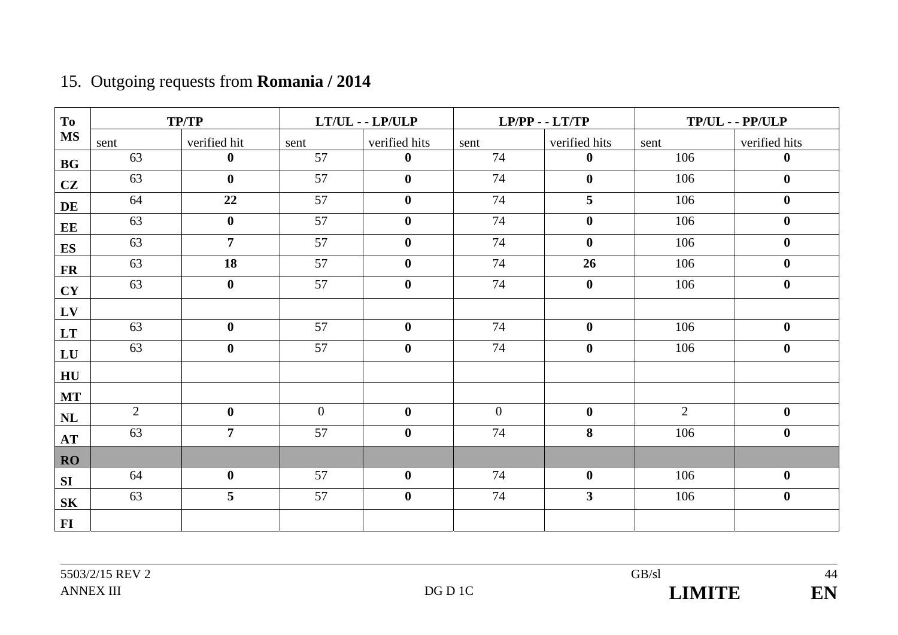| <b>To</b> |                | <b>TP/TP</b>   |                | $LT/UL$ - $LP/ULP$ |              | $LP/PP - LTT/TP$        | $TP/UL - PP/ULP$ |                  |  |
|-----------|----------------|----------------|----------------|--------------------|--------------|-------------------------|------------------|------------------|--|
| <b>MS</b> | sent           | verified hit   | sent           | verified hits      | sent         | verified hits           | sent             | verified hits    |  |
| <b>BG</b> | 63             | $\bf{0}$       | 57             | $\bf{0}$           | 74           | $\bf{0}$                | 106              | $\bf{0}$         |  |
| CZ        | 63             | $\mathbf{0}$   | 57             | $\bf{0}$           | 74           | $\mathbf{0}$            | 106              | $\bf{0}$         |  |
| DE        | 64             | 22             | 57             | $\bf{0}$           | 74           | 5                       | 106              | $\boldsymbol{0}$ |  |
| EE        | 63             | $\bf{0}$       | 57             | $\bf{0}$           | 74           | $\bf{0}$                | 106              | $\boldsymbol{0}$ |  |
| <b>ES</b> | 63             | $\overline{7}$ | 57             | $\bf{0}$           | 74           | $\bf{0}$                | 106              | $\bf{0}$         |  |
| <b>FR</b> | 63             | 18             | 57             | $\boldsymbol{0}$   | 74           | 26                      | 106              | $\bf{0}$         |  |
| <b>CY</b> | 63             | $\bf{0}$       | 57             | $\bf{0}$           | 74           | $\mathbf{0}$            | 106              | $\bf{0}$         |  |
| LV        |                |                |                |                    |              |                         |                  |                  |  |
| <b>LT</b> | 63             | $\bf{0}$       | 57             | $\bf{0}$           | 74           | $\mathbf{0}$            | 106              | $\bf{0}$         |  |
| LU        | 63             | $\mathbf{0}$   | 57             | $\bf{0}$           | 74           | $\bf{0}$                | 106              | $\boldsymbol{0}$ |  |
| HU        |                |                |                |                    |              |                         |                  |                  |  |
| <b>MT</b> |                |                |                |                    |              |                         |                  |                  |  |
| NL        | $\overline{2}$ | $\bf{0}$       | $\overline{0}$ | $\bf{0}$           | $\mathbf{0}$ | $\bf{0}$                | $\overline{2}$   | $\bf{0}$         |  |
| AT        | 63             | $\overline{7}$ | 57             | $\bf{0}$           | 74           | 8                       | 106              | $\boldsymbol{0}$ |  |
| <b>RO</b> |                |                |                |                    |              |                         |                  |                  |  |
| SI        | 64             | $\bf{0}$       | 57             | $\bf{0}$           | 74           | $\bf{0}$                | 106              | $\bf{0}$         |  |
| <b>SK</b> | 63             | 5              | 57             | $\boldsymbol{0}$   | 74           | $\overline{\mathbf{3}}$ | 106              | $\boldsymbol{0}$ |  |
| $\bf{FI}$ |                |                |                |                    |              |                         |                  |                  |  |

## 15. Outgoing requests from **Romania / 2014**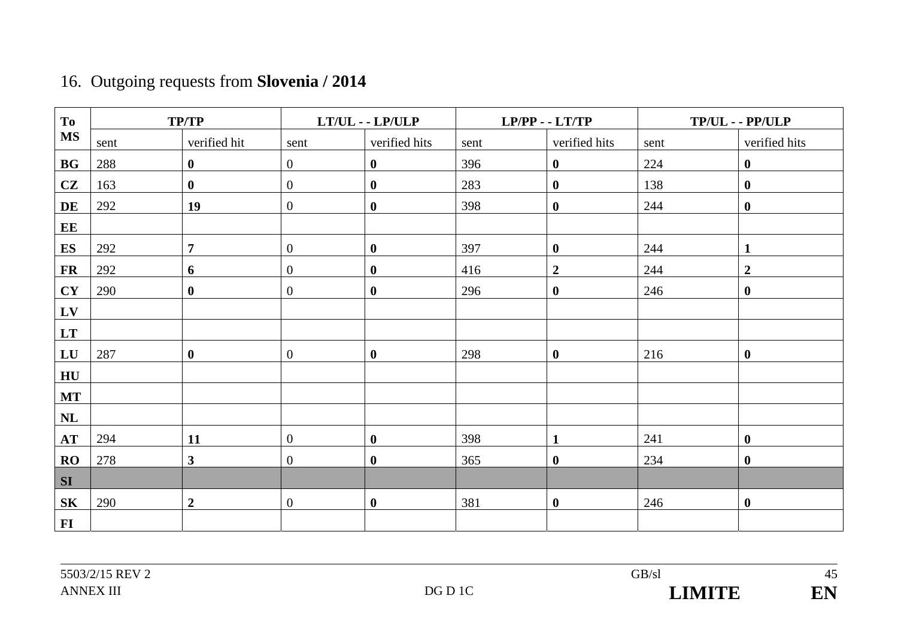# 16. Outgoing requests from **Slovenia / 2014**

| To               | <b>TP/TP</b> |                                               |                                    | $LT/UL$ - $LP/ULP$ |                    | $LP/PP - LTT/TP$ | $TP/UL - PP/ULP$ |                |  |
|------------------|--------------|-----------------------------------------------|------------------------------------|--------------------|--------------------|------------------|------------------|----------------|--|
| <b>MS</b>        | sent         | verified hit<br>verified hits<br>sent<br>sent |                                    |                    | verified hits      |                  | verified hits    |                |  |
| <b>BG</b>        | 288          | $\bf{0}$                                      | $\boldsymbol{0}$                   | $\bf{0}$           | 396                | $\bf{0}$         | 224              | $\bf{0}$       |  |
| CZ               | 163          | $\bf{0}$                                      | $\boldsymbol{0}$                   | $\boldsymbol{0}$   | 283                | $\bf{0}$         | 138              | $\bf{0}$       |  |
| DE               | 292          | 19                                            | $\overline{0}$                     | $\boldsymbol{0}$   | 398                | $\bf{0}$         | 244              | $\mathbf{0}$   |  |
| EE               |              |                                               |                                    |                    |                    |                  |                  |                |  |
| ES               | 292          | $\overline{7}$                                | $\boldsymbol{0}$                   | $\boldsymbol{0}$   | 397                | $\mathbf{0}$     | 244              | $\mathbf{1}$   |  |
| <b>FR</b>        | 292          | 6                                             | $\boldsymbol{0}$                   | $\bf{0}$           | 416                | $\boldsymbol{2}$ | 244              | $\overline{2}$ |  |
| <b>CY</b>        | 290          | $\bf{0}$                                      | $\boldsymbol{0}$                   | $\boldsymbol{0}$   | 296                | $\mathbf{0}$     | 246              | $\bf{0}$       |  |
| LV               |              |                                               |                                    |                    |                    |                  |                  |                |  |
| LT               |              |                                               |                                    |                    |                    |                  |                  |                |  |
| LU               | 287          | $\bf{0}$                                      | $\overline{0}$<br>$\boldsymbol{0}$ |                    | 298<br>$\mathbf 0$ |                  | 216<br>$\bf{0}$  |                |  |
| ${\bf H}{\bf U}$ |              |                                               |                                    |                    |                    |                  |                  |                |  |
| <b>MT</b>        |              |                                               |                                    |                    |                    |                  |                  |                |  |
| NL               |              |                                               |                                    |                    |                    |                  |                  |                |  |
| AT               | 294          | 11                                            | $\overline{0}$                     | $\boldsymbol{0}$   | 398                | $\mathbf{1}$     | 241              | $\mathbf{0}$   |  |
| RO               | 278          | $\overline{\mathbf{3}}$                       | $\overline{0}$                     | $\boldsymbol{0}$   | 365                | $\mathbf{0}$     | 234              | $\mathbf{0}$   |  |
| <b>SI</b>        |              |                                               |                                    |                    |                    |                  |                  |                |  |
| <b>SK</b>        | 290          | $\boldsymbol{2}$                              | $\boldsymbol{0}$                   | $\boldsymbol{0}$   | 381                | $\mathbf{0}$     | 246              | $\bf{0}$       |  |
| $\bf{FI}$        |              |                                               |                                    |                    |                    |                  |                  |                |  |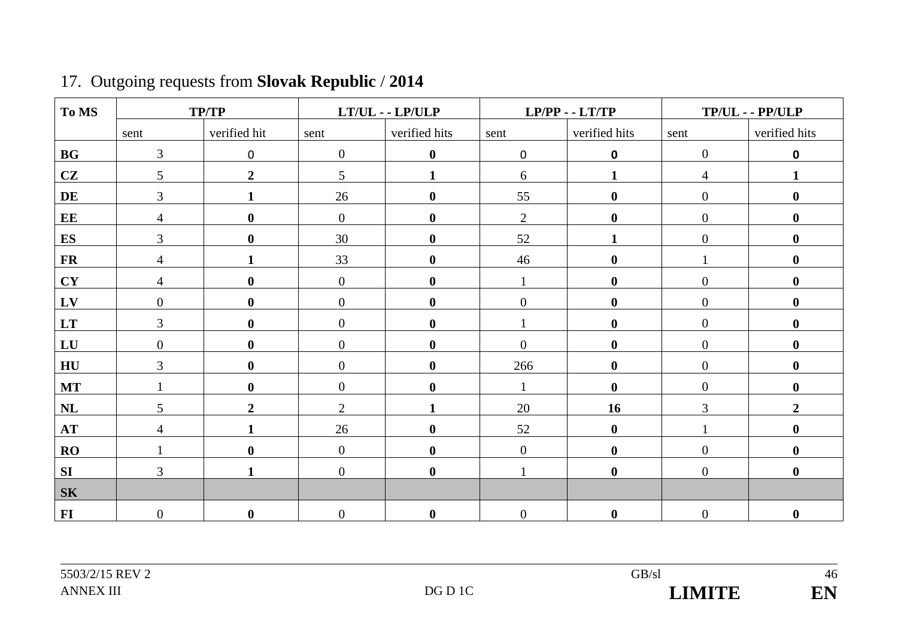| To MS          |                  | <b>TP/TP</b>     |                  | $LT/UL$ - $LP/ULP$ |                  | $LP/PP - LTT/TP$ | $TP/UL - PP/ULP$ |                  |  |
|----------------|------------------|------------------|------------------|--------------------|------------------|------------------|------------------|------------------|--|
|                | sent             | verified hit     | sent             | verified hits      | sent             | verified hits    | sent             | verified hits    |  |
| BG             | $\mathfrak{Z}$   | $\mathbf 0$      | $\boldsymbol{0}$ | $\bf{0}$           | $\boldsymbol{0}$ | $\mathbf 0$      | $\mathbf{0}$     | $\mathbf 0$      |  |
| CZ             | 5                | $\boldsymbol{2}$ | $5\overline{)}$  | $\mathbf{1}$       | $6\,$            | 1                | $\overline{4}$   | $\mathbf{1}$     |  |
| DE             | $\overline{3}$   | $\mathbf{1}$     | 26               | $\bf{0}$           | 55               | $\bf{0}$         | $\overline{0}$   | $\boldsymbol{0}$ |  |
| EE             | $\overline{4}$   | $\boldsymbol{0}$ | $\boldsymbol{0}$ | $\boldsymbol{0}$   | $\overline{2}$   | $\bf{0}$         | $\boldsymbol{0}$ | $\boldsymbol{0}$ |  |
| ES             | 3                | $\boldsymbol{0}$ | 30               | $\bf{0}$           | 52               |                  | $\overline{0}$   | $\boldsymbol{0}$ |  |
| <b>FR</b>      | $\overline{4}$   | $\blacksquare$   | 33               | $\boldsymbol{0}$   | 46               | $\mathbf{0}$     |                  | $\boldsymbol{0}$ |  |
| CY             | $\overline{4}$   | $\boldsymbol{0}$ | $\overline{0}$   | $\bf{0}$           |                  | $\bf{0}$         | $\overline{0}$   | $\boldsymbol{0}$ |  |
| LV             | $\boldsymbol{0}$ | $\boldsymbol{0}$ | $\boldsymbol{0}$ | $\bf{0}$           | $\overline{0}$   | $\mathbf{0}$     | $\mathbf{0}$     | $\bf{0}$         |  |
| <b>LT</b>      | $\overline{3}$   | $\boldsymbol{0}$ | $\boldsymbol{0}$ | $\bf{0}$           |                  | $\bf{0}$         | $\overline{0}$   | $\bf{0}$         |  |
| LU             | $\boldsymbol{0}$ | $\bf{0}$         | $\boldsymbol{0}$ | $\boldsymbol{0}$   | $\overline{0}$   | $\mathbf{0}$     | $\mathbf{0}$     | $\boldsymbol{0}$ |  |
| H <sub>U</sub> | 3                | $\boldsymbol{0}$ | $\boldsymbol{0}$ | $\bf{0}$           | 266              | $\bf{0}$         | $\boldsymbol{0}$ | $\bf{0}$         |  |
| <b>MT</b>      |                  | $\boldsymbol{0}$ | $\overline{0}$   | $\bf{0}$           |                  | $\mathbf 0$      | $\overline{0}$   | $\boldsymbol{0}$ |  |
| NL             | 5                | $\overline{2}$   | $\overline{2}$   |                    | 20               | 16               | 3                | $\boldsymbol{2}$ |  |
| <b>AT</b>      | $\overline{4}$   | 1                | 26               | $\mathbf 0$        | 52               | $\mathbf{0}$     |                  | $\boldsymbol{0}$ |  |
| RO             |                  | $\boldsymbol{0}$ | $\overline{0}$   | $\bf{0}$           | $\overline{0}$   | $\mathbf{0}$     | $\mathbf{0}$     | $\boldsymbol{0}$ |  |
| SI             | $\overline{3}$   | $\mathbf{1}$     | $\overline{0}$   | $\bf{0}$           | $\mathbf{1}$     | $\mathbf{0}$     | $\overline{0}$   | $\bf{0}$         |  |
| <b>SK</b>      |                  |                  |                  |                    |                  |                  |                  |                  |  |
| $FI$           | $\overline{0}$   | $\boldsymbol{0}$ | $\boldsymbol{0}$ | $\bf{0}$           | $\boldsymbol{0}$ | $\bf{0}$         | $\mathbf{0}$     | $\bf{0}$         |  |

## 17. Outgoing requests from **Slovak Republic** / **2014**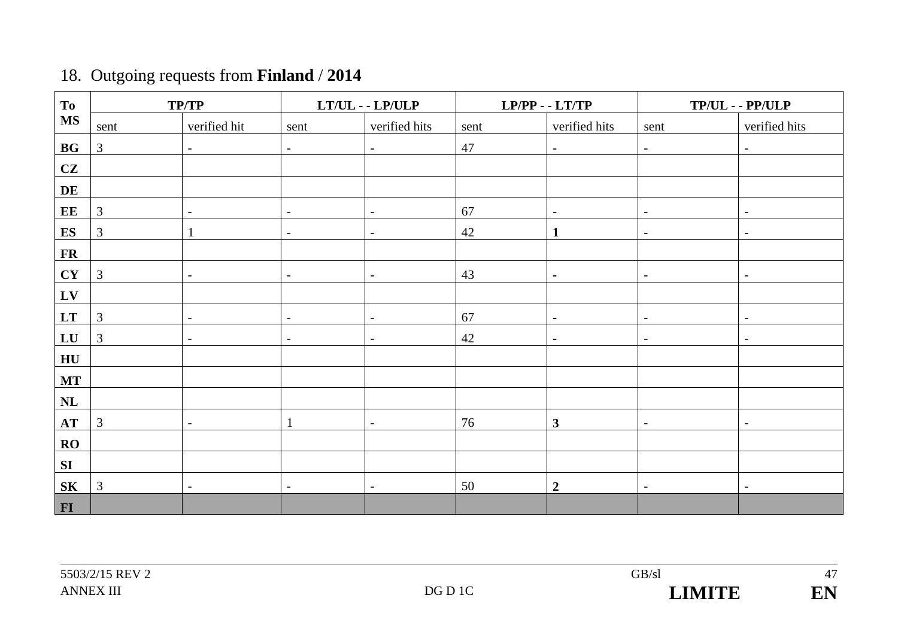## 18. Outgoing requests from **Finland** / **2014**

| <b>To</b>        | <b>TP/TP</b>   |                          |                          | $LT/UL - LP/ULP$         | $LP/PP - LTT/TP$      |                          | $TP/UL - PP/ULP$                                     |                          |  |
|------------------|----------------|--------------------------|--------------------------|--------------------------|-----------------------|--------------------------|------------------------------------------------------|--------------------------|--|
| <b>MS</b>        | sent           | verified hit             | sent                     | verified hits            | verified hits<br>sent |                          | sent                                                 | verified hits            |  |
| BG               | $\mathfrak{Z}$ | $\overline{\phantom{a}}$ | $\overline{\phantom{a}}$ | $\blacksquare$           | 47                    | $\overline{\phantom{a}}$ | $\overline{\phantom{a}}$                             | $\blacksquare$           |  |
| CZ               |                |                          |                          |                          |                       |                          |                                                      |                          |  |
| DE               |                |                          |                          |                          |                       |                          |                                                      |                          |  |
| EE               | $\mathfrak{Z}$ | $\overline{\phantom{a}}$ | $\overline{\phantom{a}}$ | $\sim$                   | 67                    | $\overline{\phantom{a}}$ | $\overline{\phantom{a}}$                             | $\overline{\phantom{a}}$ |  |
| ES               | $\mathfrak{Z}$ |                          | $\overline{\phantom{a}}$ | $\overline{\phantom{a}}$ | 42                    | $\mathbf{1}$             | $\overline{\phantom{a}}$                             | $\overline{\phantom{a}}$ |  |
| <b>FR</b>        |                |                          |                          |                          |                       |                          |                                                      |                          |  |
| CY               | $\mathfrak{Z}$ | $\sim$                   | $\overline{\phantom{a}}$ | $\overline{\phantom{a}}$ | 43<br>$\blacksquare$  |                          | $\overline{\phantom{a}}$<br>$\overline{\phantom{a}}$ |                          |  |
| LV               |                |                          |                          |                          |                       |                          |                                                      |                          |  |
| LT               | $\mathfrak{Z}$ | $\overline{\phantom{a}}$ | $\overline{\phantom{a}}$ | $\overline{\phantom{a}}$ |                       | $\blacksquare$           | $\overline{\phantom{a}}$<br>$\overline{\phantom{a}}$ |                          |  |
| LU               | $\mathfrak{Z}$ | $\overline{\phantom{a}}$ | $\overline{\phantom{a}}$ | $\overline{\phantom{a}}$ | 42                    | $\blacksquare$           | $\overline{\phantom{a}}$                             | $\overline{\phantom{a}}$ |  |
| ${\bf H}{\bf U}$ |                |                          |                          |                          |                       |                          |                                                      |                          |  |
| <b>MT</b>        |                |                          |                          |                          |                       |                          |                                                      |                          |  |
| NL               |                |                          |                          |                          |                       |                          |                                                      |                          |  |
| AT               | $\mathfrak{Z}$ | $\sim$                   | $\mathbf{1}$             | $\overline{\phantom{a}}$ | 76                    | $\mathbf{3}$             | $\overline{\phantom{a}}$                             | $\overline{\phantom{a}}$ |  |
| RO               |                |                          |                          |                          |                       |                          |                                                      |                          |  |
| ${\bf S}{\bf I}$ |                |                          |                          |                          |                       |                          |                                                      |                          |  |
| <b>SK</b>        | $\mathfrak{Z}$ | $\overline{\phantom{0}}$ | $\overline{\phantom{a}}$ | $\overline{\phantom{a}}$ | 50                    | $\boldsymbol{2}$         | $\overline{\phantom{a}}$                             | $\overline{\phantom{a}}$ |  |
| FI               |                |                          |                          |                          |                       |                          |                                                      |                          |  |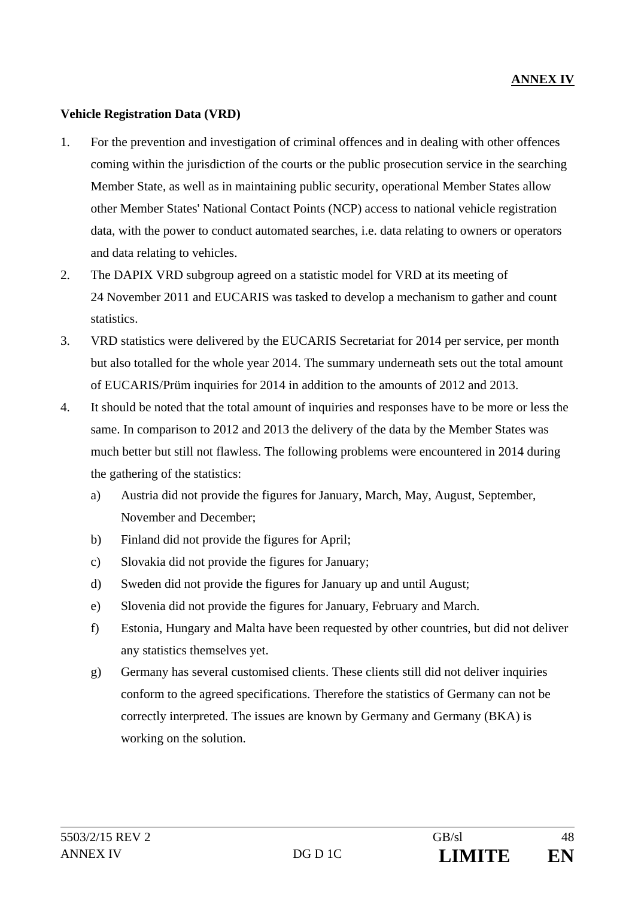#### **Vehicle Registration Data (VRD)**

- 1. For the prevention and investigation of criminal offences and in dealing with other offences coming within the jurisdiction of the courts or the public prosecution service in the searching Member State, as well as in maintaining public security, operational Member States allow other Member States' National Contact Points (NCP) access to national vehicle registration data, with the power to conduct automated searches, i.e. data relating to owners or operators and data relating to vehicles.
- 2. The DAPIX VRD subgroup agreed on a statistic model for VRD at its meeting of 24 November 2011 and EUCARIS was tasked to develop a mechanism to gather and count statistics.
- 3. VRD statistics were delivered by the EUCARIS Secretariat for 2014 per service, per month but also totalled for the whole year 2014. The summary underneath sets out the total amount of EUCARIS/Prüm inquiries for 2014 in addition to the amounts of 2012 and 2013.
- 4. It should be noted that the total amount of inquiries and responses have to be more or less the same. In comparison to 2012 and 2013 the delivery of the data by the Member States was much better but still not flawless. The following problems were encountered in 2014 during the gathering of the statistics:
	- a) Austria did not provide the figures for January, March, May, August, September, November and December;
	- b) Finland did not provide the figures for April;
	- c) Slovakia did not provide the figures for January;
	- d) Sweden did not provide the figures for January up and until August;
	- e) Slovenia did not provide the figures for January, February and March.
	- f) Estonia, Hungary and Malta have been requested by other countries, but did not deliver any statistics themselves yet.
	- g) Germany has several customised clients. These clients still did not deliver inquiries conform to the agreed specifications. Therefore the statistics of Germany can not be correctly interpreted. The issues are known by Germany and Germany (BKA) is working on the solution.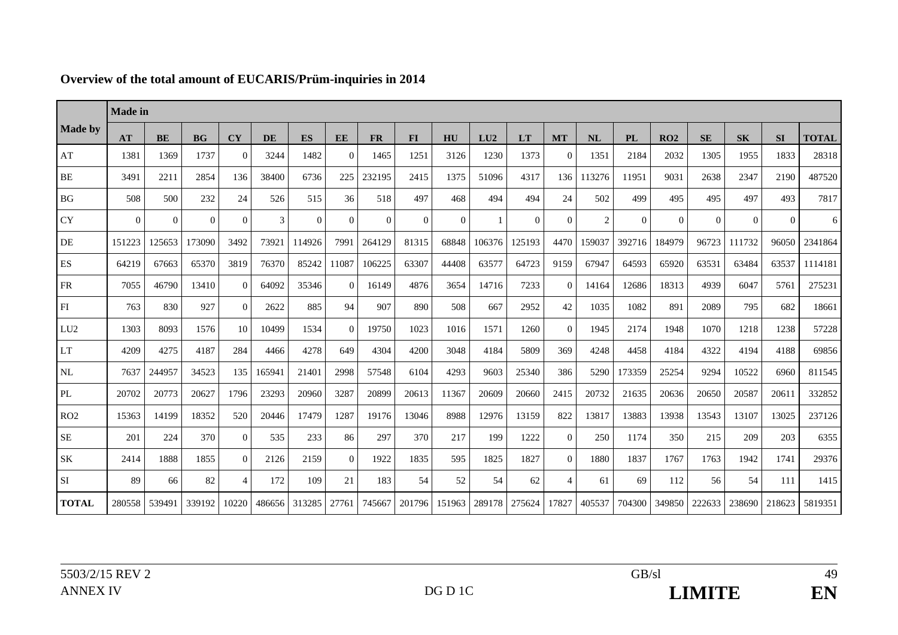|                 | <b>Made</b> in |           |                 |                |        |          |           |           |           |          |        |          |                |                |          |          |           |           |          |              |
|-----------------|----------------|-----------|-----------------|----------------|--------|----------|-----------|-----------|-----------|----------|--------|----------|----------------|----------------|----------|----------|-----------|-----------|----------|--------------|
| <b>Made by</b>  | AT             | <b>BE</b> | BG <sub>r</sub> | <b>CY</b>      | DE     | ES       | <b>EE</b> | <b>FR</b> | <b>FI</b> | HU       | LU2    | LT       | <b>MT</b>      | <b>NL</b>      | PL       | RO2      | <b>SE</b> | <b>SK</b> | SI       | <b>TOTAL</b> |
| AT              | 1381           | 1369      | 1737            | $\Omega$       | 3244   | 1482     | $\theta$  | 1465      | 1251      | 3126     | 1230   | 1373     | $\overline{0}$ | 1351           | 2184     | 2032     | 1305      | 1955      | 1833     | 28318        |
| $\rm BE$        | 3491           | 2211      | 2854            | 136            | 38400  | 6736     | 225       | 232195    | 2415      | 1375     | 51096  | 4317     | 136            | 113276         | 11951    | 9031     | 2638      | 2347      | 2190     | 487520       |
| BG              | 508            | 500       | 232             | 24             | 526    | 515      | 36        | 518       | 497       | 468      | 494    | 494      | 24             | 502            | 499      | 495      | 495       | 497       | 493      | 7817         |
| <b>CY</b>       | $\Omega$       | $\Omega$  | $\Omega$        | $\Omega$       | 3      | $\Omega$ | $\Omega$  | $\Omega$  | $\Omega$  | $\Omega$ |        | $\Omega$ | $\Omega$       | $\overline{c}$ | $\Omega$ | $\Omega$ | $\Omega$  | $\Omega$  | $\Omega$ | 6            |
| DE              | 151223         | 125653    | 173090          | 3492           | 73921  | 114926   | 7991      | 264129    | 81315     | 68848    | 106376 | 125193   | 4470           | 159037         | 392716   | 184979   | 96723     | 111732    | 96050    | 2341864      |
| ES              | 64219          | 67663     | 65370           | 3819           | 76370  | 85242    | 11087     | 106225    | 63307     | 44408    | 63577  | 64723    | 9159           | 67947          | 64593    | 65920    | 63531     | 63484     | 63537    | 1114181      |
| <b>FR</b>       | 7055           | 46790     | 13410           | $\Omega$       | 64092  | 35346    | $\Omega$  | 16149     | 4876      | 3654     | 14716  | 7233     | $\Omega$       | 14164          | 12686    | 18313    | 4939      | 6047      | 5761     | 275231       |
| ${\rm FI}$      | 763            | 830       | 927             | $\Omega$       | 2622   | 885      | 94        | 907       | 890       | 508      | 667    | 2952     | 42             | 1035           | 1082     | 891      | 2089      | 795       | 682      | 18661        |
| LU <sub>2</sub> | 1303           | 8093      | 1576            | 10             | 10499  | 1534     | $\Omega$  | 19750     | 1023      | 1016     | 1571   | 1260     | $\Omega$       | 1945           | 2174     | 1948     | 1070      | 1218      | 1238     | 57228        |
| <b>LT</b>       | 4209           | 4275      | 4187            | 284            | 4466   | 4278     | 649       | 4304      | 4200      | 3048     | 4184   | 5809     | 369            | 4248           | 4458     | 4184     | 4322      | 4194      | 4188     | 69856        |
| NL              | 7637           | 244957    | 34523           | 135            | 165941 | 21401    | 2998      | 57548     | 6104      | 4293     | 9603   | 25340    | 386            | 5290           | 173359   | 25254    | 9294      | 10522     | 6960     | 811545       |
| PL              | 20702          | 20773     | 20627           | 1796           | 23293  | 20960    | 3287      | 20899     | 20613     | 11367    | 20609  | 20660    | 2415           | 20732          | 21635    | 20636    | 20650     | 20587     | 20611    | 332852       |
| RO2             | 15363          | 14199     | 18352           | 520            | 20446  | 17479    | 1287      | 19176     | 13046     | 8988     | 12976  | 13159    | 822            | 13817          | 13883    | 13938    | 13543     | 13107     | 13025    | 237126       |
| <b>SE</b>       | 201            | 224       | 370             | $\Omega$       | 535    | 233      | 86        | 297       | 370       | 217      | 199    | 1222     | $\Omega$       | 250            | 1174     | 350      | 215       | 209       | 203      | 6355         |
| SK              | 2414           | 1888      | 1855            | $\Omega$       | 2126   | 2159     | $\Omega$  | 1922      | 1835      | 595      | 1825   | 1827     | $\Omega$       | 1880           | 1837     | 1767     | 1763      | 1942      | 1741     | 29376        |
| ${\rm SI}$      | 89             | 66        | 82              | $\overline{4}$ | 172    | 109      | 21        | 183       | 54        | 52       | 54     | 62       | $\overline{4}$ | 61             | 69       | 112      | 56        | 54        | 111      | 1415         |
| <b>TOTAL</b>    | 280558         | 539491    | 339192          | 10220          | 486656 | 313285   | 27761     | 745667    | 201796    | 151963   | 289178 | 275624   | 17827          | 405537         | 704300   | 349850   | 222633    | 238690    | 218623   | 5819351      |

### **Overview of the total amount of EUCARIS/Prüm-inquiries in 2014**

49 EN